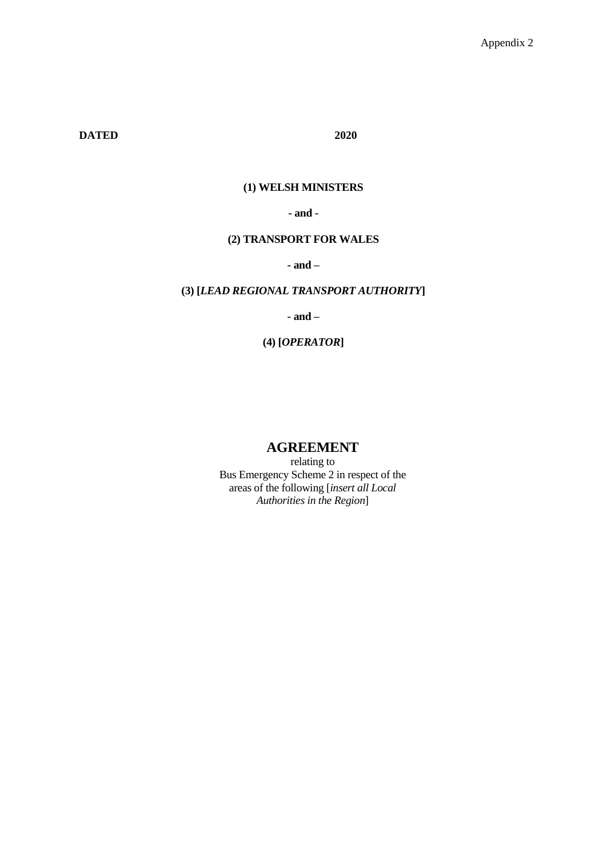**DATED 2020**

# **(1) WELSH MINISTERS**

**- and -**

### **(2) TRANSPORT FOR WALES**

**- and –**

### **(3) [***LEAD REGIONAL TRANSPORT AUTHORITY***]**

**- and –**

**(4) [***OPERATOR***]**

# **AGREEMENT**

relating to Bus Emergency Scheme 2 in respect of the areas of the following [*insert all Local Authorities in the Region*]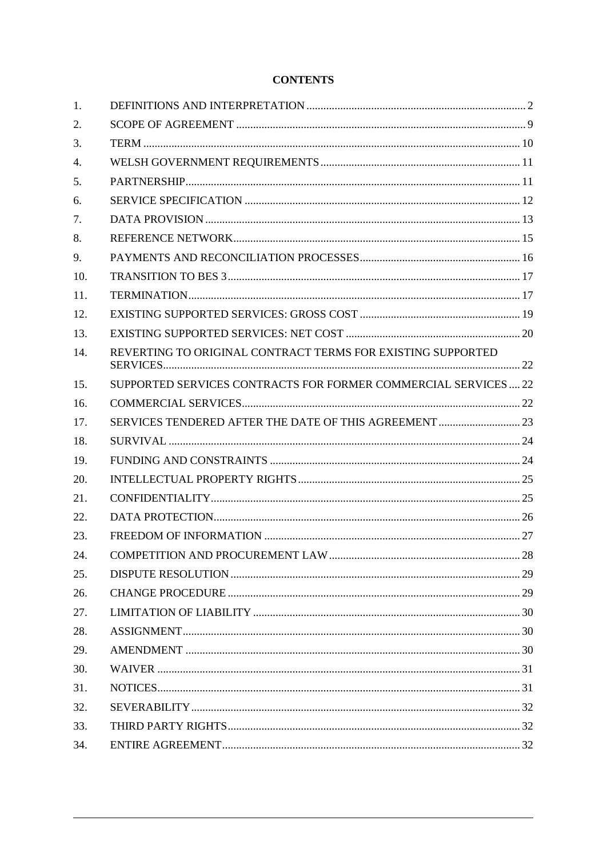# **CONTENTS**

| 1.  |                                                                 |  |
|-----|-----------------------------------------------------------------|--|
| 2.  |                                                                 |  |
| 3.  |                                                                 |  |
| 4.  |                                                                 |  |
| 5.  |                                                                 |  |
| 6.  |                                                                 |  |
| 7.  |                                                                 |  |
| 8.  |                                                                 |  |
| 9.  |                                                                 |  |
| 10. |                                                                 |  |
| 11. |                                                                 |  |
| 12. |                                                                 |  |
| 13. |                                                                 |  |
| 14. | REVERTING TO ORIGINAL CONTRACT TERMS FOR EXISTING SUPPORTED     |  |
| 15. | SUPPORTED SERVICES CONTRACTS FOR FORMER COMMERCIAL SERVICES  22 |  |
| 16. |                                                                 |  |
| 17. |                                                                 |  |
| 18. |                                                                 |  |
| 19. |                                                                 |  |
| 20. |                                                                 |  |
| 21. |                                                                 |  |
| 22. |                                                                 |  |
| 23. |                                                                 |  |
| 24. |                                                                 |  |
| 25. |                                                                 |  |
| 26. |                                                                 |  |
| 27. |                                                                 |  |
| 28. |                                                                 |  |
| 29. |                                                                 |  |
| 30. |                                                                 |  |
| 31. |                                                                 |  |
| 32. |                                                                 |  |
| 33. |                                                                 |  |
| 34. |                                                                 |  |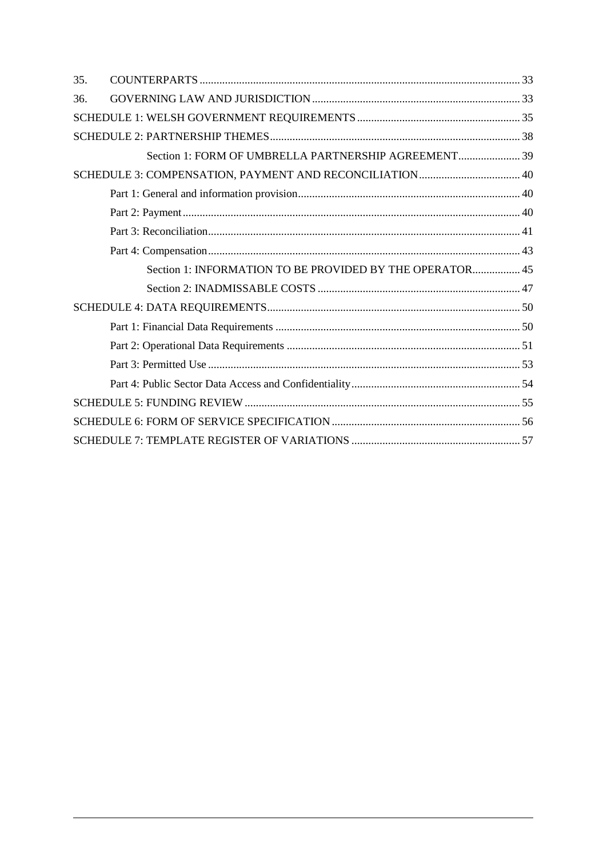| 35. |                                                          |  |
|-----|----------------------------------------------------------|--|
| 36. |                                                          |  |
|     |                                                          |  |
|     |                                                          |  |
|     | Section 1: FORM OF UMBRELLA PARTNERSHIP AGREEMENT 39     |  |
|     | SCHEDULE 3: COMPENSATION, PAYMENT AND RECONCILIATION 40  |  |
|     |                                                          |  |
|     |                                                          |  |
|     |                                                          |  |
|     |                                                          |  |
|     | Section 1: INFORMATION TO BE PROVIDED BY THE OPERATOR 45 |  |
|     |                                                          |  |
|     |                                                          |  |
|     |                                                          |  |
|     |                                                          |  |
|     |                                                          |  |
|     |                                                          |  |
|     |                                                          |  |
|     |                                                          |  |
|     |                                                          |  |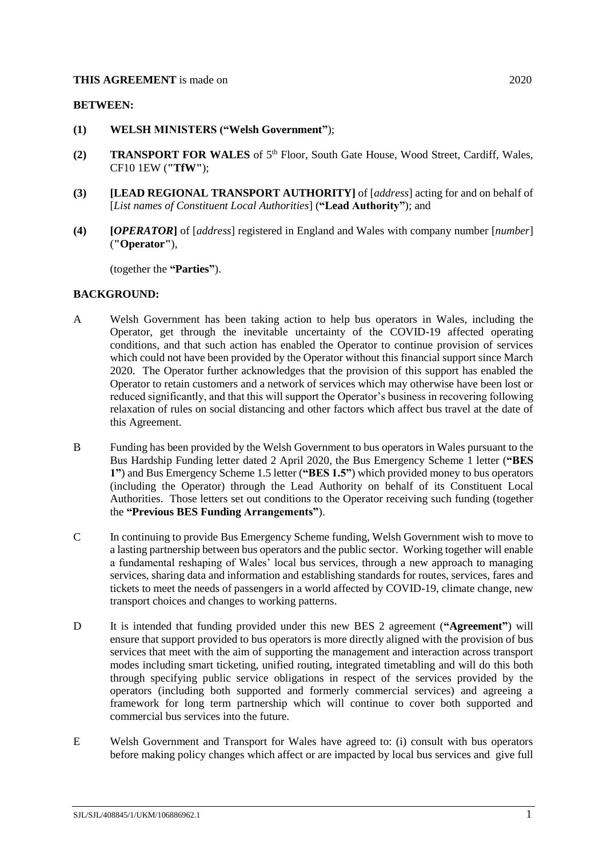#### **THIS AGREEMENT** is made on 2020

#### **BETWEEN:**

- **(1) WELSH MINISTERS ("Welsh Government"**);
- (2) **TRANSPORT FOR WALES** of 5<sup>th</sup> Floor, South Gate House, Wood Street, Cardiff, Wales, CF10 1EW (**"TfW"**);
- **(3) [LEAD REGIONAL TRANSPORT AUTHORITY]** of [*address*] acting for and on behalf of [*List names of Constituent Local Authorities*] (**"Lead Authority"**); and
- **(4) [***OPERATOR***]** of [*address*] registered in England and Wales with company number [*number*] (**"Operator"**),

(together the **"Parties"**).

#### **BACKGROUND:**

- A Welsh Government has been taking action to help bus operators in Wales, including the Operator, get through the inevitable uncertainty of the COVID-19 affected operating conditions, and that such action has enabled the Operator to continue provision of services which could not have been provided by the Operator without this financial support since March 2020. The Operator further acknowledges that the provision of this support has enabled the Operator to retain customers and a network of services which may otherwise have been lost or reduced significantly, and that this will support the Operator's business in recovering following relaxation of rules on social distancing and other factors which affect bus travel at the date of this Agreement.
- <span id="page-3-1"></span>B Funding has been provided by the Welsh Government to bus operators in Wales pursuant to the Bus Hardship Funding letter dated 2 April 2020, the Bus Emergency Scheme 1 letter (**"BES 1"**) and Bus Emergency Scheme 1.5 letter (**"BES 1.5"**) which provided money to bus operators (including the Operator) through the Lead Authority on behalf of its Constituent Local Authorities. Those letters set out conditions to the Operator receiving such funding (together the **"Previous BES Funding Arrangements"**).
- C In continuing to provide Bus Emergency Scheme funding, Welsh Government wish to move to a lasting partnership between bus operators and the public sector. Working together will enable a fundamental reshaping of Wales' local bus services, through a new approach to managing services, sharing data and information and establishing standards for routes, services, fares and tickets to meet the needs of passengers in a world affected by COVID-19, climate change, new transport choices and changes to working patterns.
- <span id="page-3-0"></span>D It is intended that funding provided under this new BES 2 agreement (**"Agreement"**) will ensure that support provided to bus operators is more directly aligned with the provision of bus services that meet with the aim of supporting the management and interaction across transport modes including smart ticketing, unified routing, integrated timetabling and will do this both through specifying public service obligations in respect of the services provided by the operators (including both supported and formerly commercial services) and agreeing a framework for long term partnership which will continue to cover both supported and commercial bus services into the future.
- E Welsh Government and Transport for Wales have agreed to: (i) consult with bus operators before making policy changes which affect or are impacted by local bus services and give full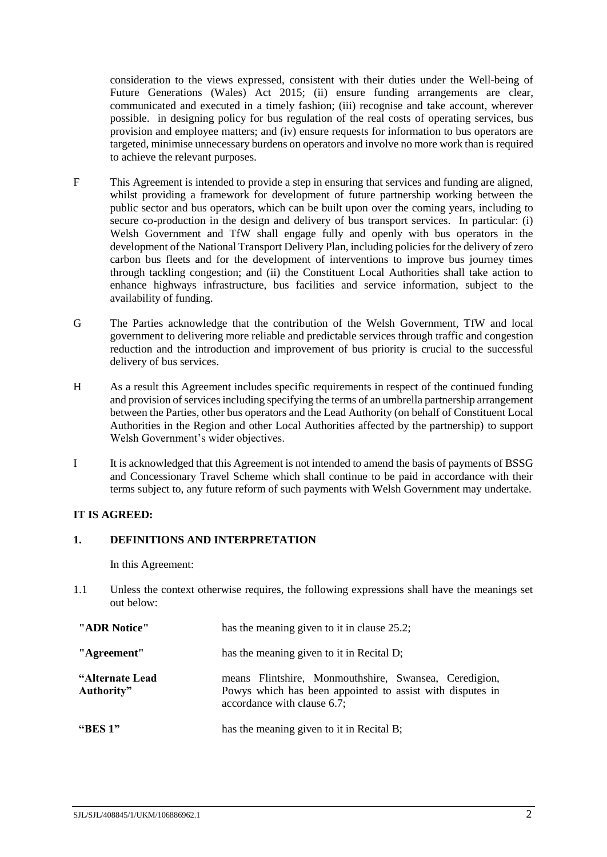consideration to the views expressed, consistent with their duties under the Well-being of Future Generations (Wales) Act 2015; (ii) ensure funding arrangements are clear, communicated and executed in a timely fashion; (iii) recognise and take account, wherever possible. in designing policy for bus regulation of the real costs of operating services, bus provision and employee matters; and (iv) ensure requests for information to bus operators are targeted, minimise unnecessary burdens on operators and involve no more work than is required to achieve the relevant purposes.

- F This Agreement is intended to provide a step in ensuring that services and funding are aligned, whilst providing a framework for development of future partnership working between the public sector and bus operators, which can be built upon over the coming years, including to secure co-production in the design and delivery of bus transport services. In particular: (i) Welsh Government and TfW shall engage fully and openly with bus operators in the development of the National Transport Delivery Plan, including policies for the delivery of zero carbon bus fleets and for the development of interventions to improve bus journey times through tackling congestion; and (ii) the Constituent Local Authorities shall take action to enhance highways infrastructure, bus facilities and service information, subject to the availability of funding.
- G The Parties acknowledge that the contribution of the Welsh Government, TfW and local government to delivering more reliable and predictable services through traffic and congestion reduction and the introduction and improvement of bus priority is crucial to the successful delivery of bus services.
- H As a result this Agreement includes specific requirements in respect of the continued funding and provision of servicesincluding specifying the terms of an umbrella partnership arrangement between the Parties, other bus operators and the Lead Authority (on behalf of Constituent Local Authorities in the Region and other Local Authorities affected by the partnership) to support Welsh Government's wider objectives.
- I It is acknowledged that this Agreement is not intended to amend the basis of payments of BSSG and Concessionary Travel Scheme which shall continue to be paid in accordance with their terms subject to, any future reform of such payments with Welsh Government may undertake.

# **IT IS AGREED:**

### <span id="page-4-0"></span>**1. DEFINITIONS AND INTERPRETATION**

In this Agreement:

1.1 Unless the context otherwise requires, the following expressions shall have the meanings set out below:

| "ADR Notice"                  | has the meaning given to it in clause 25.2;                                                                                                       |  |
|-------------------------------|---------------------------------------------------------------------------------------------------------------------------------------------------|--|
| "Agreement"                   | has the meaning given to it in Recital D;                                                                                                         |  |
| "Alternate Lead<br>Authority" | means Flintshire, Monmouthshire, Swansea, Ceredigion,<br>Powys which has been appointed to assist with disputes in<br>accordance with clause 6.7; |  |
| "BES $1"$                     | has the meaning given to it in Recital B;                                                                                                         |  |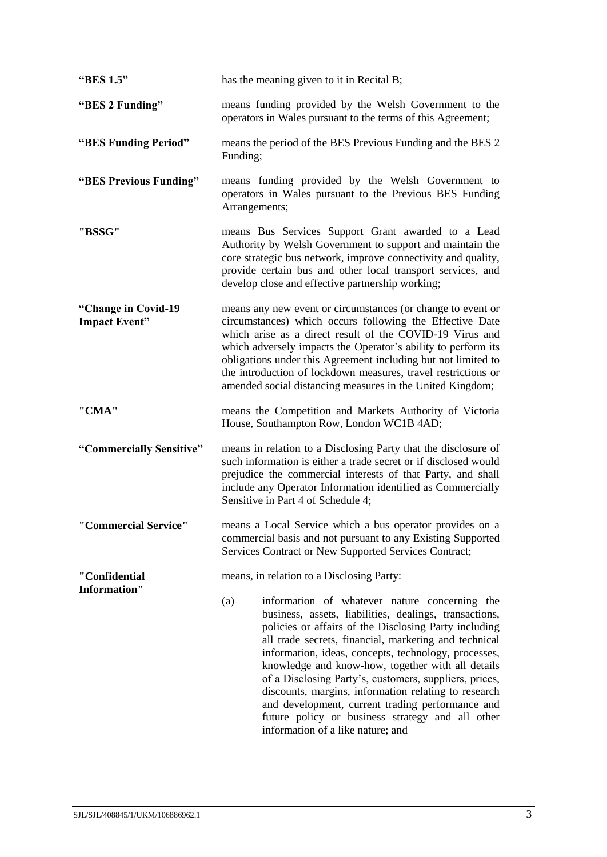| "BES 1.5"                                   | has the meaning given to it in Recital B;                                                                                                                                                                                                                                                                                                                                                                                                                                                                                                                                                                    |  |  |
|---------------------------------------------|--------------------------------------------------------------------------------------------------------------------------------------------------------------------------------------------------------------------------------------------------------------------------------------------------------------------------------------------------------------------------------------------------------------------------------------------------------------------------------------------------------------------------------------------------------------------------------------------------------------|--|--|
| "BES 2 Funding"                             | means funding provided by the Welsh Government to the<br>operators in Wales pursuant to the terms of this Agreement;                                                                                                                                                                                                                                                                                                                                                                                                                                                                                         |  |  |
| "BES Funding Period"                        | means the period of the BES Previous Funding and the BES 2<br>Funding;                                                                                                                                                                                                                                                                                                                                                                                                                                                                                                                                       |  |  |
| "BES Previous Funding"                      | means funding provided by the Welsh Government to<br>operators in Wales pursuant to the Previous BES Funding<br>Arrangements;                                                                                                                                                                                                                                                                                                                                                                                                                                                                                |  |  |
| "BSSG"                                      | means Bus Services Support Grant awarded to a Lead<br>Authority by Welsh Government to support and maintain the<br>core strategic bus network, improve connectivity and quality,<br>provide certain bus and other local transport services, and<br>develop close and effective partnership working;                                                                                                                                                                                                                                                                                                          |  |  |
| "Change in Covid-19<br><b>Impact Event"</b> | means any new event or circumstances (or change to event or<br>circumstances) which occurs following the Effective Date<br>which arise as a direct result of the COVID-19 Virus and<br>which adversely impacts the Operator's ability to perform its<br>obligations under this Agreement including but not limited to<br>the introduction of lockdown measures, travel restrictions or<br>amended social distancing measures in the United Kingdom;                                                                                                                                                          |  |  |
| "CMA"                                       | means the Competition and Markets Authority of Victoria<br>House, Southampton Row, London WC1B 4AD;                                                                                                                                                                                                                                                                                                                                                                                                                                                                                                          |  |  |
| "Commercially Sensitive"                    | means in relation to a Disclosing Party that the disclosure of<br>such information is either a trade secret or if disclosed would<br>prejudice the commercial interests of that Party, and shall<br>include any Operator Information identified as Commercially<br>Sensitive in Part 4 of Schedule 4;                                                                                                                                                                                                                                                                                                        |  |  |
| "Commercial Service"                        | means a Local Service which a bus operator provides on a<br>commercial basis and not pursuant to any Existing Supported<br>Services Contract or New Supported Services Contract;                                                                                                                                                                                                                                                                                                                                                                                                                             |  |  |
| "Confidential<br><b>Information"</b>        | means, in relation to a Disclosing Party:                                                                                                                                                                                                                                                                                                                                                                                                                                                                                                                                                                    |  |  |
|                                             | (a)<br>information of whatever nature concerning the<br>business, assets, liabilities, dealings, transactions,<br>policies or affairs of the Disclosing Party including<br>all trade secrets, financial, marketing and technical<br>information, ideas, concepts, technology, processes,<br>knowledge and know-how, together with all details<br>of a Disclosing Party's, customers, suppliers, prices,<br>discounts, margins, information relating to research<br>and development, current trading performance and<br>future policy or business strategy and all other<br>information of a like nature; and |  |  |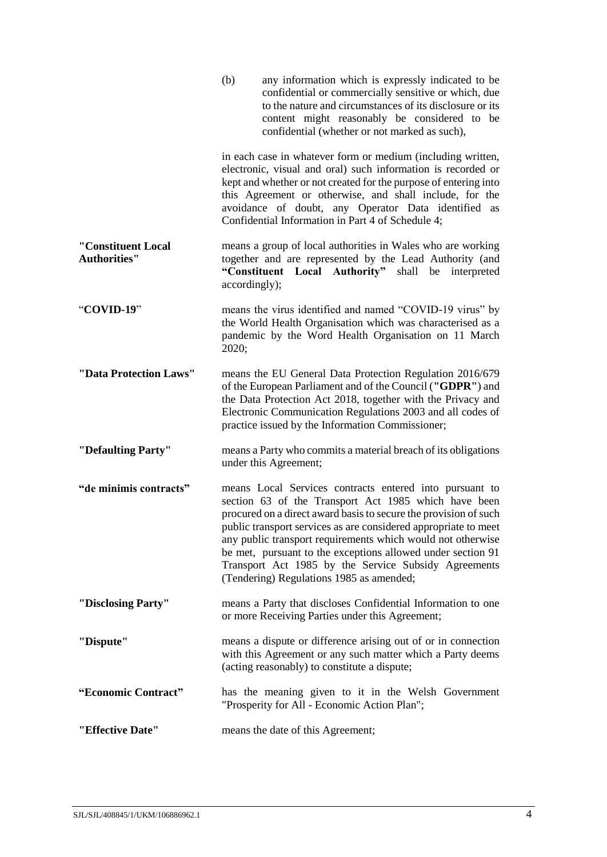|                                           | any information which is expressly indicated to be<br>(b)<br>confidential or commercially sensitive or which, due<br>to the nature and circumstances of its disclosure or its<br>content might reasonably be considered to be<br>confidential (whether or not marked as such),                                                                                                                                                                                                           |
|-------------------------------------------|------------------------------------------------------------------------------------------------------------------------------------------------------------------------------------------------------------------------------------------------------------------------------------------------------------------------------------------------------------------------------------------------------------------------------------------------------------------------------------------|
|                                           | in each case in whatever form or medium (including written,<br>electronic, visual and oral) such information is recorded or<br>kept and whether or not created for the purpose of entering into<br>this Agreement or otherwise, and shall include, for the<br>avoidance of doubt, any Operator Data identified as<br>Confidential Information in Part 4 of Schedule 4;                                                                                                                   |
| "Constituent Local<br><b>Authorities"</b> | means a group of local authorities in Wales who are working<br>together and are represented by the Lead Authority (and<br>"Constituent Local Authority"<br>shall be interpreted<br>accordingly);                                                                                                                                                                                                                                                                                         |
| "COVID-19"                                | means the virus identified and named "COVID-19 virus" by<br>the World Health Organisation which was characterised as a<br>pandemic by the Word Health Organisation on 11 March<br>2020;                                                                                                                                                                                                                                                                                                  |
| "Data Protection Laws"                    | means the EU General Data Protection Regulation 2016/679<br>of the European Parliament and of the Council ("GDPR") and<br>the Data Protection Act 2018, together with the Privacy and<br>Electronic Communication Regulations 2003 and all codes of<br>practice issued by the Information Commissioner;                                                                                                                                                                                  |
| "Defaulting Party"                        | means a Party who commits a material breach of its obligations<br>under this Agreement;                                                                                                                                                                                                                                                                                                                                                                                                  |
| "de minimis contracts"                    | means Local Services contracts entered into pursuant to<br>section 63 of the Transport Act 1985 which have been<br>procured on a direct award basis to secure the provision of such<br>public transport services as are considered appropriate to meet<br>any public transport requirements which would not otherwise<br>be met, pursuant to the exceptions allowed under section 91<br>Transport Act 1985 by the Service Subsidy Agreements<br>(Tendering) Regulations 1985 as amended; |
| "Disclosing Party"                        | means a Party that discloses Confidential Information to one<br>or more Receiving Parties under this Agreement;                                                                                                                                                                                                                                                                                                                                                                          |
| "Dispute"                                 | means a dispute or difference arising out of or in connection<br>with this Agreement or any such matter which a Party deems<br>(acting reasonably) to constitute a dispute;                                                                                                                                                                                                                                                                                                              |
| "Economic Contract"                       | has the meaning given to it in the Welsh Government<br>"Prosperity for All - Economic Action Plan";                                                                                                                                                                                                                                                                                                                                                                                      |
| "Effective Date"                          | means the date of this Agreement;                                                                                                                                                                                                                                                                                                                                                                                                                                                        |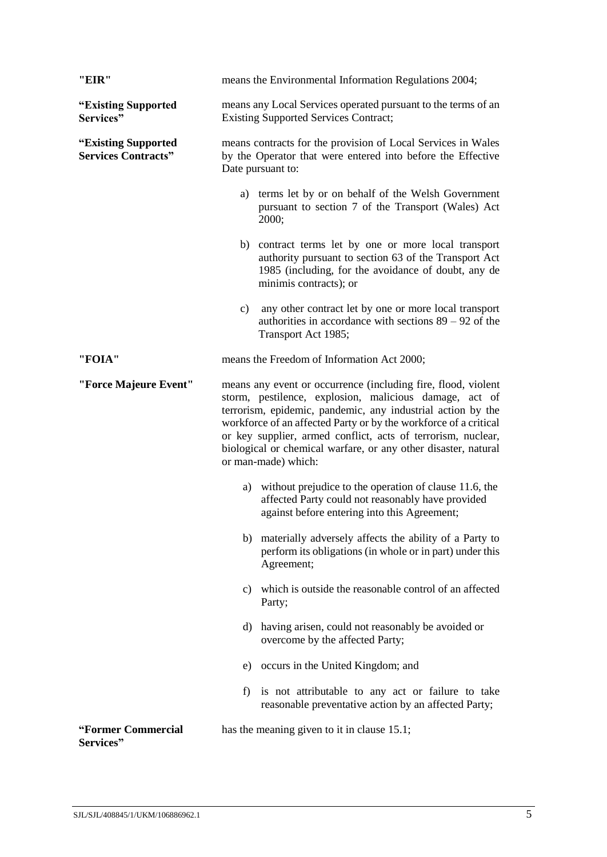| "EIR"                                             | means the Environmental Information Regulations 2004;                                                                                                                                                                                                                                                                                                                                                               |  |  |
|---------------------------------------------------|---------------------------------------------------------------------------------------------------------------------------------------------------------------------------------------------------------------------------------------------------------------------------------------------------------------------------------------------------------------------------------------------------------------------|--|--|
| "Existing Supported<br>Services"                  | means any Local Services operated pursuant to the terms of an<br><b>Existing Supported Services Contract;</b>                                                                                                                                                                                                                                                                                                       |  |  |
| "Existing Supported<br><b>Services Contracts"</b> | means contracts for the provision of Local Services in Wales<br>by the Operator that were entered into before the Effective<br>Date pursuant to:                                                                                                                                                                                                                                                                    |  |  |
|                                                   | a) terms let by or on behalf of the Welsh Government<br>pursuant to section 7 of the Transport (Wales) Act<br>2000;                                                                                                                                                                                                                                                                                                 |  |  |
|                                                   | b) contract terms let by one or more local transport<br>authority pursuant to section 63 of the Transport Act<br>1985 (including, for the avoidance of doubt, any de<br>minimis contracts); or                                                                                                                                                                                                                      |  |  |
|                                                   | any other contract let by one or more local transport<br>c)<br>authorities in accordance with sections $89 - 92$ of the<br>Transport Act 1985;                                                                                                                                                                                                                                                                      |  |  |
| "FOIA"                                            | means the Freedom of Information Act 2000;                                                                                                                                                                                                                                                                                                                                                                          |  |  |
| "Force Majeure Event"                             | means any event or occurrence (including fire, flood, violent<br>storm, pestilence, explosion, malicious damage, act of<br>terrorism, epidemic, pandemic, any industrial action by the<br>workforce of an affected Party or by the workforce of a critical<br>or key supplier, armed conflict, acts of terrorism, nuclear,<br>biological or chemical warfare, or any other disaster, natural<br>or man-made) which: |  |  |
|                                                   | a) without prejudice to the operation of clause 11.6, the<br>affected Party could not reasonably have provided<br>against before entering into this Agreement;                                                                                                                                                                                                                                                      |  |  |
|                                                   | b) materially adversely affects the ability of a Party to<br>perform its obligations (in whole or in part) under this<br>Agreement;                                                                                                                                                                                                                                                                                 |  |  |
|                                                   | which is outside the reasonable control of an affected<br>c)<br>Party;                                                                                                                                                                                                                                                                                                                                              |  |  |
|                                                   | having arisen, could not reasonably be avoided or<br>d)<br>overcome by the affected Party;                                                                                                                                                                                                                                                                                                                          |  |  |
|                                                   | e) occurs in the United Kingdom; and                                                                                                                                                                                                                                                                                                                                                                                |  |  |
|                                                   | f) is not attributable to any act or failure to take<br>reasonable preventative action by an affected Party;                                                                                                                                                                                                                                                                                                        |  |  |
| "Former Commercial<br>Services"                   | has the meaning given to it in clause 15.1;                                                                                                                                                                                                                                                                                                                                                                         |  |  |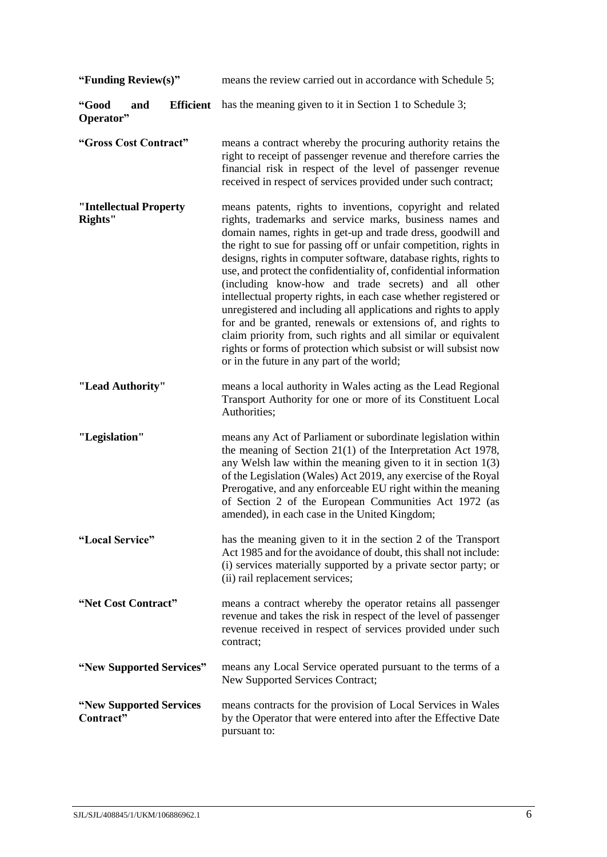| "Funding Review(s)"                           | means the review carried out in accordance with Schedule 5;                                                                                                                                                                                                                                                                                                                                                                                                                                                                                                                                                                                                                                                                                                                                                                                            |  |
|-----------------------------------------------|--------------------------------------------------------------------------------------------------------------------------------------------------------------------------------------------------------------------------------------------------------------------------------------------------------------------------------------------------------------------------------------------------------------------------------------------------------------------------------------------------------------------------------------------------------------------------------------------------------------------------------------------------------------------------------------------------------------------------------------------------------------------------------------------------------------------------------------------------------|--|
| "Good<br><b>Efficient</b><br>and<br>Operator" | has the meaning given to it in Section 1 to Schedule 3;                                                                                                                                                                                                                                                                                                                                                                                                                                                                                                                                                                                                                                                                                                                                                                                                |  |
| "Gross Cost Contract"                         | means a contract whereby the procuring authority retains the<br>right to receipt of passenger revenue and therefore carries the<br>financial risk in respect of the level of passenger revenue<br>received in respect of services provided under such contract;                                                                                                                                                                                                                                                                                                                                                                                                                                                                                                                                                                                        |  |
| "Intellectual Property<br>Rights"             | means patents, rights to inventions, copyright and related<br>rights, trademarks and service marks, business names and<br>domain names, rights in get-up and trade dress, goodwill and<br>the right to sue for passing off or unfair competition, rights in<br>designs, rights in computer software, database rights, rights to<br>use, and protect the confidentiality of, confidential information<br>(including know-how and trade secrets) and all other<br>intellectual property rights, in each case whether registered or<br>unregistered and including all applications and rights to apply<br>for and be granted, renewals or extensions of, and rights to<br>claim priority from, such rights and all similar or equivalent<br>rights or forms of protection which subsist or will subsist now<br>or in the future in any part of the world; |  |
| "Lead Authority"                              | means a local authority in Wales acting as the Lead Regional<br>Transport Authority for one or more of its Constituent Local<br>Authorities;                                                                                                                                                                                                                                                                                                                                                                                                                                                                                                                                                                                                                                                                                                           |  |
| "Legislation"                                 | means any Act of Parliament or subordinate legislation within<br>the meaning of Section $21(1)$ of the Interpretation Act 1978,<br>any Welsh law within the meaning given to it in section $1(3)$<br>of the Legislation (Wales) Act 2019, any exercise of the Royal<br>Prerogative, and any enforceable EU right within the meaning<br>of Section 2 of the European Communities Act 1972 (as<br>amended), in each case in the United Kingdom;                                                                                                                                                                                                                                                                                                                                                                                                          |  |
| "Local Service"                               | has the meaning given to it in the section 2 of the Transport<br>Act 1985 and for the avoidance of doubt, this shall not include:<br>(i) services materially supported by a private sector party; or<br>(ii) rail replacement services;                                                                                                                                                                                                                                                                                                                                                                                                                                                                                                                                                                                                                |  |
| "Net Cost Contract"                           | means a contract whereby the operator retains all passenger<br>revenue and takes the risk in respect of the level of passenger<br>revenue received in respect of services provided under such<br>contract;                                                                                                                                                                                                                                                                                                                                                                                                                                                                                                                                                                                                                                             |  |
| "New Supported Services"                      | means any Local Service operated pursuant to the terms of a<br>New Supported Services Contract;                                                                                                                                                                                                                                                                                                                                                                                                                                                                                                                                                                                                                                                                                                                                                        |  |
| "New Supported Services"<br>Contract"         | means contracts for the provision of Local Services in Wales<br>by the Operator that were entered into after the Effective Date<br>pursuant to:                                                                                                                                                                                                                                                                                                                                                                                                                                                                                                                                                                                                                                                                                                        |  |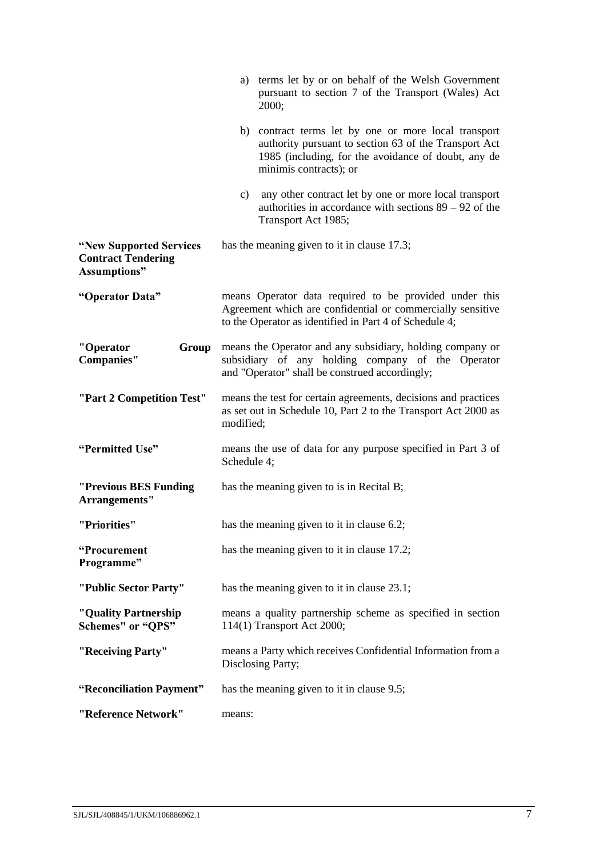|                                                                              | a) terms let by or on behalf of the Welsh Government<br>pursuant to section 7 of the Transport (Wales) Act<br>2000;                                                                               |  |  |
|------------------------------------------------------------------------------|---------------------------------------------------------------------------------------------------------------------------------------------------------------------------------------------------|--|--|
|                                                                              | contract terms let by one or more local transport<br>b)<br>authority pursuant to section 63 of the Transport Act<br>1985 (including, for the avoidance of doubt, any de<br>minimis contracts); or |  |  |
|                                                                              | any other contract let by one or more local transport<br>c)<br>authorities in accordance with sections $89 - 92$ of the<br>Transport Act 1985;                                                    |  |  |
| "New Supported Services"<br><b>Contract Tendering</b><br><b>Assumptions"</b> | has the meaning given to it in clause 17.3;                                                                                                                                                       |  |  |
| "Operator Data"                                                              | means Operator data required to be provided under this<br>Agreement which are confidential or commercially sensitive<br>to the Operator as identified in Part 4 of Schedule 4;                    |  |  |
| "Operator<br>Group<br><b>Companies"</b>                                      | means the Operator and any subsidiary, holding company or<br>subsidiary of any holding company of the Operator<br>and "Operator" shall be construed accordingly;                                  |  |  |
| "Part 2 Competition Test"                                                    | means the test for certain agreements, decisions and practices<br>as set out in Schedule 10, Part 2 to the Transport Act 2000 as<br>modified;                                                     |  |  |
| "Permitted Use"                                                              | means the use of data for any purpose specified in Part 3 of<br>Schedule 4;                                                                                                                       |  |  |
| "Previous BES Funding<br>Arrangements"                                       | has the meaning given to is in Recital B;                                                                                                                                                         |  |  |
| "Priorities"                                                                 | has the meaning given to it in clause 6.2;                                                                                                                                                        |  |  |
| "Procurement<br>Programme"                                                   | has the meaning given to it in clause 17.2;                                                                                                                                                       |  |  |
| "Public Sector Party"                                                        | has the meaning given to it in clause 23.1;                                                                                                                                                       |  |  |
| "Quality Partnership"<br><b>Schemes"</b> or "QPS"                            | means a quality partnership scheme as specified in section<br>114(1) Transport Act 2000;                                                                                                          |  |  |
| "Receiving Party"                                                            | means a Party which receives Confidential Information from a<br>Disclosing Party;                                                                                                                 |  |  |
| "Reconciliation Payment"                                                     | has the meaning given to it in clause 9.5;                                                                                                                                                        |  |  |
| "Reference Network"                                                          | means:                                                                                                                                                                                            |  |  |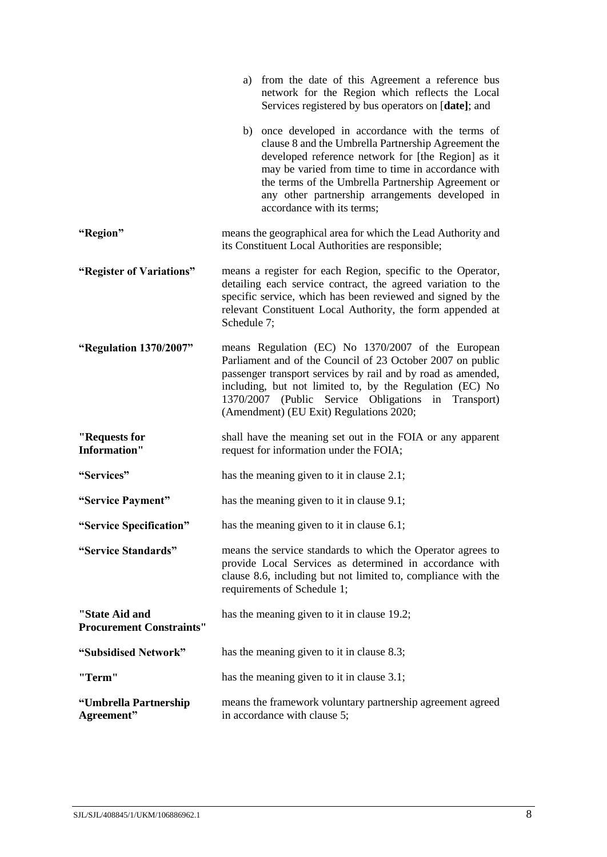|                                                   | a) from the date of this Agreement a reference bus<br>network for the Region which reflects the Local<br>Services registered by bus operators on [date]; and                                                                                                                                                                                                |  |  |
|---------------------------------------------------|-------------------------------------------------------------------------------------------------------------------------------------------------------------------------------------------------------------------------------------------------------------------------------------------------------------------------------------------------------------|--|--|
|                                                   | b) once developed in accordance with the terms of<br>clause 8 and the Umbrella Partnership Agreement the<br>developed reference network for [the Region] as it<br>may be varied from time to time in accordance with<br>the terms of the Umbrella Partnership Agreement or<br>any other partnership arrangements developed in<br>accordance with its terms; |  |  |
| "Region"                                          | means the geographical area for which the Lead Authority and<br>its Constituent Local Authorities are responsible;                                                                                                                                                                                                                                          |  |  |
| "Register of Variations"                          | means a register for each Region, specific to the Operator,<br>detailing each service contract, the agreed variation to the<br>specific service, which has been reviewed and signed by the<br>relevant Constituent Local Authority, the form appended at<br>Schedule 7;                                                                                     |  |  |
| "Regulation 1370/2007"                            | means Regulation (EC) No 1370/2007 of the European<br>Parliament and of the Council of 23 October 2007 on public<br>passenger transport services by rail and by road as amended,<br>including, but not limited to, by the Regulation (EC) No<br>1370/2007 (Public Service Obligations in Transport)<br>(Amendment) (EU Exit) Regulations 2020;              |  |  |
| "Requests for<br><b>Information"</b>              | shall have the meaning set out in the FOIA or any apparent<br>request for information under the FOIA;                                                                                                                                                                                                                                                       |  |  |
| "Services"                                        | has the meaning given to it in clause 2.1;                                                                                                                                                                                                                                                                                                                  |  |  |
| "Service Payment"                                 | has the meaning given to it in clause 9.1;                                                                                                                                                                                                                                                                                                                  |  |  |
| "Service Specification"                           | has the meaning given to it in clause 6.1;                                                                                                                                                                                                                                                                                                                  |  |  |
| "Service Standards"                               | means the service standards to which the Operator agrees to<br>provide Local Services as determined in accordance with<br>clause 8.6, including but not limited to, compliance with the<br>requirements of Schedule 1;                                                                                                                                      |  |  |
| "State Aid and<br><b>Procurement Constraints"</b> | has the meaning given to it in clause 19.2;                                                                                                                                                                                                                                                                                                                 |  |  |
| "Subsidised Network"                              | has the meaning given to it in clause 8.3;                                                                                                                                                                                                                                                                                                                  |  |  |
| "Term"                                            | has the meaning given to it in clause 3.1;                                                                                                                                                                                                                                                                                                                  |  |  |
| "Umbrella Partnership<br>Agreement"               | means the framework voluntary partnership agreement agreed<br>in accordance with clause 5;                                                                                                                                                                                                                                                                  |  |  |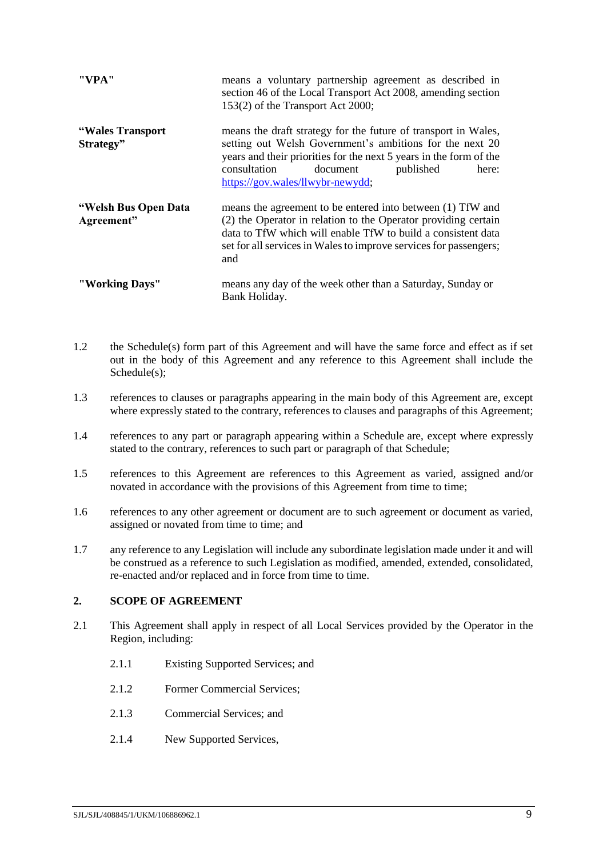| "VPA"                              | means a voluntary partnership agreement as described in<br>section 46 of the Local Transport Act 2008, amending section<br>153(2) of the Transport Act 2000;                                                                                                                           |  |  |
|------------------------------------|----------------------------------------------------------------------------------------------------------------------------------------------------------------------------------------------------------------------------------------------------------------------------------------|--|--|
| "Wales Transport"<br>Strategy"     | means the draft strategy for the future of transport in Wales,<br>setting out Welsh Government's ambitions for the next 20<br>years and their priorities for the next 5 years in the form of the<br>consultation<br>document<br>published<br>here:<br>https://gov.wales/llwybr-newydd; |  |  |
| "Welsh Bus Open Data<br>Agreement" | means the agreement to be entered into between (1) TfW and<br>(2) the Operator in relation to the Operator providing certain<br>data to TfW which will enable TfW to build a consistent data<br>set for all services in Wales to improve services for passengers;<br>and               |  |  |
| "Working Days"                     | means any day of the week other than a Saturday, Sunday or<br>Bank Holiday.                                                                                                                                                                                                            |  |  |

- 1.2 the Schedule(s) form part of this Agreement and will have the same force and effect as if set out in the body of this Agreement and any reference to this Agreement shall include the Schedule(s);
- 1.3 references to clauses or paragraphs appearing in the main body of this Agreement are, except where expressly stated to the contrary, references to clauses and paragraphs of this Agreement;
- 1.4 references to any part or paragraph appearing within a Schedule are, except where expressly stated to the contrary, references to such part or paragraph of that Schedule;
- 1.5 references to this Agreement are references to this Agreement as varied, assigned and/or novated in accordance with the provisions of this Agreement from time to time;
- 1.6 references to any other agreement or document are to such agreement or document as varied, assigned or novated from time to time; and
- 1.7 any reference to any Legislation will include any subordinate legislation made under it and will be construed as a reference to such Legislation as modified, amended, extended, consolidated, re-enacted and/or replaced and in force from time to time.

# <span id="page-11-0"></span>**2. SCOPE OF AGREEMENT**

- <span id="page-11-1"></span>2.1 This Agreement shall apply in respect of all Local Services provided by the Operator in the Region, including:
	- 2.1.1 Existing Supported Services; and
	- 2.1.2 Former Commercial Services;
	- 2.1.3 Commercial Services; and
	- 2.1.4 New Supported Services,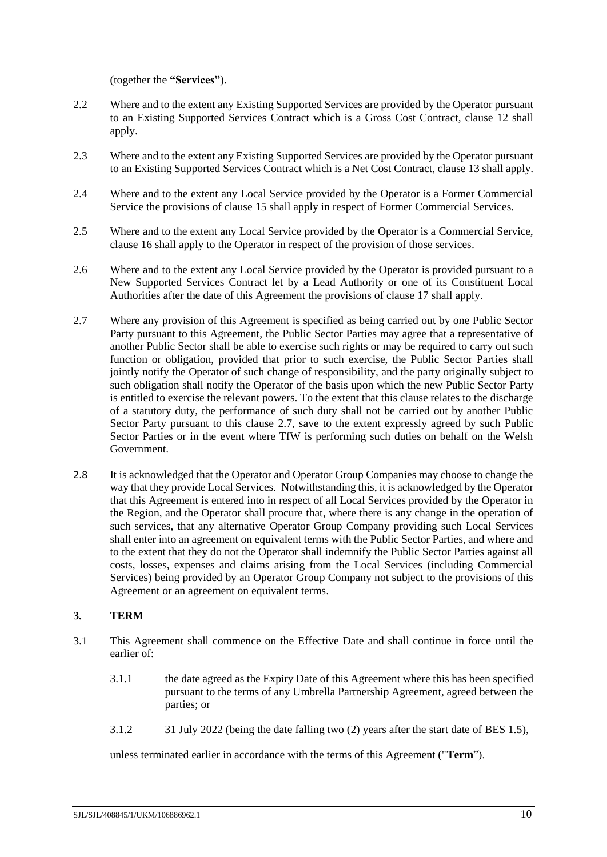(together the **"Services"**).

- 2.2 Where and to the extent any Existing Supported Services are provided by the Operator pursuant to an Existing Supported Services Contract which is a Gross Cost Contract, clause [12](#page-21-0) shall apply.
- 2.3 Where and to the extent any Existing Supported Services are provided by the Operator pursuant to an Existing Supported Services Contract which is a Net Cost Contract, claus[e 13](#page-22-0) shall apply.
- 2.4 Where and to the extent any Local Service provided by the Operator is a Former Commercial Service the provisions of clause [15](#page-24-1) shall apply in respect of Former Commercial Services.
- 2.5 Where and to the extent any Local Service provided by the Operator is a Commercial Service, clause [16](#page-24-2) shall apply to the Operator in respect of the provision of those services.
- 2.6 Where and to the extent any Local Service provided by the Operator is provided pursuant to a New Supported Services Contract let by a Lead Authority or one of its Constituent Local Authorities after the date of this Agreement the provisions of clause [17](#page-25-0) shall apply.
- <span id="page-12-2"></span>2.7 Where any provision of this Agreement is specified as being carried out by one Public Sector Party pursuant to this Agreement, the Public Sector Parties may agree that a representative of another Public Sector shall be able to exercise such rights or may be required to carry out such function or obligation, provided that prior to such exercise, the Public Sector Parties shall jointly notify the Operator of such change of responsibility, and the party originally subject to such obligation shall notify the Operator of the basis upon which the new Public Sector Party is entitled to exercise the relevant powers. To the extent that this clause relates to the discharge of a statutory duty, the performance of such duty shall not be carried out by another Public Sector Party pursuant to this clause [2.7,](#page-12-2) save to the extent expressly agreed by such Public Sector Parties or in the event where TfW is performing such duties on behalf on the Welsh Government.
- 2.8 It is acknowledged that the Operator and Operator Group Companies may choose to change the way that they provide Local Services. Notwithstanding this, it is acknowledged by the Operator that this Agreement is entered into in respect of all Local Services provided by the Operator in the Region, and the Operator shall procure that, where there is any change in the operation of such services, that any alternative Operator Group Company providing such Local Services shall enter into an agreement on equivalent terms with the Public Sector Parties, and where and to the extent that they do not the Operator shall indemnify the Public Sector Parties against all costs, losses, expenses and claims arising from the Local Services (including Commercial Services) being provided by an Operator Group Company not subject to the provisions of this Agreement or an agreement on equivalent terms.

# <span id="page-12-0"></span>**3. TERM**

- <span id="page-12-1"></span>3.1 This Agreement shall commence on the Effective Date and shall continue in force until the earlier of:
	- 3.1.1 the date agreed as the Expiry Date of this Agreement where this has been specified pursuant to the terms of any Umbrella Partnership Agreement, agreed between the parties; or
	- 3.1.2 31 July 2022 (being the date falling two (2) years after the start date of BES 1.5),

unless terminated earlier in accordance with the terms of this Agreement ("**Term**").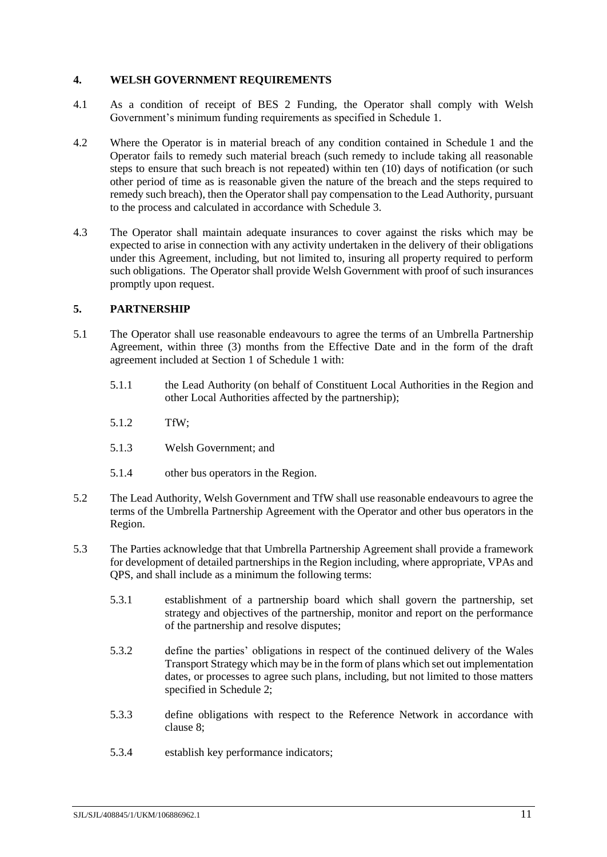### <span id="page-13-0"></span>**4. WELSH GOVERNMENT REQUIREMENTS**

- 4.1 As a condition of receipt of BES 2 Funding, the Operator shall comply with Welsh Government's minimum funding requirements as specified in Schedule [1.](#page-37-0)
- 4.2 Where the Operator is in material breach of any condition contained in Schedule [1](#page-37-0) and the Operator fails to remedy such material breach (such remedy to include taking all reasonable steps to ensure that such breach is not repeated) within ten (10) days of notification (or such other period of time as is reasonable given the nature of the breach and the steps required to remedy such breach), then the Operator shall pay compensation to the Lead Authority, pursuant to the process and calculated in accordance with Schedule [3.](#page-42-0)
- 4.3 The Operator shall maintain adequate insurances to cover against the risks which may be expected to arise in connection with any activity undertaken in the delivery of their obligations under this Agreement, including, but not limited to, insuring all property required to perform such obligations. The Operator shall provide Welsh Government with proof of such insurances promptly upon request.

# <span id="page-13-1"></span>**5. PARTNERSHIP**

- <span id="page-13-2"></span>5.1 The Operator shall use reasonable endeavours to agree the terms of an Umbrella Partnership Agreement, within three (3) months from the Effective Date and in the form of the draft agreement included at Sectio[n 1](#page-41-0) of Schedule [1](#page-37-0) with:
	- 5.1.1 the Lead Authority (on behalf of Constituent Local Authorities in the Region and other Local Authorities affected by the partnership);
	- 5.1.2 TfW;
	- 5.1.3 Welsh Government; and
	- 5.1.4 other bus operators in the Region.
- 5.2 The Lead Authority, Welsh Government and TfW shall use reasonable endeavours to agree the terms of the Umbrella Partnership Agreement with the Operator and other bus operators in the Region.
- 5.3 The Parties acknowledge that that Umbrella Partnership Agreement shall provide a framework for development of detailed partnerships in the Region including, where appropriate, VPAs and QPS, and shall include as a minimum the following terms:
	- 5.3.1 establishment of a partnership board which shall govern the partnership, set strategy and objectives of the partnership, monitor and report on the performance of the partnership and resolve disputes;
	- 5.3.2 define the parties' obligations in respect of the continued delivery of the Wales Transport Strategy which may be in the form of plans which set out implementation dates, or processes to agree such plans, including, but not limited to those matters specified in Schedule [2;](#page-40-0)
	- 5.3.3 define obligations with respect to the Reference Network in accordance with clause [8;](#page-17-0)
	- 5.3.4 establish key performance indicators;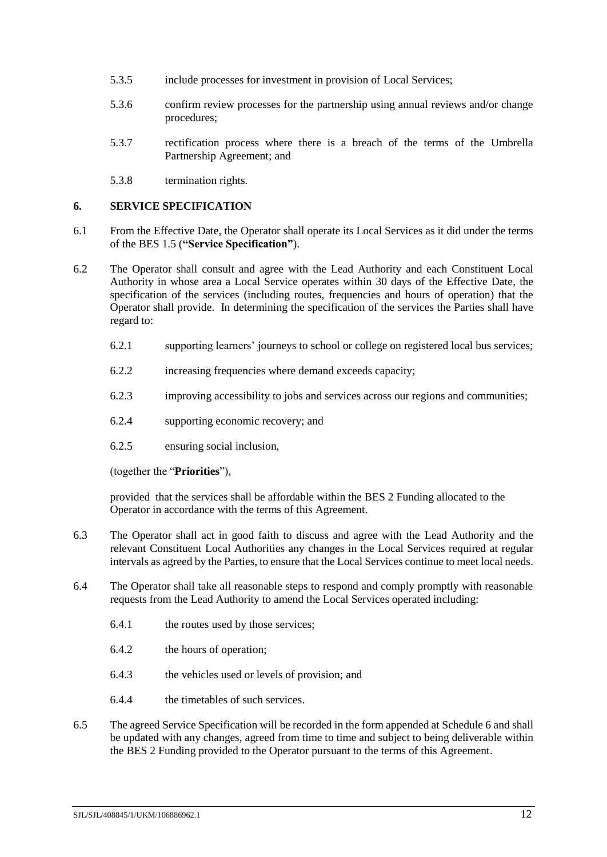- 5.3.5 include processes for investment in provision of Local Services;
- 5.3.6 confirm review processes for the partnership using annual reviews and/or change procedures;
- 5.3.7 rectification process where there is a breach of the terms of the Umbrella Partnership Agreement; and
- 5.3.8 termination rights.

### <span id="page-14-0"></span>**6. SERVICE SPECIFICATION**

- <span id="page-14-2"></span>6.1 From the Effective Date, the Operator shall operate its Local Services as it did under the terms of the BES 1.5 (**"Service Specification"**).
- <span id="page-14-1"></span>6.2 The Operator shall consult and agree with the Lead Authority and each Constituent Local Authority in whose area a Local Service operates within 30 days of the Effective Date, the specification of the services (including routes, frequencies and hours of operation) that the Operator shall provide. In determining the specification of the services the Parties shall have regard to:
	- 6.2.1 supporting learners' journeys to school or college on registered local bus services;
	- 6.2.2 increasing frequencies where demand exceeds capacity;
	- 6.2.3 improving accessibility to jobs and services across our regions and communities;
	- 6.2.4 supporting economic recovery; and
	- 6.2.5 ensuring social inclusion,

(together the "**Priorities**"),

provided that the services shall be affordable within the BES 2 Funding allocated to the Operator in accordance with the terms of this Agreement.

- <span id="page-14-3"></span>6.3 The Operator shall act in good faith to discuss and agree with the Lead Authority and the relevant Constituent Local Authorities any changes in the Local Services required at regular intervals as agreed by the Parties, to ensure that the Local Services continue to meet local needs.
- 6.4 The Operator shall take all reasonable steps to respond and comply promptly with reasonable requests from the Lead Authority to amend the Local Services operated including:
	- 6.4.1 the routes used by those services;
	- 6.4.2 the hours of operation;
	- 6.4.3 the vehicles used or levels of provision; and
	- 6.4.4 the timetables of such services.
- <span id="page-14-4"></span>6.5 The agreed Service Specification will be recorded in the form appended at Schedul[e 6](#page-58-0) and shall be updated with any changes, agreed from time to time and subject to being deliverable within the BES 2 Funding provided to the Operator pursuant to the terms of this Agreement.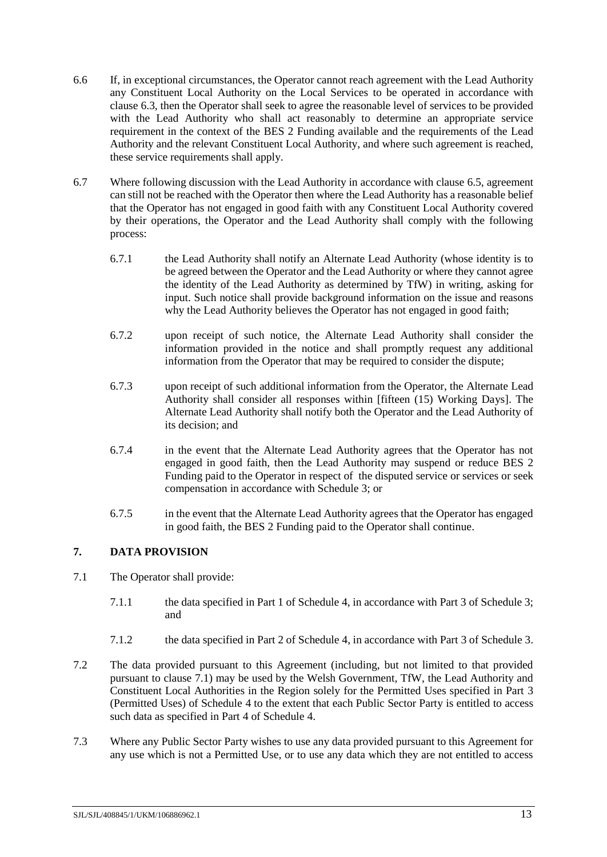- 6.6 If, in exceptional circumstances, the Operator cannot reach agreement with the Lead Authority any Constituent Local Authority on the Local Services to be operated in accordance with clause [6.3,](#page-14-3) then the Operator shall seek to agree the reasonable level of services to be provided with the Lead Authority who shall act reasonably to determine an appropriate service requirement in the context of the BES 2 Funding available and the requirements of the Lead Authority and the relevant Constituent Local Authority, and where such agreement is reached, these service requirements shall apply.
- <span id="page-15-1"></span>6.7 Where following discussion with the Lead Authority in accordance with clause [6.5,](#page-14-4) agreement can still not be reached with the Operator then where the Lead Authority has a reasonable belief that the Operator has not engaged in good faith with any Constituent Local Authority covered by their operations, the Operator and the Lead Authority shall comply with the following process:
	- 6.7.1 the Lead Authority shall notify an Alternate Lead Authority (whose identity is to be agreed between the Operator and the Lead Authority or where they cannot agree the identity of the Lead Authority as determined by TfW) in writing, asking for input. Such notice shall provide background information on the issue and reasons why the Lead Authority believes the Operator has not engaged in good faith;
	- 6.7.2 upon receipt of such notice, the Alternate Lead Authority shall consider the information provided in the notice and shall promptly request any additional information from the Operator that may be required to consider the dispute;
	- 6.7.3 upon receipt of such additional information from the Operator, the Alternate Lead Authority shall consider all responses within [fifteen (15) Working Days]. The Alternate Lead Authority shall notify both the Operator and the Lead Authority of its decision; and
	- 6.7.4 in the event that the Alternate Lead Authority agrees that the Operator has not engaged in good faith, then the Lead Authority may suspend or reduce BES 2 Funding paid to the Operator in respect of the disputed service or services or seek compensation in accordance with Schedule [3;](#page-42-0) or
	- 6.7.5 in the event that the Alternate Lead Authority agrees that the Operator has engaged in good faith, the BES 2 Funding paid to the Operator shall continue.

# <span id="page-15-0"></span>**7. DATA PROVISION**

- <span id="page-15-2"></span>7.1 The Operator shall provide:
	- 7.1.1 the data specified in Par[t 1](#page-52-1) of Schedul[e 4,](#page-52-0) in accordance with Part [3](#page-43-0) of Schedule [3;](#page-42-0) and
	- 7.1.2 the data specified in Part [2](#page-53-0) of Schedul[e 4,](#page-52-0) in accordance with Part [3](#page-43-0) of Schedule [3.](#page-42-0)
- 7.2 The data provided pursuant to this Agreement (including, but not limited to that provided pursuant to clause [7.1\)](#page-15-2) may be used by the Welsh Government, TfW, the Lead Authority and Constituent Local Authorities in the Region solely for the Permitted Uses specified in Part [3](#page-55-0) (Permitted Uses) of Schedule [4](#page-52-0) to the extent that each Public Sector Party is entitled to access such data as specified in Part [4](#page-56-0) of Schedule [4.](#page-52-0)
- 7.3 Where any Public Sector Party wishes to use any data provided pursuant to this Agreement for any use which is not a Permitted Use, or to use any data which they are not entitled to access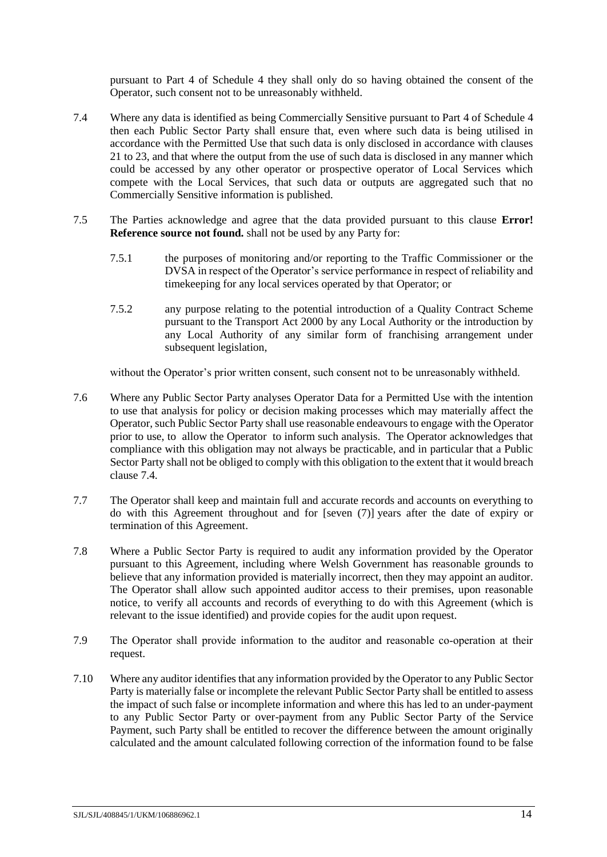pursuant to Part [4](#page-56-0) of Schedule [4](#page-52-0) they shall only do so having obtained the consent of the Operator, such consent not to be unreasonably withheld.

- <span id="page-16-0"></span>7.4 Where any data is identified as being Commercially Sensitive pursuant to Part [4](#page-56-0) of Schedule [4](#page-52-0) then each Public Sector Party shall ensure that, even where such data is being utilised in accordance with the Permitted Use that such data is only disclosed in accordance with clauses [21](#page-27-1) to [23,](#page-29-0) and that where the output from the use of such data is disclosed in any manner which could be accessed by any other operator or prospective operator of Local Services which compete with the Local Services, that such data or outputs are aggregated such that no Commercially Sensitive information is published.
- <span id="page-16-3"></span>7.5 The Parties acknowledge and agree that the data provided pursuant to this clause **Error! Reference source not found.** shall not be used by any Party for:
	- 7.5.1 the purposes of monitoring and/or reporting to the Traffic Commissioner or the DVSA in respect of the Operator's service performance in respect of reliability and timekeeping for any local services operated by that Operator; or
	- 7.5.2 any purpose relating to the potential introduction of a Quality Contract Scheme pursuant to the Transport Act 2000 by any Local Authority or the introduction by any Local Authority of any similar form of franchising arrangement under subsequent legislation,

without the Operator's prior written consent, such consent not to be unreasonably withheld.

- 7.6 Where any Public Sector Party analyses Operator Data for a Permitted Use with the intention to use that analysis for policy or decision making processes which may materially affect the Operator, such Public Sector Party shall use reasonable endeavours to engage with the Operator prior to use, to allow the Operator to inform such analysis. The Operator acknowledges that compliance with this obligation may not always be practicable, and in particular that a Public Sector Party shall not be obliged to comply with this obligation to the extent that it would breach clause [7.4.](#page-16-0)
- <span id="page-16-1"></span>7.7 The Operator shall keep and maintain full and accurate records and accounts on everything to do with this Agreement throughout and for [seven (7)] years after the date of expiry or termination of this Agreement.
- 7.8 Where a Public Sector Party is required to audit any information provided by the Operator pursuant to this Agreement, including where Welsh Government has reasonable grounds to believe that any information provided is materially incorrect, then they may appoint an auditor. The Operator shall allow such appointed auditor access to their premises, upon reasonable notice, to verify all accounts and records of everything to do with this Agreement (which is relevant to the issue identified) and provide copies for the audit upon request.
- 7.9 The Operator shall provide information to the auditor and reasonable co-operation at their request.
- <span id="page-16-2"></span>7.10 Where any auditor identifies that any information provided by the Operator to any Public Sector Party is materially false or incomplete the relevant Public Sector Party shall be entitled to assess the impact of such false or incomplete information and where this has led to an under-payment to any Public Sector Party or over-payment from any Public Sector Party of the Service Payment, such Party shall be entitled to recover the difference between the amount originally calculated and the amount calculated following correction of the information found to be false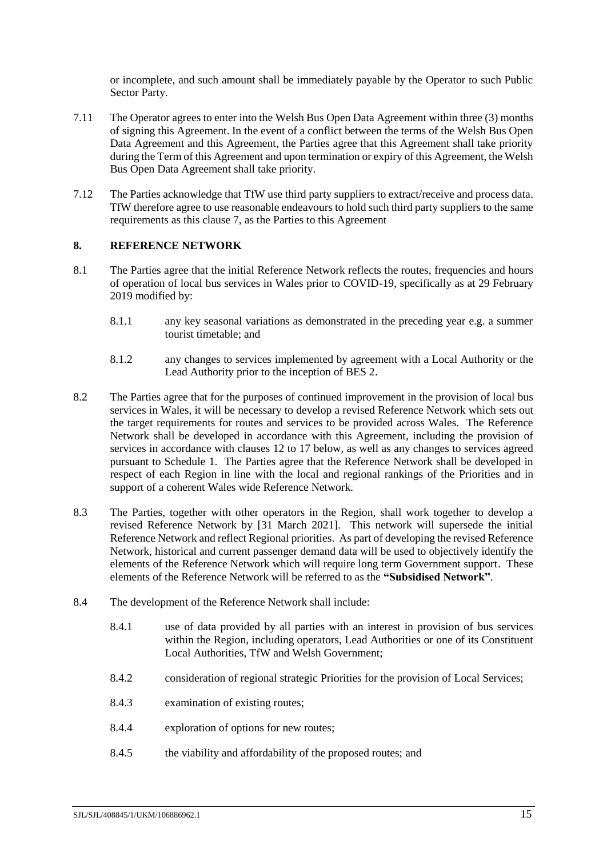or incomplete, and such amount shall be immediately payable by the Operator to such Public Sector Party.

- 7.11 The Operator agrees to enter into the Welsh Bus Open Data Agreement within three (3) months of signing this Agreement. In the event of a conflict between the terms of the Welsh Bus Open Data Agreement and this Agreement, the Parties agree that this Agreement shall take priority during the Term of this Agreement and upon termination or expiry of this Agreement, the Welsh Bus Open Data Agreement shall take priority.
- 7.12 The Parties acknowledge that TfW use third party suppliers to extract/receive and process data. TfW therefore agree to use reasonable endeavours to hold such third party suppliers to the same requirements as this clause [7,](#page-15-0) as the Parties to this Agreement

### <span id="page-17-0"></span>**8. REFERENCE NETWORK**

- 8.1 The Parties agree that the initial Reference Network reflects the routes, frequencies and hours of operation of local bus services in Wales prior to COVID-19, specifically as at 29 February 2019 modified by:
	- 8.1.1 any key seasonal variations as demonstrated in the preceding year e.g. a summer tourist timetable; and
	- 8.1.2 any changes to services implemented by agreement with a Local Authority or the Lead Authority prior to the inception of BES 2.
- 8.2 The Parties agree that for the purposes of continued improvement in the provision of local bus services in Wales, it will be necessary to develop a revised Reference Network which sets out the target requirements for routes and services to be provided across Wales. The Reference Network shall be developed in accordance with this Agreement, including the provision of services in accordance with clauses [12](#page-21-0) to [17](#page-25-0) below, as well as any changes to services agreed pursuant to Schedule [1.](#page-37-0) The Parties agree that the Reference Network shall be developed in respect of each Region in line with the local and regional rankings of the Priorities and in support of a coherent Wales wide Reference Network.
- <span id="page-17-1"></span>8.3 The Parties, together with other operators in the Region, shall work together to develop a revised Reference Network by [31 March 2021]. This network will supersede the initial Reference Network and reflect Regional priorities. As part of developing the revised Reference Network, historical and current passenger demand data will be used to objectively identify the elements of the Reference Network which will require long term Government support. These elements of the Reference Network will be referred to as the **"Subsidised Network"**.
- 8.4 The development of the Reference Network shall include:
	- 8.4.1 use of data provided by all parties with an interest in provision of bus services within the Region, including operators, Lead Authorities or one of its Constituent Local Authorities, TfW and Welsh Government;
	- 8.4.2 consideration of regional strategic Priorities for the provision of Local Services;
	- 8.4.3 examination of existing routes;
	- 8.4.4 exploration of options for new routes;
	- 8.4.5 the viability and affordability of the proposed routes; and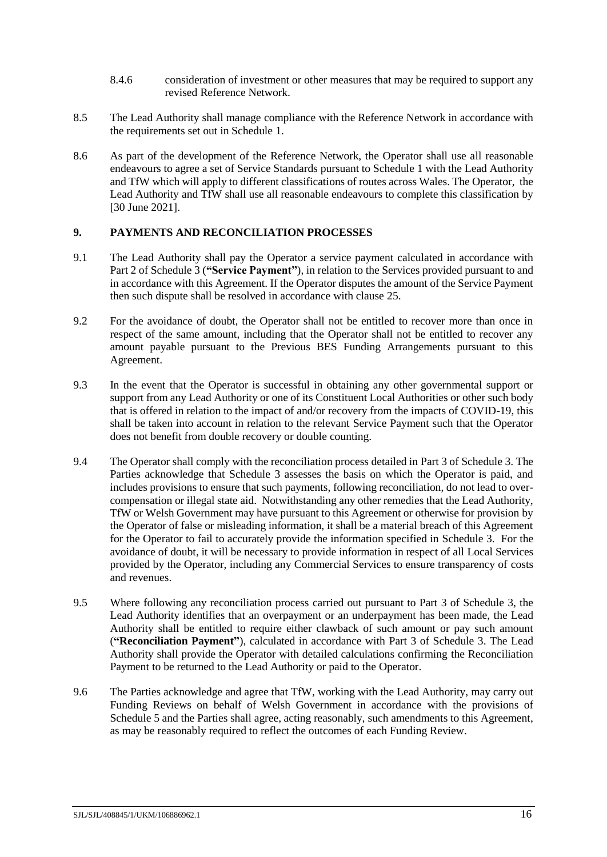- 8.4.6 consideration of investment or other measures that may be required to support any revised Reference Network.
- 8.5 The Lead Authority shall manage compliance with the Reference Network in accordance with the requirements set out in Schedule [1.](#page-37-0)
- <span id="page-18-3"></span>8.6 As part of the development of the Reference Network, the Operator shall use all reasonable endeavours to agree a set of Service Standards pursuant to Schedule [1](#page-37-0) with the Lead Authority and TfW which will apply to different classifications of routes across Wales. The Operator, the Lead Authority and TfW shall use all reasonable endeavours to complete this classification by [30 June 2021].

# <span id="page-18-0"></span>**9. PAYMENTS AND RECONCILIATION PROCESSES**

- <span id="page-18-2"></span>9.1 The Lead Authority shall pay the Operator a service payment calculated in accordance with Part [2](#page-42-2) of Schedul[e 3](#page-42-0) (**"Service Payment"**), in relation to the Services provided pursuant to and in accordance with this Agreement. If the Operator disputes the amount of the Service Payment then such dispute shall be resolved in accordance with clause [25.](#page-31-0)
- 9.2 For the avoidance of doubt, the Operator shall not be entitled to recover more than once in respect of the same amount, including that the Operator shall not be entitled to recover any amount payable pursuant to the Previous BES Funding Arrangements pursuant to this Agreement.
- 9.3 In the event that the Operator is successful in obtaining any other governmental support or support from any Lead Authority or one of its Constituent Local Authorities or other such body that is offered in relation to the impact of and/or recovery from the impacts of COVID-19, this shall be taken into account in relation to the relevant Service Payment such that the Operator does not benefit from double recovery or double counting.
- 9.4 The Operator shall comply with the reconciliation process detailed in Part [3](#page-43-0) of Schedul[e 3.](#page-42-0) The Parties acknowledge that Schedule [3](#page-42-0) assesses the basis on which the Operator is paid, and includes provisions to ensure that such payments, following reconciliation, do not lead to overcompensation or illegal state aid. Notwithstanding any other remedies that the Lead Authority, TfW or Welsh Government may have pursuant to this Agreement or otherwise for provision by the Operator of false or misleading information, it shall be a material breach of this Agreement for the Operator to fail to accurately provide the information specified in Schedule [3.](#page-42-0) For the avoidance of doubt, it will be necessary to provide information in respect of all Local Services provided by the Operator, including any Commercial Services to ensure transparency of costs and revenues.
- <span id="page-18-1"></span>9.5 Where following any reconciliation process carried out pursuant to Part [3](#page-43-0) of Schedule [3,](#page-42-0) the Lead Authority identifies that an overpayment or an underpayment has been made, the Lead Authority shall be entitled to require either clawback of such amount or pay such amount (**"Reconciliation Payment"**), calculated in accordance with Part [3](#page-43-0) of Schedule [3.](#page-42-0) The Lead Authority shall provide the Operator with detailed calculations confirming the Reconciliation Payment to be returned to the Lead Authority or paid to the Operator.
- 9.6 The Parties acknowledge and agree that TfW, working with the Lead Authority, may carry out Funding Reviews on behalf of Welsh Government in accordance with the provisions of Schedule [5](#page-57-0) and the Parties shall agree, acting reasonably, such amendments to this Agreement, as may be reasonably required to reflect the outcomes of each Funding Review.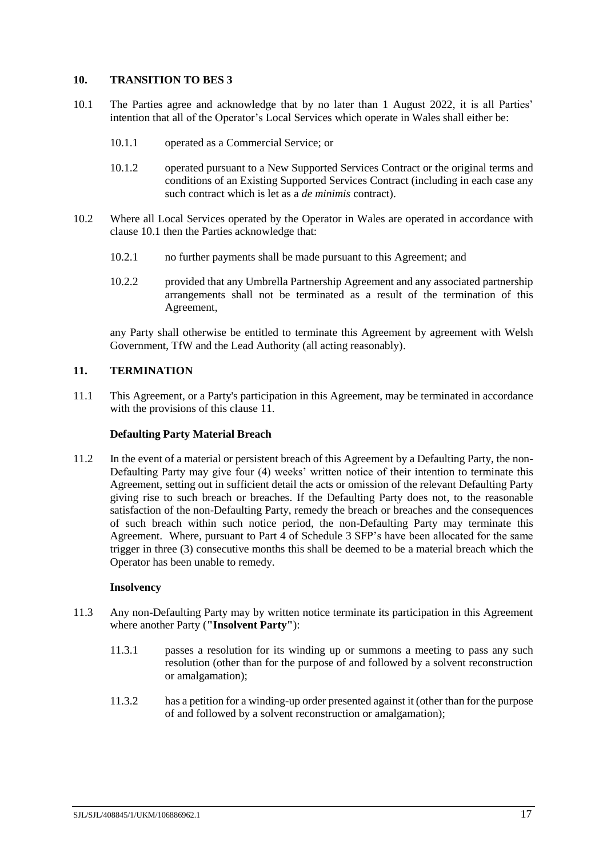### <span id="page-19-0"></span>**10. TRANSITION TO BES 3**

- <span id="page-19-2"></span>10.1 The Parties agree and acknowledge that by no later than 1 August 2022, it is all Parties' intention that all of the Operator's Local Services which operate in Wales shall either be:
	- 10.1.1 operated as a Commercial Service; or
	- 10.1.2 operated pursuant to a New Supported Services Contract or the original terms and conditions of an Existing Supported Services Contract (including in each case any such contract which is let as a *de minimis* contract).
- <span id="page-19-3"></span>10.2 Where all Local Services operated by the Operator in Wales are operated in accordance with clause [10.1](#page-19-2) then the Parties acknowledge that:
	- 10.2.1 no further payments shall be made pursuant to this Agreement; and
	- 10.2.2 provided that any Umbrella Partnership Agreement and any associated partnership arrangements shall not be terminated as a result of the termination of this Agreement,

any Party shall otherwise be entitled to terminate this Agreement by agreement with Welsh Government, TfW and the Lead Authority (all acting reasonably).

# <span id="page-19-1"></span>**11. TERMINATION**

11.1 This Agreement, or a Party's participation in this Agreement, may be terminated in accordance with the provisions of this clause [11.](#page-19-1)

### **Defaulting Party Material Breach**

<span id="page-19-4"></span>11.2 In the event of a material or persistent breach of this Agreement by a Defaulting Party, the non-Defaulting Party may give four (4) weeks' written notice of their intention to terminate this Agreement, setting out in sufficient detail the acts or omission of the relevant Defaulting Party giving rise to such breach or breaches. If the Defaulting Party does not, to the reasonable satisfaction of the non-Defaulting Party, remedy the breach or breaches and the consequences of such breach within such notice period, the non-Defaulting Party may terminate this Agreement. Where, pursuant to Part [4](#page-45-0) of Schedule [3](#page-42-0) SFP's have been allocated for the same trigger in three (3) consecutive months this shall be deemed to be a material breach which the Operator has been unable to remedy.

#### **Insolvency**

- 11.3 Any non-Defaulting Party may by written notice terminate its participation in this Agreement where another Party (**"Insolvent Party"**):
	- 11.3.1 passes a resolution for its winding up or summons a meeting to pass any such resolution (other than for the purpose of and followed by a solvent reconstruction or amalgamation);
	- 11.3.2 has a petition for a winding-up order presented against it (other than for the purpose of and followed by a solvent reconstruction or amalgamation);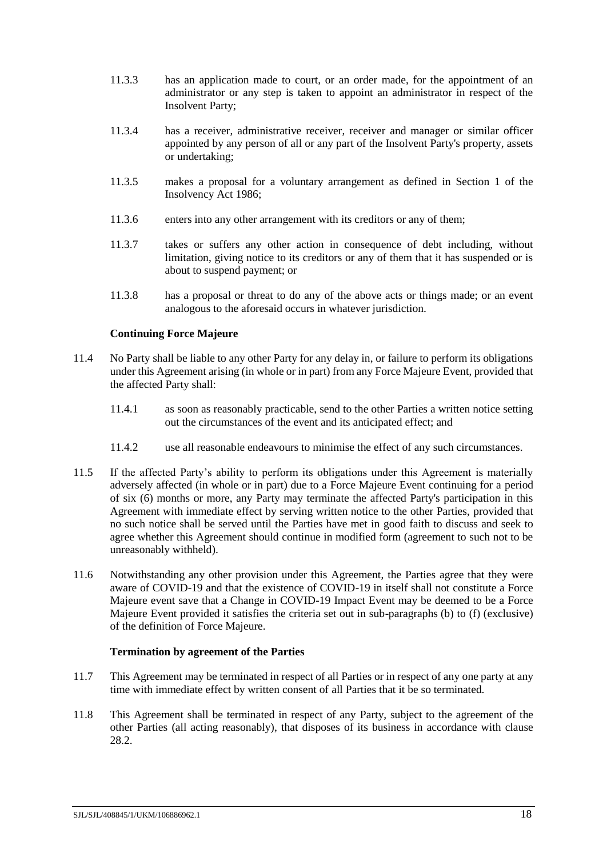- 11.3.3 has an application made to court, or an order made, for the appointment of an administrator or any step is taken to appoint an administrator in respect of the Insolvent Party;
- 11.3.4 has a receiver, administrative receiver, receiver and manager or similar officer appointed by any person of all or any part of the Insolvent Party's property, assets or undertaking;
- 11.3.5 makes a proposal for a voluntary arrangement as defined in Section 1 of the Insolvency Act 1986;
- 11.3.6 enters into any other arrangement with its creditors or any of them:
- 11.3.7 takes or suffers any other action in consequence of debt including, without limitation, giving notice to its creditors or any of them that it has suspended or is about to suspend payment; or
- 11.3.8 has a proposal or threat to do any of the above acts or things made; or an event analogous to the aforesaid occurs in whatever jurisdiction.

# **Continuing Force Majeure**

- 11.4 No Party shall be liable to any other Party for any delay in, or failure to perform its obligations under this Agreement arising (in whole or in part) from any Force Majeure Event, provided that the affected Party shall:
	- 11.4.1 as soon as reasonably practicable, send to the other Parties a written notice setting out the circumstances of the event and its anticipated effect; and
	- 11.4.2 use all reasonable endeavours to minimise the effect of any such circumstances.
- 11.5 If the affected Party's ability to perform its obligations under this Agreement is materially adversely affected (in whole or in part) due to a Force Majeure Event continuing for a period of six (6) months or more, any Party may terminate the affected Party's participation in this Agreement with immediate effect by serving written notice to the other Parties, provided that no such notice shall be served until the Parties have met in good faith to discuss and seek to agree whether this Agreement should continue in modified form (agreement to such not to be unreasonably withheld).
- <span id="page-20-0"></span>11.6 Notwithstanding any other provision under this Agreement, the Parties agree that they were aware of COVID-19 and that the existence of COVID-19 in itself shall not constitute a Force Majeure event save that a Change in COVID-19 Impact Event may be deemed to be a Force Majeure Event provided it satisfies the criteria set out in sub-paragraphs (b) to (f) (exclusive) of the definition of Force Majeure.

# **Termination by agreement of the Parties**

- 11.7 This Agreement may be terminated in respect of all Parties or in respect of any one party at any time with immediate effect by written consent of all Parties that it be so terminated.
- <span id="page-20-1"></span>11.8 This Agreement shall be terminated in respect of any Party, subject to the agreement of the other Parties (all acting reasonably), that disposes of its business in accordance with clause [28.2.](#page-32-3)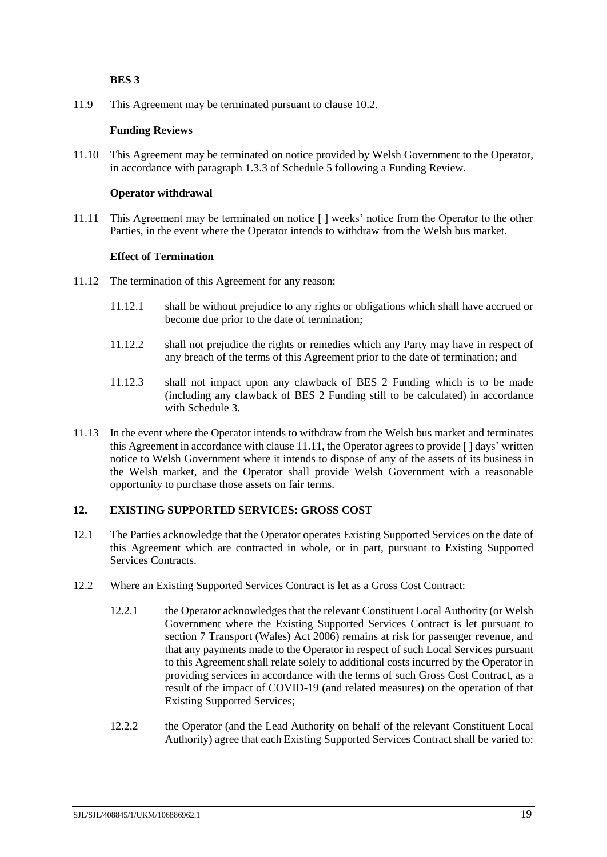### **BES 3**

11.9 This Agreement may be terminated pursuant to clause [10.2.](#page-19-3)

### **Funding Reviews**

11.10 This Agreement may be terminated on notice provided by Welsh Government to the Operator, in accordance with paragraph [1.3.3](#page-57-1) of Schedule [5](#page-57-0) following a Funding Review.

### **Operator withdrawal**

<span id="page-21-1"></span>11.11 This Agreement may be terminated on notice [ ] weeks' notice from the Operator to the other Parties, in the event where the Operator intends to withdraw from the Welsh bus market.

### **Effect of Termination**

- 11.12 The termination of this Agreement for any reason:
	- 11.12.1 shall be without prejudice to any rights or obligations which shall have accrued or become due prior to the date of termination;
	- 11.12.2 shall not prejudice the rights or remedies which any Party may have in respect of any breach of the terms of this Agreement prior to the date of termination; and
	- 11.12.3 shall not impact upon any clawback of BES 2 Funding which is to be made (including any clawback of BES 2 Funding still to be calculated) in accordance with Schedule [3.](#page-42-0)
- 11.13 In the event where the Operator intends to withdraw from the Welsh bus market and terminates this Agreement in accordance with clause [11.11,](#page-21-1) the Operator agrees to provide [ ] days' written notice to Welsh Government where it intends to dispose of any of the assets of its business in the Welsh market, and the Operator shall provide Welsh Government with a reasonable opportunity to purchase those assets on fair terms.

# <span id="page-21-0"></span>**12. EXISTING SUPPORTED SERVICES: GROSS COST**

- 12.1 The Parties acknowledge that the Operator operates Existing Supported Services on the date of this Agreement which are contracted in whole, or in part, pursuant to Existing Supported Services Contracts.
- <span id="page-21-2"></span>12.2 Where an Existing Supported Services Contract is let as a Gross Cost Contract:
	- 12.2.1 the Operator acknowledges that the relevant Constituent Local Authority (or Welsh Government where the Existing Supported Services Contract is let pursuant to section 7 Transport (Wales) Act 2006) remains at risk for passenger revenue, and that any payments made to the Operator in respect of such Local Services pursuant to this Agreement shall relate solely to additional costs incurred by the Operator in providing services in accordance with the terms of such Gross Cost Contract, as a result of the impact of COVID-19 (and related measures) on the operation of that Existing Supported Services;
	- 12.2.2 the Operator (and the Lead Authority on behalf of the relevant Constituent Local Authority) agree that each Existing Supported Services Contract shall be varied to: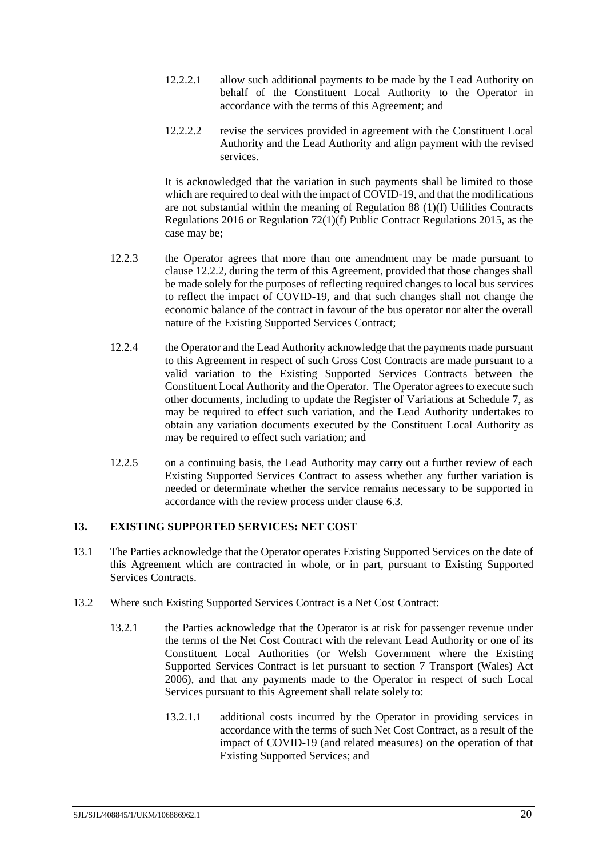- 12.2.2.1 allow such additional payments to be made by the Lead Authority on behalf of the Constituent Local Authority to the Operator in accordance with the terms of this Agreement; and
- 12.2.2.2 revise the services provided in agreement with the Constituent Local Authority and the Lead Authority and align payment with the revised services.

It is acknowledged that the variation in such payments shall be limited to those which are required to deal with the impact of COVID-19, and that the modifications are not substantial within the meaning of Regulation 88 (1)(f) Utilities Contracts Regulations 2016 or Regulation 72(1)(f) Public Contract Regulations 2015, as the case may be;

- 12.2.3 the Operator agrees that more than one amendment may be made pursuant to clause [12.2.2,](#page-21-2) during the term of this Agreement, provided that those changes shall be made solely for the purposes of reflecting required changes to local bus services to reflect the impact of COVID-19, and that such changes shall not change the economic balance of the contract in favour of the bus operator nor alter the overall nature of the Existing Supported Services Contract;
- 12.2.4 the Operator and the Lead Authority acknowledge that the payments made pursuant to this Agreement in respect of such Gross Cost Contracts are made pursuant to a valid variation to the Existing Supported Services Contracts between the Constituent Local Authority and the Operator. The Operator agrees to execute such other documents, including to update the Register of Variations at Schedule [7,](#page-59-0) as may be required to effect such variation, and the Lead Authority undertakes to obtain any variation documents executed by the Constituent Local Authority as may be required to effect such variation; and
- 12.2.5 on a continuing basis, the Lead Authority may carry out a further review of each Existing Supported Services Contract to assess whether any further variation is needed or determinate whether the service remains necessary to be supported in accordance with the review process under clause [6.3.](#page-14-3)

# <span id="page-22-0"></span>**13. EXISTING SUPPORTED SERVICES: NET COST**

- 13.1 The Parties acknowledge that the Operator operates Existing Supported Services on the date of this Agreement which are contracted in whole, or in part, pursuant to Existing Supported Services Contracts.
- 13.2 Where such Existing Supported Services Contract is a Net Cost Contract:
	- 13.2.1 the Parties acknowledge that the Operator is at risk for passenger revenue under the terms of the Net Cost Contract with the relevant Lead Authority or one of its Constituent Local Authorities (or Welsh Government where the Existing Supported Services Contract is let pursuant to section 7 Transport (Wales) Act 2006), and that any payments made to the Operator in respect of such Local Services pursuant to this Agreement shall relate solely to:
		- 13.2.1.1 additional costs incurred by the Operator in providing services in accordance with the terms of such Net Cost Contract, as a result of the impact of COVID-19 (and related measures) on the operation of that Existing Supported Services; and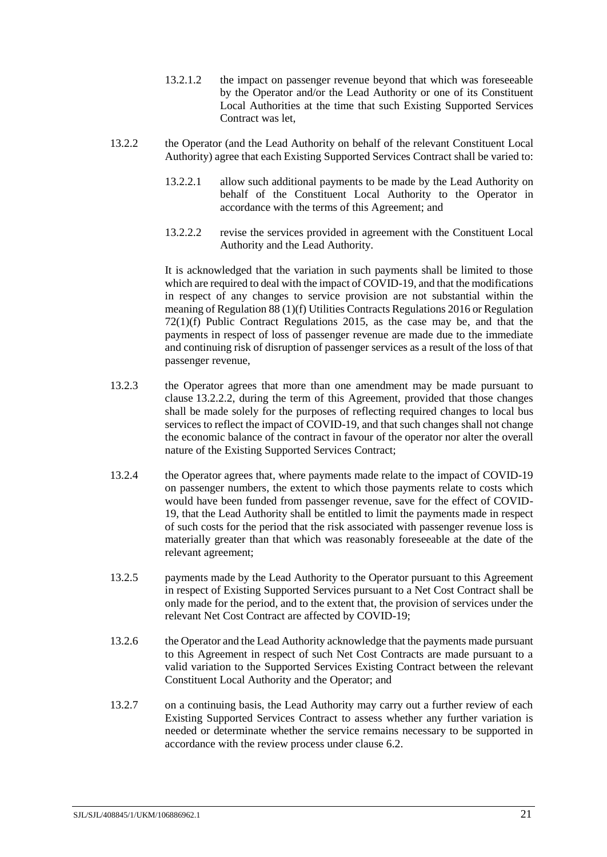- 13.2.1.2 the impact on passenger revenue beyond that which was foreseeable by the Operator and/or the Lead Authority or one of its Constituent Local Authorities at the time that such Existing Supported Services Contract was let,
- <span id="page-23-0"></span>13.2.2 the Operator (and the Lead Authority on behalf of the relevant Constituent Local Authority) agree that each Existing Supported Services Contract shall be varied to:
	- 13.2.2.1 allow such additional payments to be made by the Lead Authority on behalf of the Constituent Local Authority to the Operator in accordance with the terms of this Agreement; and
	- 13.2.2.2 revise the services provided in agreement with the Constituent Local Authority and the Lead Authority.

It is acknowledged that the variation in such payments shall be limited to those which are required to deal with the impact of COVID-19, and that the modifications in respect of any changes to service provision are not substantial within the meaning of Regulation 88 (1)(f) Utilities Contracts Regulations 2016 or Regulation 72(1)(f) Public Contract Regulations 2015, as the case may be, and that the payments in respect of loss of passenger revenue are made due to the immediate and continuing risk of disruption of passenger services as a result of the loss of that passenger revenue,

- 13.2.3 the Operator agrees that more than one amendment may be made pursuant to clause [13.2.2.2,](#page-23-0) during the term of this Agreement, provided that those changes shall be made solely for the purposes of reflecting required changes to local bus services to reflect the impact of COVID-19, and that such changes shall not change the economic balance of the contract in favour of the operator nor alter the overall nature of the Existing Supported Services Contract;
- 13.2.4 the Operator agrees that, where payments made relate to the impact of COVID-19 on passenger numbers, the extent to which those payments relate to costs which would have been funded from passenger revenue, save for the effect of COVID-19, that the Lead Authority shall be entitled to limit the payments made in respect of such costs for the period that the risk associated with passenger revenue loss is materially greater than that which was reasonably foreseeable at the date of the relevant agreement;
- 13.2.5 payments made by the Lead Authority to the Operator pursuant to this Agreement in respect of Existing Supported Services pursuant to a Net Cost Contract shall be only made for the period, and to the extent that, the provision of services under the relevant Net Cost Contract are affected by COVID-19;
- 13.2.6 the Operator and the Lead Authority acknowledge that the payments made pursuant to this Agreement in respect of such Net Cost Contracts are made pursuant to a valid variation to the Supported Services Existing Contract between the relevant Constituent Local Authority and the Operator; and
- 13.2.7 on a continuing basis, the Lead Authority may carry out a further review of each Existing Supported Services Contract to assess whether any further variation is needed or determinate whether the service remains necessary to be supported in accordance with the review process under clause [6.2.](#page-14-1)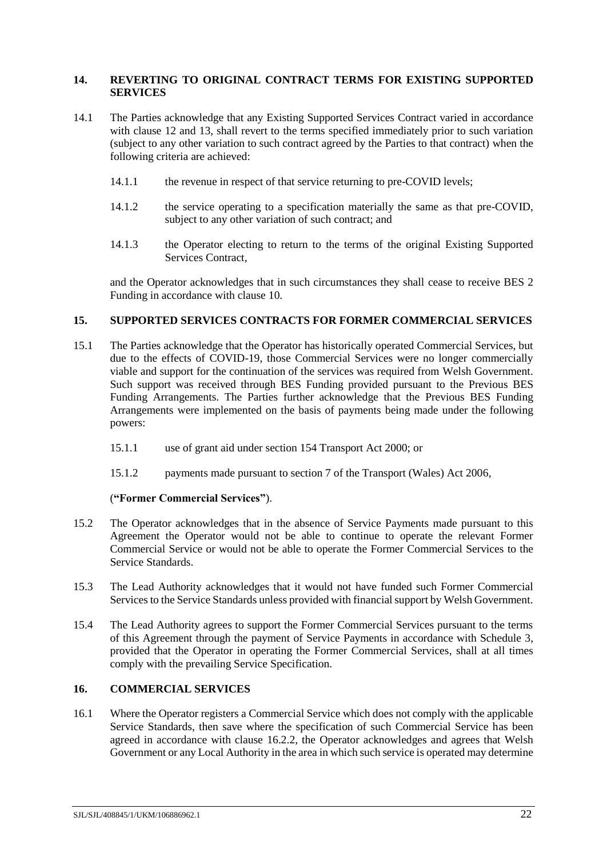### <span id="page-24-0"></span>**14. REVERTING TO ORIGINAL CONTRACT TERMS FOR EXISTING SUPPORTED SERVICES**

- 14.1 The Parties acknowledge that any Existing Supported Services Contract varied in accordance with clause [12](#page-21-0) and [13,](#page-22-0) shall revert to the terms specified immediately prior to such variation (subject to any other variation to such contract agreed by the Parties to that contract) when the following criteria are achieved:
	- 14.1.1 the revenue in respect of that service returning to pre-COVID levels;
	- 14.1.2 the service operating to a specification materially the same as that pre-COVID, subject to any other variation of such contract; and
	- 14.1.3 the Operator electing to return to the terms of the original Existing Supported Services Contract,

and the Operator acknowledges that in such circumstances they shall cease to receive BES 2 Funding in accordance with clause [10.](#page-19-0)

### <span id="page-24-1"></span>**15. SUPPORTED SERVICES CONTRACTS FOR FORMER COMMERCIAL SERVICES**

- <span id="page-24-3"></span>15.1 The Parties acknowledge that the Operator has historically operated Commercial Services, but due to the effects of COVID-19, those Commercial Services were no longer commercially viable and support for the continuation of the services was required from Welsh Government. Such support was received through BES Funding provided pursuant to the Previous BES Funding Arrangements. The Parties further acknowledge that the Previous BES Funding Arrangements were implemented on the basis of payments being made under the following powers:
	- 15.1.1 use of grant aid under section 154 Transport Act 2000; or
	- 15.1.2 payments made pursuant to section 7 of the Transport (Wales) Act 2006,

#### (**"Former Commercial Services"**).

- 15.2 The Operator acknowledges that in the absence of Service Payments made pursuant to this Agreement the Operator would not be able to continue to operate the relevant Former Commercial Service or would not be able to operate the Former Commercial Services to the Service Standards.
- 15.3 The Lead Authority acknowledges that it would not have funded such Former Commercial Services to the Service Standards unless provided with financial support by Welsh Government.
- 15.4 The Lead Authority agrees to support the Former Commercial Services pursuant to the terms of this Agreement through the payment of Service Payments in accordance with Schedule [3,](#page-42-0) provided that the Operator in operating the Former Commercial Services, shall at all times comply with the prevailing Service Specification.

### <span id="page-24-2"></span>**16. COMMERCIAL SERVICES**

16.1 Where the Operator registers a Commercial Service which does not comply with the applicable Service Standards, then save where the specification of such Commercial Service has been agreed in accordance with clause [16.2.2,](#page-25-2) the Operator acknowledges and agrees that Welsh Government or any Local Authority in the area in which such service is operated may determine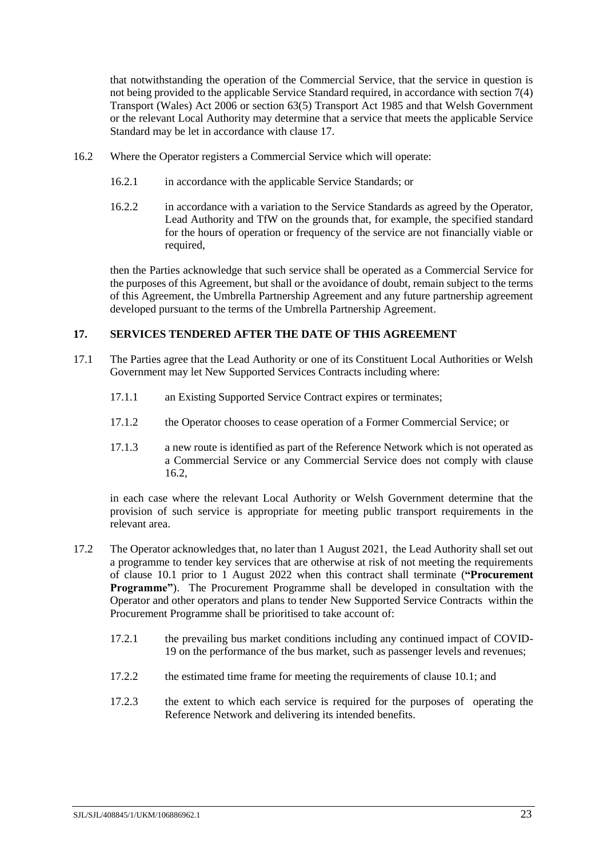that notwithstanding the operation of the Commercial Service, that the service in question is not being provided to the applicable Service Standard required, in accordance with section 7(4) Transport (Wales) Act 2006 or section 63(5) Transport Act 1985 and that Welsh Government or the relevant Local Authority may determine that a service that meets the applicable Service Standard may be let in accordance with clause [17.](#page-25-0)

- <span id="page-25-3"></span><span id="page-25-2"></span>16.2 Where the Operator registers a Commercial Service which will operate:
	- 16.2.1 in accordance with the applicable Service Standards; or
	- 16.2.2 in accordance with a variation to the Service Standards as agreed by the Operator, Lead Authority and TfW on the grounds that, for example, the specified standard for the hours of operation or frequency of the service are not financially viable or required,

then the Parties acknowledge that such service shall be operated as a Commercial Service for the purposes of this Agreement, but shall or the avoidance of doubt, remain subject to the terms of this Agreement, the Umbrella Partnership Agreement and any future partnership agreement developed pursuant to the terms of the Umbrella Partnership Agreement.

# <span id="page-25-0"></span>**17. SERVICES TENDERED AFTER THE DATE OF THIS AGREEMENT**

- 17.1 The Parties agree that the Lead Authority or one of its Constituent Local Authorities or Welsh Government may let New Supported Services Contracts including where:
	- 17.1.1 an Existing Supported Service Contract expires or terminates;
	- 17.1.2 the Operator chooses to cease operation of a Former Commercial Service; or
	- 17.1.3 a new route is identified as part of the Reference Network which is not operated as a Commercial Service or any Commercial Service does not comply with clause [16.2,](#page-25-3)

in each case where the relevant Local Authority or Welsh Government determine that the provision of such service is appropriate for meeting public transport requirements in the relevant area.

- <span id="page-25-5"></span><span id="page-25-4"></span><span id="page-25-1"></span>17.2 The Operator acknowledges that, no later than 1 August 2021, the Lead Authority shall set out a programme to tender key services that are otherwise at risk of not meeting the requirements of clause [10.1](#page-19-2) prior to 1 August 2022 when this contract shall terminate (**"Procurement Programme"**). The Procurement Programme shall be developed in consultation with the Operator and other operators and plans to tender New Supported Service Contracts within the Procurement Programme shall be prioritised to take account of:
	- 17.2.1 the prevailing bus market conditions including any continued impact of COVID-19 on the performance of the bus market, such as passenger levels and revenues;
	- 17.2.2 the estimated time frame for meeting the requirements of clause [10.1;](#page-19-2) and
	- 17.2.3 the extent to which each service is required for the purposes of operating the Reference Network and delivering its intended benefits.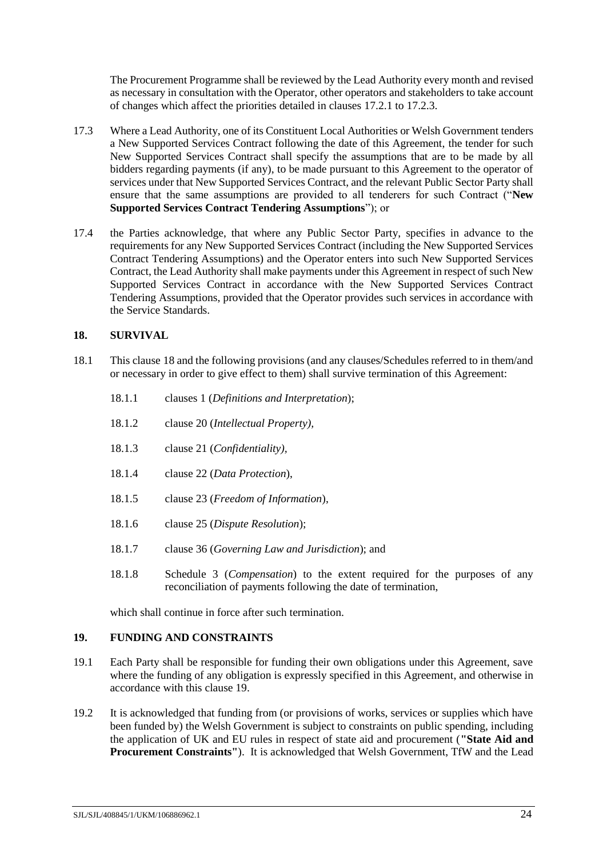<span id="page-26-2"></span>The Procurement Programme shall be reviewed by the Lead Authority every month and revised as necessary in consultation with the Operator, other operators and stakeholders to take account of changes which affect the priorities detailed in clauses [17.2.1](#page-25-4) to [17.2.3.](#page-25-5)

- 17.3 Where a Lead Authority, one of its Constituent Local Authorities or Welsh Government tenders a New Supported Services Contract following the date of this Agreement, the tender for such New Supported Services Contract shall specify the assumptions that are to be made by all bidders regarding payments (if any), to be made pursuant to this Agreement to the operator of services under that New Supported Services Contract, and the relevant Public Sector Party shall ensure that the same assumptions are provided to all tenderers for such Contract ("**New Supported Services Contract Tendering Assumptions**"); or
- 17.4 the Parties acknowledge, that where any Public Sector Party, specifies in advance to the requirements for any New Supported Services Contract (including the New Supported Services Contract Tendering Assumptions) and the Operator enters into such New Supported Services Contract, the Lead Authority shall make payments under this Agreement in respect of such New Supported Services Contract in accordance with the New Supported Services Contract Tendering Assumptions, provided that the Operator provides such services in accordance with the Service Standards.

# <span id="page-26-0"></span>**18. SURVIVAL**

- 18.1 This clause [18](#page-26-0) and the following provisions (and any clauses/Schedules referred to in them/and or necessary in order to give effect to them) shall survive termination of this Agreement:
	- 18.1.1 clauses [1](#page-4-0) (*Definitions and Interpretation*);
	- 18.1.2 clause [20](#page-27-0) (*Intellectual Property),*
	- 18.1.3 clause [21](#page-27-1) (*Confidentiality),*
	- 18.1.4 clause [22](#page-28-0) (*Data Protection*),
	- 18.1.5 clause [23](#page-29-0) (*Freedom of Information*),
	- 18.1.6 clause [25](#page-31-0) (*Dispute Resolution*);
	- 18.1.7 clause [36](#page-35-1) (*Governing Law and Jurisdiction*); and
	- 18.1.8 Schedule [3](#page-42-0) (*Compensation*) to the extent required for the purposes of any reconciliation of payments following the date of termination,

which shall continue in force after such termination.

#### <span id="page-26-1"></span>**19. FUNDING AND CONSTRAINTS**

- 19.1 Each Party shall be responsible for funding their own obligations under this Agreement, save where the funding of any obligation is expressly specified in this Agreement, and otherwise in accordance with this clause [19.](#page-26-1)
- <span id="page-26-3"></span>19.2 It is acknowledged that funding from (or provisions of works, services or supplies which have been funded by) the Welsh Government is subject to constraints on public spending, including the application of UK and EU rules in respect of state aid and procurement (**"State Aid and Procurement Constraints"**). It is acknowledged that Welsh Government, TfW and the Lead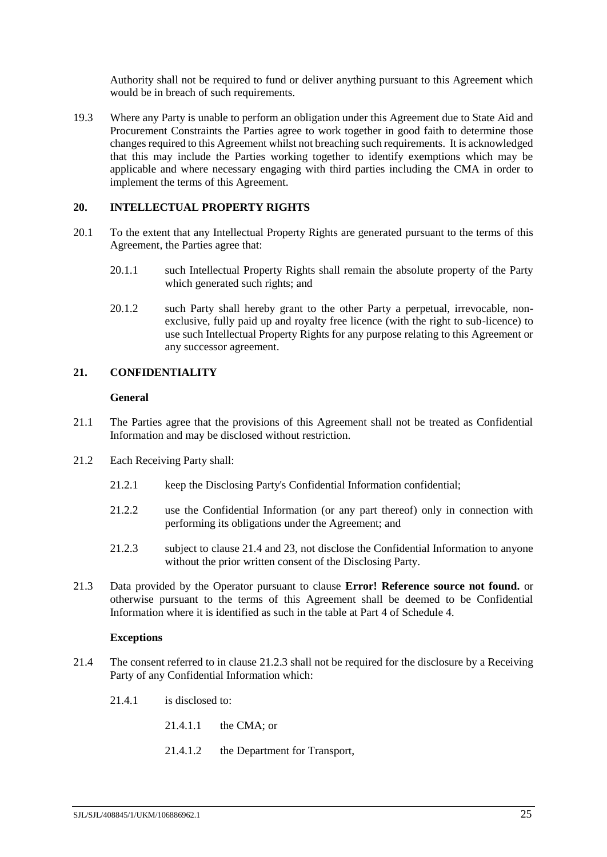Authority shall not be required to fund or deliver anything pursuant to this Agreement which would be in breach of such requirements.

19.3 Where any Party is unable to perform an obligation under this Agreement due to State Aid and Procurement Constraints the Parties agree to work together in good faith to determine those changes required to this Agreement whilst not breaching such requirements. It is acknowledged that this may include the Parties working together to identify exemptions which may be applicable and where necessary engaging with third parties including the CMA in order to implement the terms of this Agreement.

### <span id="page-27-0"></span>**20. INTELLECTUAL PROPERTY RIGHTS**

- 20.1 To the extent that any Intellectual Property Rights are generated pursuant to the terms of this Agreement, the Parties agree that:
	- 20.1.1 such Intellectual Property Rights shall remain the absolute property of the Party which generated such rights; and
	- 20.1.2 such Party shall hereby grant to the other Party a perpetual, irrevocable, nonexclusive, fully paid up and royalty free licence (with the right to sub-licence) to use such Intellectual Property Rights for any purpose relating to this Agreement or any successor agreement.

# <span id="page-27-1"></span>**21. CONFIDENTIALITY**

#### **General**

- 21.1 The Parties agree that the provisions of this Agreement shall not be treated as Confidential Information and may be disclosed without restriction.
- <span id="page-27-4"></span>21.2 Each Receiving Party shall:
	- 21.2.1 keep the Disclosing Party's Confidential Information confidential;
	- 21.2.2 use the Confidential Information (or any part thereof) only in connection with performing its obligations under the Agreement; and
	- 21.2.3 subject to clause [21.4](#page-27-2) and [23,](#page-29-0) not disclose the Confidential Information to anyone without the prior written consent of the Disclosing Party.
- <span id="page-27-3"></span>21.3 Data provided by the Operator pursuant to clause **Error! Reference source not found.** or otherwise pursuant to the terms of this Agreement shall be deemed to be Confidential Information where it is identified as such in the table at Part [4](#page-56-0) of Schedul[e 4.](#page-52-0)

#### **Exceptions**

- <span id="page-27-2"></span>21.4 The consent referred to in clause [21.2.3](#page-27-3) shall not be required for the disclosure by a Receiving Party of any Confidential Information which:
	- 21.4.1 is disclosed to:
		- 21.4.1.1 the CMA; or
		- 21.4.1.2 the Department for Transport,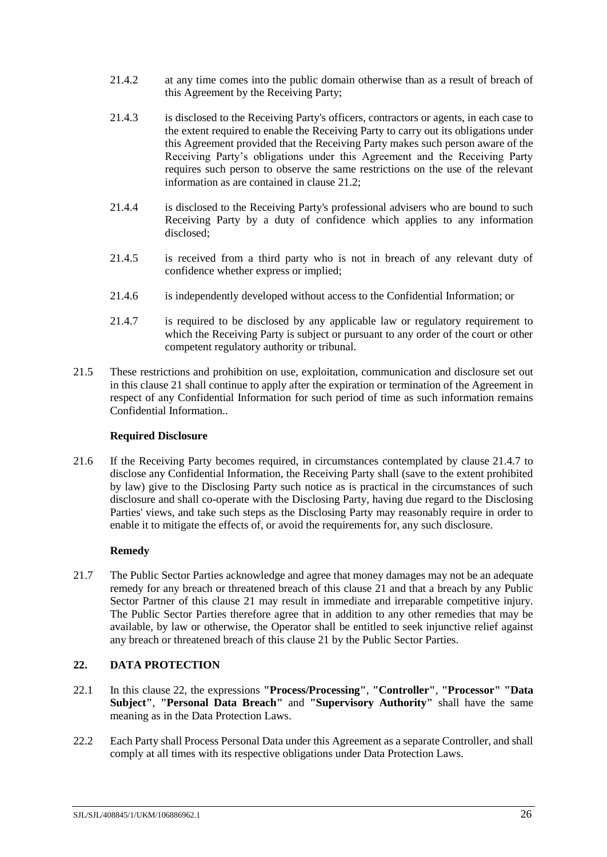- 21.4.2 at any time comes into the public domain otherwise than as a result of breach of this Agreement by the Receiving Party;
- 21.4.3 is disclosed to the Receiving Party's officers, contractors or agents, in each case to the extent required to enable the Receiving Party to carry out its obligations under this Agreement provided that the Receiving Party makes such person aware of the Receiving Party's obligations under this Agreement and the Receiving Party requires such person to observe the same restrictions on the use of the relevant information as are contained in clause [21.2;](#page-27-4)
- 21.4.4 is disclosed to the Receiving Party's professional advisers who are bound to such Receiving Party by a duty of confidence which applies to any information disclosed;
- 21.4.5 is received from a third party who is not in breach of any relevant duty of confidence whether express or implied;
- 21.4.6 is independently developed without access to the Confidential Information; or
- <span id="page-28-1"></span>21.4.7 is required to be disclosed by any applicable law or regulatory requirement to which the Receiving Party is subject or pursuant to any order of the court or other competent regulatory authority or tribunal.
- 21.5 These restrictions and prohibition on use, exploitation, communication and disclosure set out in this clause [21](#page-27-1) shall continue to apply after the expiration or termination of the Agreement in respect of any Confidential Information for such period of time as such information remains Confidential Information..

# **Required Disclosure**

21.6 If the Receiving Party becomes required, in circumstances contemplated by clause [21.4.7](#page-28-1) to disclose any Confidential Information, the Receiving Party shall (save to the extent prohibited by law) give to the Disclosing Party such notice as is practical in the circumstances of such disclosure and shall co-operate with the Disclosing Party, having due regard to the Disclosing Parties' views, and take such steps as the Disclosing Party may reasonably require in order to enable it to mitigate the effects of, or avoid the requirements for, any such disclosure.

# **Remedy**

21.7 The Public Sector Parties acknowledge and agree that money damages may not be an adequate remedy for any breach or threatened breach of this clause [21](#page-27-1) and that a breach by any Public Sector Partner of this clause [21](#page-27-1) may result in immediate and irreparable competitive injury. The Public Sector Parties therefore agree that in addition to any other remedies that may be available, by law or otherwise, the Operator shall be entitled to seek injunctive relief against any breach or threatened breach of this clause [21](#page-27-1) by the Public Sector Parties.

# <span id="page-28-0"></span>**22. DATA PROTECTION**

- 22.1 In this clause [22,](#page-28-0) the expressions **"Process/Processing"**, **"Controller"**, **"Processor" "Data Subject"**, **"Personal Data Breach"** and **"Supervisory Authority"** shall have the same meaning as in the Data Protection Laws.
- 22.2 Each Party shall Process Personal Data under this Agreement as a separate Controller, and shall comply at all times with its respective obligations under Data Protection Laws.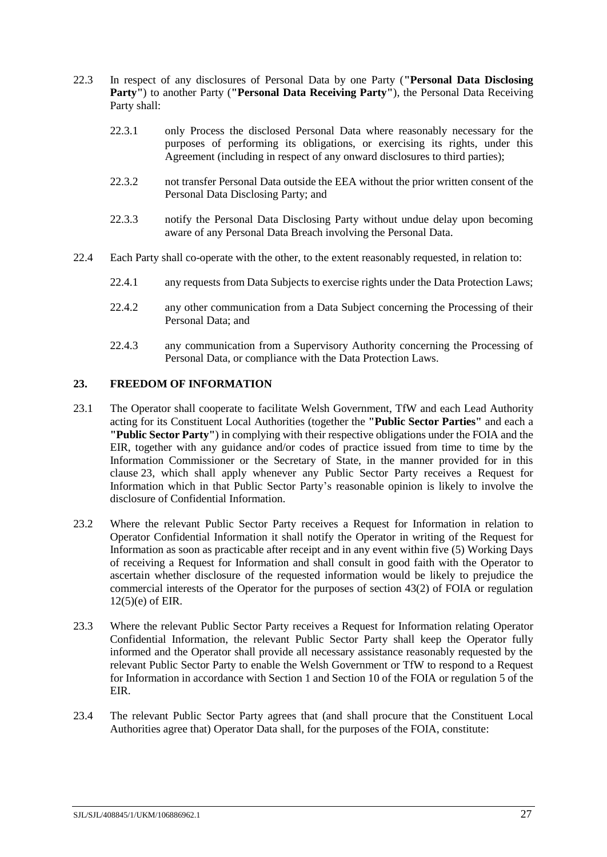- 22.3 In respect of any disclosures of Personal Data by one Party (**"Personal Data Disclosing Party"**) to another Party (**"Personal Data Receiving Party"**), the Personal Data Receiving Party shall:
	- 22.3.1 only Process the disclosed Personal Data where reasonably necessary for the purposes of performing its obligations, or exercising its rights, under this Agreement (including in respect of any onward disclosures to third parties);
	- 22.3.2 not transfer Personal Data outside the EEA without the prior written consent of the Personal Data Disclosing Party; and
	- 22.3.3 notify the Personal Data Disclosing Party without undue delay upon becoming aware of any Personal Data Breach involving the Personal Data.
- 22.4 Each Party shall co-operate with the other, to the extent reasonably requested, in relation to:
	- 22.4.1 any requests from Data Subjects to exercise rights under the Data Protection Laws;
	- 22.4.2 any other communication from a Data Subject concerning the Processing of their Personal Data; and
	- 22.4.3 any communication from a Supervisory Authority concerning the Processing of Personal Data, or compliance with the Data Protection Laws.

### <span id="page-29-0"></span>**23. FREEDOM OF INFORMATION**

- <span id="page-29-1"></span>23.1 The Operator shall cooperate to facilitate Welsh Government, TfW and each Lead Authority acting for its Constituent Local Authorities (together the **"Public Sector Parties"** and each a **"Public Sector Party"**) in complying with their respective obligations under the FOIA and the EIR, together with any guidance and/or codes of practice issued from time to time by the Information Commissioner or the Secretary of State, in the manner provided for in this clause [23,](#page-29-0) which shall apply whenever any Public Sector Party receives a Request for Information which in that Public Sector Party's reasonable opinion is likely to involve the disclosure of Confidential Information.
- 23.2 Where the relevant Public Sector Party receives a Request for Information in relation to Operator Confidential Information it shall notify the Operator in writing of the Request for Information as soon as practicable after receipt and in any event within five (5) Working Days of receiving a Request for Information and shall consult in good faith with the Operator to ascertain whether disclosure of the requested information would be likely to prejudice the commercial interests of the Operator for the purposes of section 43(2) of FOIA or regulation 12(5)(e) of EIR.
- 23.3 Where the relevant Public Sector Party receives a Request for Information relating Operator Confidential Information, the relevant Public Sector Party shall keep the Operator fully informed and the Operator shall provide all necessary assistance reasonably requested by the relevant Public Sector Party to enable the Welsh Government or TfW to respond to a Request for Information in accordance with Section 1 and Section 10 of the FOIA or regulation 5 of the EIR.
- <span id="page-29-2"></span>23.4 The relevant Public Sector Party agrees that (and shall procure that the Constituent Local Authorities agree that) Operator Data shall, for the purposes of the FOIA, constitute: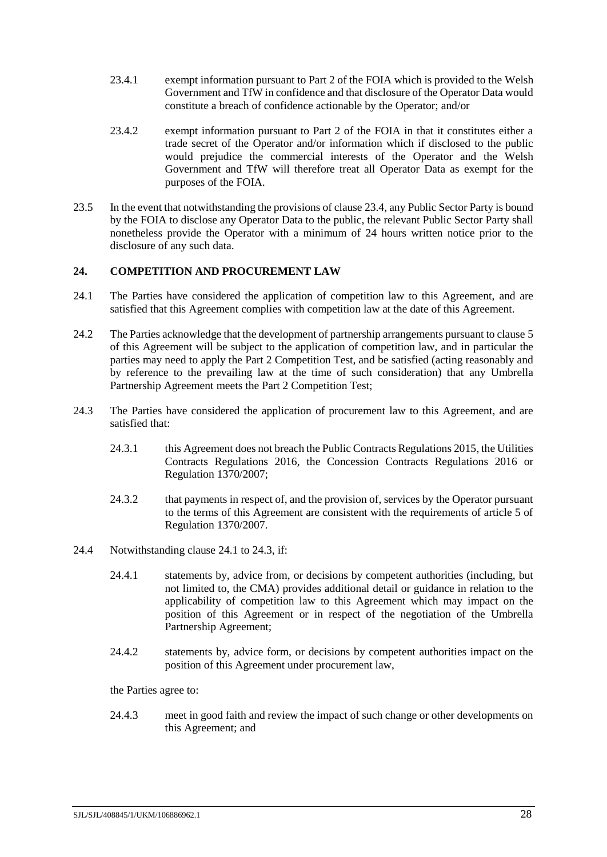- 23.4.1 exempt information pursuant to Part 2 of the FOIA which is provided to the Welsh Government and TfW in confidence and that disclosure of the Operator Data would constitute a breach of confidence actionable by the Operator; and/or
- 23.4.2 exempt information pursuant to Part 2 of the FOIA in that it constitutes either a trade secret of the Operator and/or information which if disclosed to the public would prejudice the commercial interests of the Operator and the Welsh Government and TfW will therefore treat all Operator Data as exempt for the purposes of the FOIA.
- 23.5 In the event that notwithstanding the provisions of clause [23.4,](#page-29-2) any Public Sector Party is bound by the FOIA to disclose any Operator Data to the public, the relevant Public Sector Party shall nonetheless provide the Operator with a minimum of 24 hours written notice prior to the disclosure of any such data.

# <span id="page-30-0"></span>**24. COMPETITION AND PROCUREMENT LAW**

- <span id="page-30-1"></span>24.1 The Parties have considered the application of competition law to this Agreement, and are satisfied that this Agreement complies with competition law at the date of this Agreement.
- 24.2 The Parties acknowledge that the development of partnership arrangements pursuant to clause [5](#page-13-1) of this Agreement will be subject to the application of competition law, and in particular the parties may need to apply the Part 2 Competition Test, and be satisfied (acting reasonably and by reference to the prevailing law at the time of such consideration) that any Umbrella Partnership Agreement meets the Part 2 Competition Test;
- <span id="page-30-2"></span>24.3 The Parties have considered the application of procurement law to this Agreement, and are satisfied that:
	- 24.3.1 this Agreement does not breach the Public Contracts Regulations 2015, the Utilities Contracts Regulations 2016, the Concession Contracts Regulations 2016 or Regulation 1370/2007;
	- 24.3.2 that payments in respect of, and the provision of, services by the Operator pursuant to the terms of this Agreement are consistent with the requirements of article 5 of Regulation 1370/2007.
- 24.4 Notwithstanding clause [24.1](#page-30-1) t[o 24.3,](#page-30-2) if:
	- 24.4.1 statements by, advice from, or decisions by competent authorities (including, but not limited to, the CMA) provides additional detail or guidance in relation to the applicability of competition law to this Agreement which may impact on the position of this Agreement or in respect of the negotiation of the Umbrella Partnership Agreement;
	- 24.4.2 statements by, advice form, or decisions by competent authorities impact on the position of this Agreement under procurement law,

the Parties agree to:

24.4.3 meet in good faith and review the impact of such change or other developments on this Agreement; and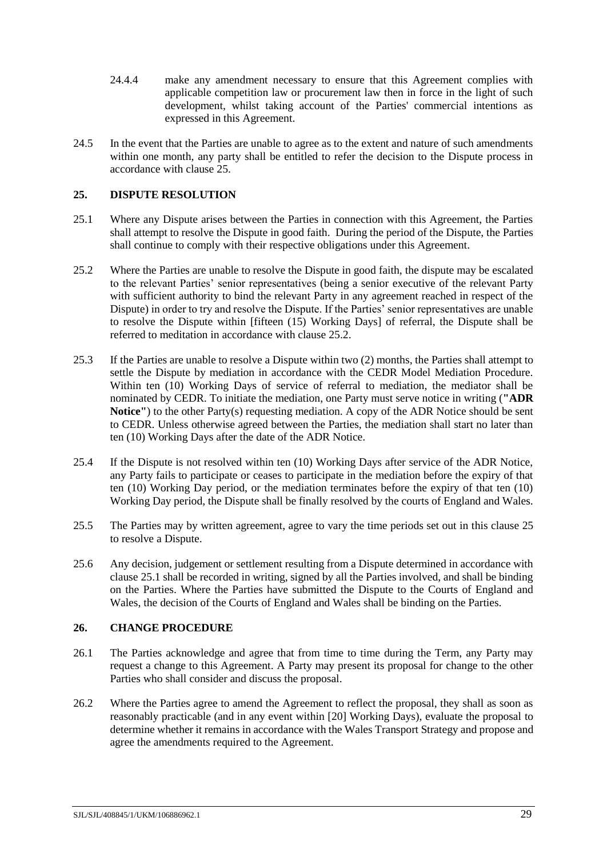- 24.4.4 make any amendment necessary to ensure that this Agreement complies with applicable competition law or procurement law then in force in the light of such development, whilst taking account of the Parties' commercial intentions as expressed in this Agreement.
- 24.5 In the event that the Parties are unable to agree as to the extent and nature of such amendments within one month, any party shall be entitled to refer the decision to the Dispute process in accordance with clause [25.](#page-31-0)

# <span id="page-31-0"></span>**25. DISPUTE RESOLUTION**

- <span id="page-31-3"></span>25.1 Where any Dispute arises between the Parties in connection with this Agreement, the Parties shall attempt to resolve the Dispute in good faith. During the period of the Dispute, the Parties shall continue to comply with their respective obligations under this Agreement.
- 25.2 Where the Parties are unable to resolve the Dispute in good faith, the dispute may be escalated to the relevant Parties' senior representatives (being a senior executive of the relevant Party with sufficient authority to bind the relevant Party in any agreement reached in respect of the Dispute) in order to try and resolve the Dispute. If the Parties' senior representatives are unable to resolve the Dispute within [fifteen (15) Working Days] of referral, the Dispute shall be referred to meditation in accordance with claus[e 25.2.](#page-31-2)
- <span id="page-31-2"></span>25.3 If the Parties are unable to resolve a Dispute within two (2) months, the Parties shall attempt to settle the Dispute by mediation in accordance with the CEDR Model Mediation Procedure. Within ten (10) Working Days of service of referral to mediation, the mediator shall be nominated by CEDR. To initiate the mediation, one Party must serve notice in writing (**"ADR Notice''**) to the other Party(s) requesting mediation. A copy of the ADR Notice should be sent to CEDR. Unless otherwise agreed between the Parties, the mediation shall start no later than ten (10) Working Days after the date of the ADR Notice.
- 25.4 If the Dispute is not resolved within ten (10) Working Days after service of the ADR Notice, any Party fails to participate or ceases to participate in the mediation before the expiry of that ten (10) Working Day period, or the mediation terminates before the expiry of that ten (10) Working Day period, the Dispute shall be finally resolved by the courts of England and Wales.
- 25.5 The Parties may by written agreement, agree to vary the time periods set out in this clause [25](#page-31-0) to resolve a Dispute.
- 25.6 Any decision, judgement or settlement resulting from a Dispute determined in accordance with clause [25.1](#page-31-3) shall be recorded in writing, signed by all the Parties involved, and shall be binding on the Parties. Where the Parties have submitted the Dispute to the Courts of England and Wales, the decision of the Courts of England and Wales shall be binding on the Parties.

#### <span id="page-31-1"></span>**26. CHANGE PROCEDURE**

- 26.1 The Parties acknowledge and agree that from time to time during the Term, any Party may request a change to this Agreement. A Party may present its proposal for change to the other Parties who shall consider and discuss the proposal.
- 26.2 Where the Parties agree to amend the Agreement to reflect the proposal, they shall as soon as reasonably practicable (and in any event within [20] Working Days), evaluate the proposal to determine whether it remains in accordance with the Wales Transport Strategy and propose and agree the amendments required to the Agreement.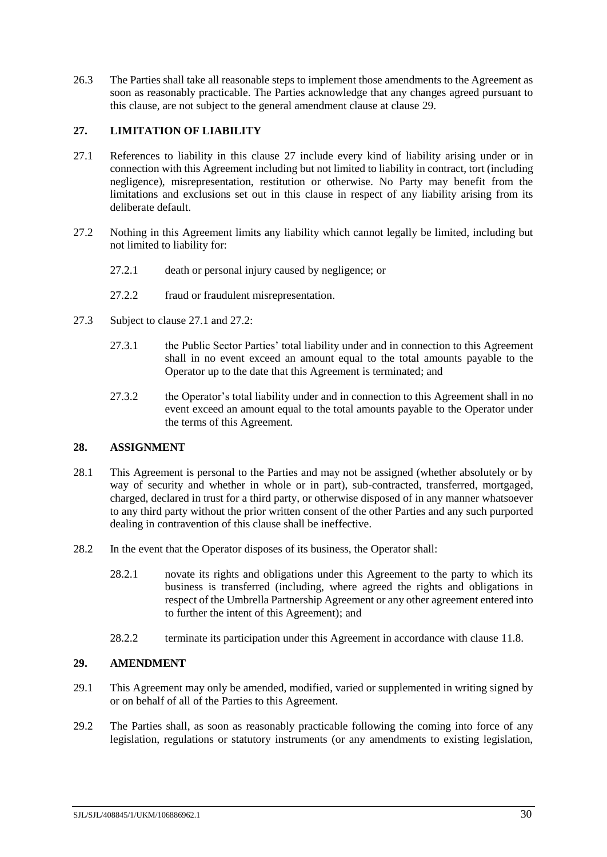26.3 The Parties shall take all reasonable steps to implement those amendments to the Agreement as soon as reasonably practicable. The Parties acknowledge that any changes agreed pursuant to this clause, are not subject to the general amendment clause at clause [29.](#page-32-2)

# <span id="page-32-0"></span>**27. LIMITATION OF LIABILITY**

- <span id="page-32-4"></span>27.1 References to liability in this clause [27](#page-32-0) include every kind of liability arising under or in connection with this Agreement including but not limited to liability in contract, tort (including negligence), misrepresentation, restitution or otherwise. No Party may benefit from the limitations and exclusions set out in this clause in respect of any liability arising from its deliberate default.
- <span id="page-32-5"></span>27.2 Nothing in this Agreement limits any liability which cannot legally be limited, including but not limited to liability for:
	- 27.2.1 death or personal injury caused by negligence; or
	- 27.2.2 fraud or fraudulent misrepresentation.
- 27.3 Subject to clause [27.1](#page-32-4) and [27.2:](#page-32-5)
	- 27.3.1 the Public Sector Parties' total liability under and in connection to this Agreement shall in no event exceed an amount equal to the total amounts payable to the Operator up to the date that this Agreement is terminated; and
	- 27.3.2 the Operator's total liability under and in connection to this Agreement shall in no event exceed an amount equal to the total amounts payable to the Operator under the terms of this Agreement.

# <span id="page-32-1"></span>**28. ASSIGNMENT**

- 28.1 This Agreement is personal to the Parties and may not be assigned (whether absolutely or by way of security and whether in whole or in part), sub-contracted, transferred, mortgaged, charged, declared in trust for a third party, or otherwise disposed of in any manner whatsoever to any third party without the prior written consent of the other Parties and any such purported dealing in contravention of this clause shall be ineffective.
- <span id="page-32-3"></span>28.2 In the event that the Operator disposes of its business, the Operator shall:
	- 28.2.1 novate its rights and obligations under this Agreement to the party to which its business is transferred (including, where agreed the rights and obligations in respect of the Umbrella Partnership Agreement or any other agreement entered into to further the intent of this Agreement); and
	- 28.2.2 terminate its participation under this Agreement in accordance with clause [11.8.](#page-20-1)

# <span id="page-32-2"></span>**29. AMENDMENT**

- 29.1 This Agreement may only be amended, modified, varied or supplemented in writing signed by or on behalf of all of the Parties to this Agreement.
- 29.2 The Parties shall, as soon as reasonably practicable following the coming into force of any legislation, regulations or statutory instruments (or any amendments to existing legislation,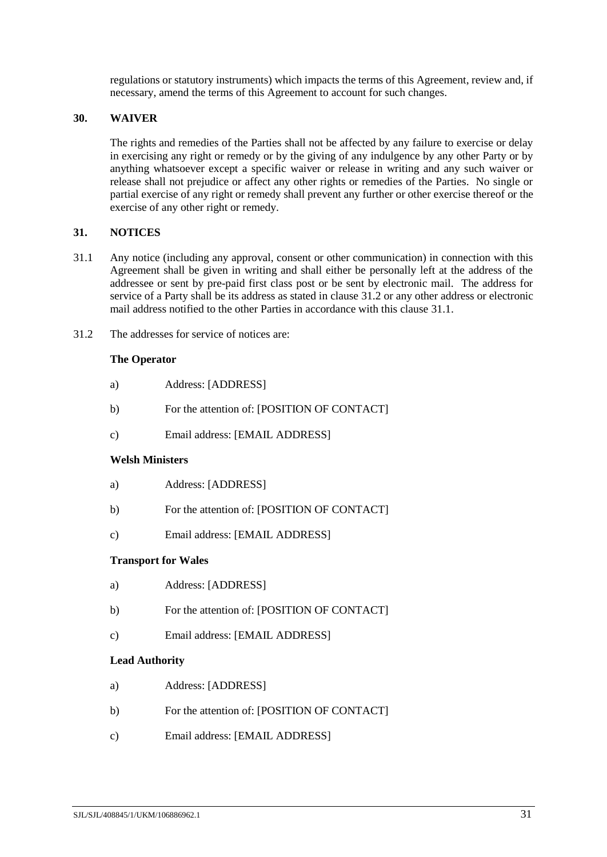regulations or statutory instruments) which impacts the terms of this Agreement, review and, if necessary, amend the terms of this Agreement to account for such changes.

### <span id="page-33-0"></span>**30. WAIVER**

The rights and remedies of the Parties shall not be affected by any failure to exercise or delay in exercising any right or remedy or by the giving of any indulgence by any other Party or by anything whatsoever except a specific waiver or release in writing and any such waiver or release shall not prejudice or affect any other rights or remedies of the Parties. No single or partial exercise of any right or remedy shall prevent any further or other exercise thereof or the exercise of any other right or remedy.

### <span id="page-33-1"></span>**31. NOTICES**

- <span id="page-33-3"></span>31.1 Any notice (including any approval, consent or other communication) in connection with this Agreement shall be given in writing and shall either be personally left at the address of the addressee or sent by pre-paid first class post or be sent by electronic mail. The address for service of a Party shall be its address as stated in clause [31.2](#page-33-2) or any other address or electronic mail address notified to the other Parties in accordance with this clause [31.1.](#page-33-3)
- <span id="page-33-2"></span>31.2 The addresses for service of notices are:

### **The Operator**

- a) Address: [ADDRESS]
- b) For the attention of: [POSITION OF CONTACT]
- c) Email address: [EMAIL ADDRESS]

#### **Welsh Ministers**

- a) Address: [ADDRESS]
- b) For the attention of: [POSITION OF CONTACT]
- c) Email address: [EMAIL ADDRESS]

#### **Transport for Wales**

- a) Address: [ADDRESS]
- b) For the attention of: [POSITION OF CONTACT]
- c) Email address: [EMAIL ADDRESS]

#### **Lead Authority**

- a) Address: [ADDRESS]
- b) For the attention of: [POSITION OF CONTACT]
- c) Email address: [EMAIL ADDRESS]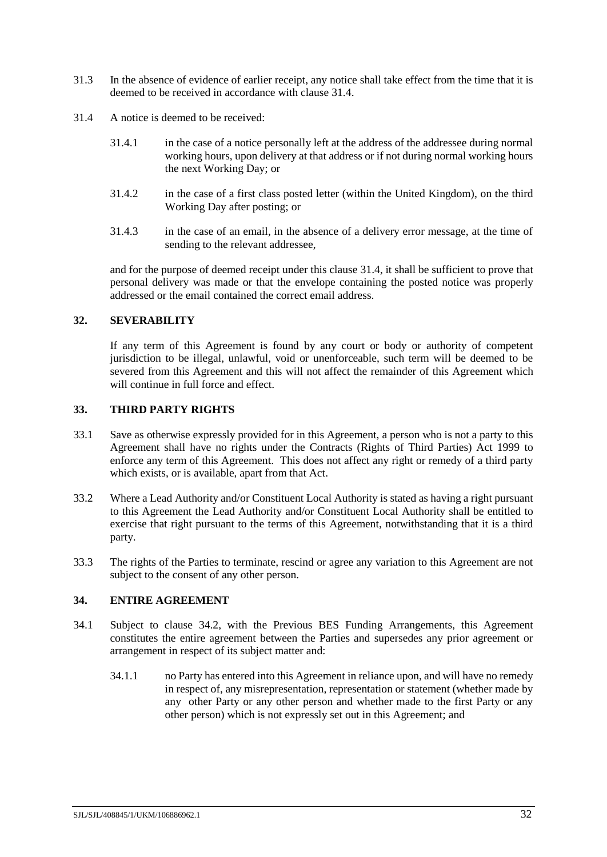- 31.3 In the absence of evidence of earlier receipt, any notice shall take effect from the time that it is deemed to be received in accordance with clause [31.4.](#page-34-3)
- <span id="page-34-3"></span>31.4 A notice is deemed to be received:
	- 31.4.1 in the case of a notice personally left at the address of the addressee during normal working hours, upon delivery at that address or if not during normal working hours the next Working Day; or
	- 31.4.2 in the case of a first class posted letter (within the United Kingdom), on the third Working Day after posting; or
	- 31.4.3 in the case of an email, in the absence of a delivery error message, at the time of sending to the relevant addressee,

and for the purpose of deemed receipt under this clause [31.4,](#page-34-3) it shall be sufficient to prove that personal delivery was made or that the envelope containing the posted notice was properly addressed or the email contained the correct email address.

# <span id="page-34-0"></span>**32. SEVERABILITY**

If any term of this Agreement is found by any court or body or authority of competent jurisdiction to be illegal, unlawful, void or unenforceable, such term will be deemed to be severed from this Agreement and this will not affect the remainder of this Agreement which will continue in full force and effect.

# <span id="page-34-1"></span>**33. THIRD PARTY RIGHTS**

- 33.1 Save as otherwise expressly provided for in this Agreement, a person who is not a party to this Agreement shall have no rights under the Contracts (Rights of Third Parties) Act 1999 to enforce any term of this Agreement. This does not affect any right or remedy of a third party which exists, or is available, apart from that Act.
- 33.2 Where a Lead Authority and/or Constituent Local Authority is stated as having a right pursuant to this Agreement the Lead Authority and/or Constituent Local Authority shall be entitled to exercise that right pursuant to the terms of this Agreement, notwithstanding that it is a third party.
- 33.3 The rights of the Parties to terminate, rescind or agree any variation to this Agreement are not subject to the consent of any other person.

# <span id="page-34-2"></span>**34. ENTIRE AGREEMENT**

- 34.1 Subject to clause [34.2,](#page-35-2) with the Previous BES Funding Arrangements, this Agreement constitutes the entire agreement between the Parties and supersedes any prior agreement or arrangement in respect of its subject matter and:
	- 34.1.1 no Party has entered into this Agreement in reliance upon, and will have no remedy in respect of, any misrepresentation, representation or statement (whether made by any other Party or any other person and whether made to the first Party or any other person) which is not expressly set out in this Agreement; and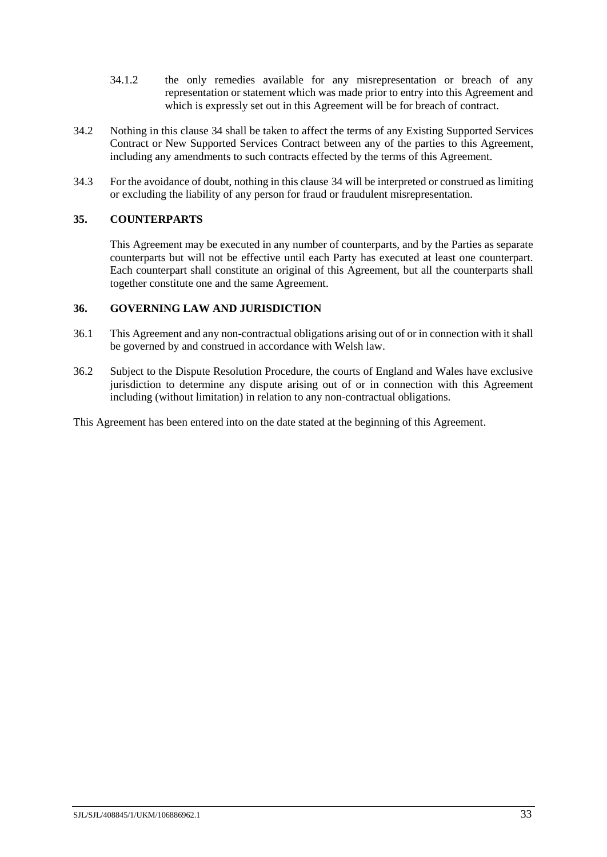- 34.1.2 the only remedies available for any misrepresentation or breach of any representation or statement which was made prior to entry into this Agreement and which is expressly set out in this Agreement will be for breach of contract.
- <span id="page-35-2"></span>34.2 Nothing in this clause [34](#page-34-2) shall be taken to affect the terms of any Existing Supported Services Contract or New Supported Services Contract between any of the parties to this Agreement, including any amendments to such contracts effected by the terms of this Agreement.
- 34.3 For the avoidance of doubt, nothing in this clause [34](#page-34-2) will be interpreted or construed as limiting or excluding the liability of any person for fraud or fraudulent misrepresentation.

### <span id="page-35-0"></span>**35. COUNTERPARTS**

This Agreement may be executed in any number of counterparts, and by the Parties as separate counterparts but will not be effective until each Party has executed at least one counterpart. Each counterpart shall constitute an original of this Agreement, but all the counterparts shall together constitute one and the same Agreement.

#### <span id="page-35-1"></span>**36. GOVERNING LAW AND JURISDICTION**

- 36.1 This Agreement and any non-contractual obligations arising out of or in connection with it shall be governed by and construed in accordance with Welsh law.
- 36.2 Subject to the Dispute Resolution Procedure, the courts of England and Wales have exclusive jurisdiction to determine any dispute arising out of or in connection with this Agreement including (without limitation) in relation to any non-contractual obligations.

This Agreement has been entered into on the date stated at the beginning of this Agreement.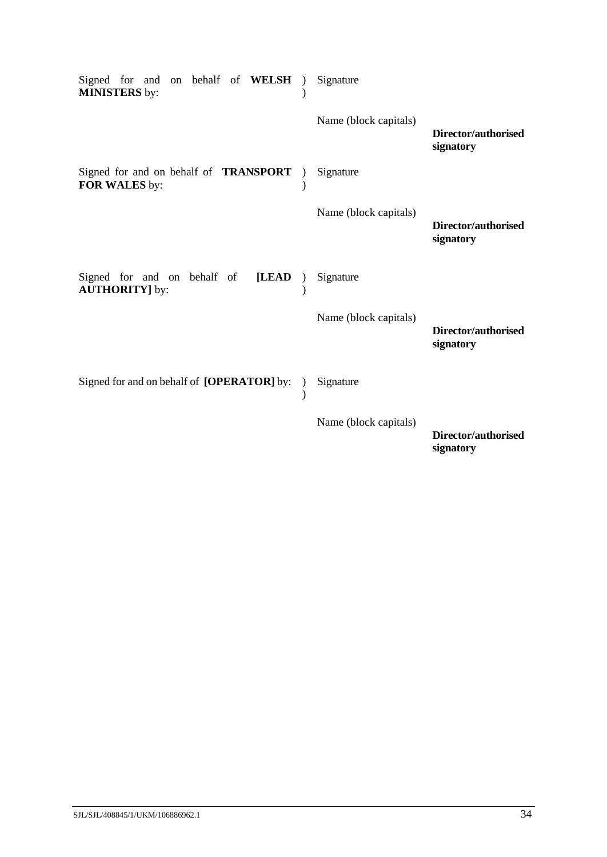| Signed for and<br>on behalf of WELSH<br><b>MINISTERS</b> by:   | Signature             |                                  |
|----------------------------------------------------------------|-----------------------|----------------------------------|
|                                                                | Name (block capitals) | Director/authorised<br>signatory |
| Signed for and on behalf of <b>TRANSPORT</b><br>FOR WALES by:  | Signature             |                                  |
|                                                                | Name (block capitals) | Director/authorised<br>signatory |
| Signed for and on behalf of<br>[LEAD<br><b>AUTHORITY</b> ] by: | Signature             |                                  |
|                                                                | Name (block capitals) | Director/authorised<br>signatory |
| Signed for and on behalf of [OPERATOR] by:                     | Signature             |                                  |
|                                                                | Name (block capitals) | Director/authorised<br>signatory |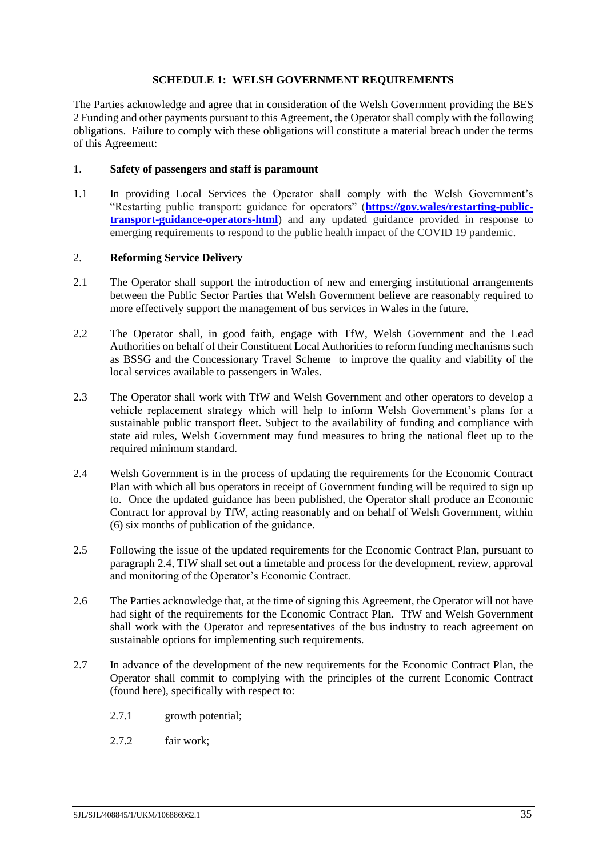### **SCHEDULE 1: WELSH GOVERNMENT REQUIREMENTS**

<span id="page-37-0"></span>The Parties acknowledge and agree that in consideration of the Welsh Government providing the BES 2 Funding and other payments pursuant to this Agreement, the Operator shall comply with the following obligations. Failure to comply with these obligations will constitute a material breach under the terms of this Agreement:

### 1. **Safety of passengers and staff is paramount**

<span id="page-37-2"></span>1.1 In providing Local Services the Operator shall comply with the Welsh Government's "Restarting public transport: guidance for operators" (**[https://gov.wales/restarting-public](https://gov.wales/restarting-public-transport-guidance-operators-html)[transport-guidance-operators-html](https://gov.wales/restarting-public-transport-guidance-operators-html)**) and any updated guidance provided in response to emerging requirements to respond to the public health impact of the COVID 19 pandemic.

# 2. **Reforming Service Delivery**

- 2.1 The Operator shall support the introduction of new and emerging institutional arrangements between the Public Sector Parties that Welsh Government believe are reasonably required to more effectively support the management of bus services in Wales in the future.
- 2.2 The Operator shall, in good faith, engage with TfW, Welsh Government and the Lead Authorities on behalf of their Constituent Local Authorities to reform funding mechanisms such as BSSG and the Concessionary Travel Scheme to improve the quality and viability of the local services available to passengers in Wales.
- 2.3 The Operator shall work with TfW and Welsh Government and other operators to develop a vehicle replacement strategy which will help to inform Welsh Government's plans for a sustainable public transport fleet. Subject to the availability of funding and compliance with state aid rules, Welsh Government may fund measures to bring the national fleet up to the required minimum standard.
- <span id="page-37-1"></span>2.4 Welsh Government is in the process of updating the requirements for the Economic Contract Plan with which all bus operators in receipt of Government funding will be required to sign up to. Once the updated guidance has been published, the Operator shall produce an Economic Contract for approval by TfW, acting reasonably and on behalf of Welsh Government, within (6) six months of publication of the guidance.
- 2.5 Following the issue of the updated requirements for the Economic Contract Plan, pursuant to paragraph [2.4,](#page-37-1) TfW shall set out a timetable and process for the development, review, approval and monitoring of the Operator's Economic Contract.
- 2.6 The Parties acknowledge that, at the time of signing this Agreement, the Operator will not have had sight of the requirements for the Economic Contract Plan. TfW and Welsh Government shall work with the Operator and representatives of the bus industry to reach agreement on sustainable options for implementing such requirements.
- 2.7 In advance of the development of the new requirements for the Economic Contract Plan, the Operator shall commit to complying with the principles of the current Economic Contract (found here), specifically with respect to:
	- 2.7.1 growth potential;
	- 2.7.2 fair work;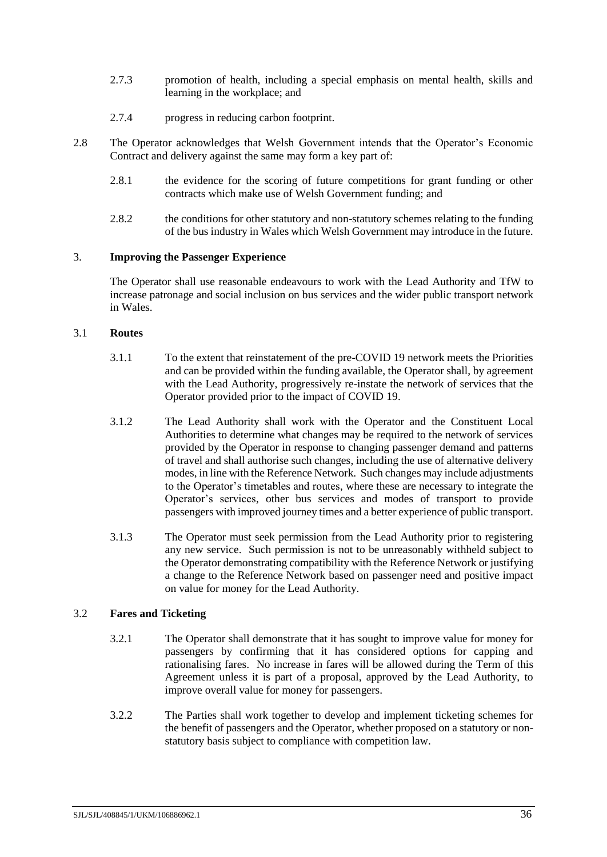- 2.7.3 promotion of health, including a special emphasis on mental health, skills and learning in the workplace; and
- 2.7.4 progress in reducing carbon footprint.
- 2.8 The Operator acknowledges that Welsh Government intends that the Operator's Economic Contract and delivery against the same may form a key part of:
	- 2.8.1 the evidence for the scoring of future competitions for grant funding or other contracts which make use of Welsh Government funding; and
	- 2.8.2 the conditions for other statutory and non-statutory schemes relating to the funding of the bus industry in Wales which Welsh Government may introduce in the future.

### 3. **Improving the Passenger Experience**

The Operator shall use reasonable endeavours to work with the Lead Authority and TfW to increase patronage and social inclusion on bus services and the wider public transport network in Wales.

### 3.1 **Routes**

- 3.1.1 To the extent that reinstatement of the pre-COVID 19 network meets the Priorities and can be provided within the funding available, the Operator shall, by agreement with the Lead Authority, progressively re-instate the network of services that the Operator provided prior to the impact of COVID 19.
- 3.1.2 The Lead Authority shall work with the Operator and the Constituent Local Authorities to determine what changes may be required to the network of services provided by the Operator in response to changing passenger demand and patterns of travel and shall authorise such changes, including the use of alternative delivery modes, in line with the Reference Network. Such changes may include adjustments to the Operator's timetables and routes, where these are necessary to integrate the Operator's services, other bus services and modes of transport to provide passengers with improved journey times and a better experience of public transport.
- 3.1.3 The Operator must seek permission from the Lead Authority prior to registering any new service. Such permission is not to be unreasonably withheld subject to the Operator demonstrating compatibility with the Reference Network or justifying a change to the Reference Network based on passenger need and positive impact on value for money for the Lead Authority.

# 3.2 **Fares and Ticketing**

- 3.2.1 The Operator shall demonstrate that it has sought to improve value for money for passengers by confirming that it has considered options for capping and rationalising fares. No increase in fares will be allowed during the Term of this Agreement unless it is part of a proposal, approved by the Lead Authority, to improve overall value for money for passengers.
- 3.2.2 The Parties shall work together to develop and implement ticketing schemes for the benefit of passengers and the Operator, whether proposed on a statutory or nonstatutory basis subject to compliance with competition law.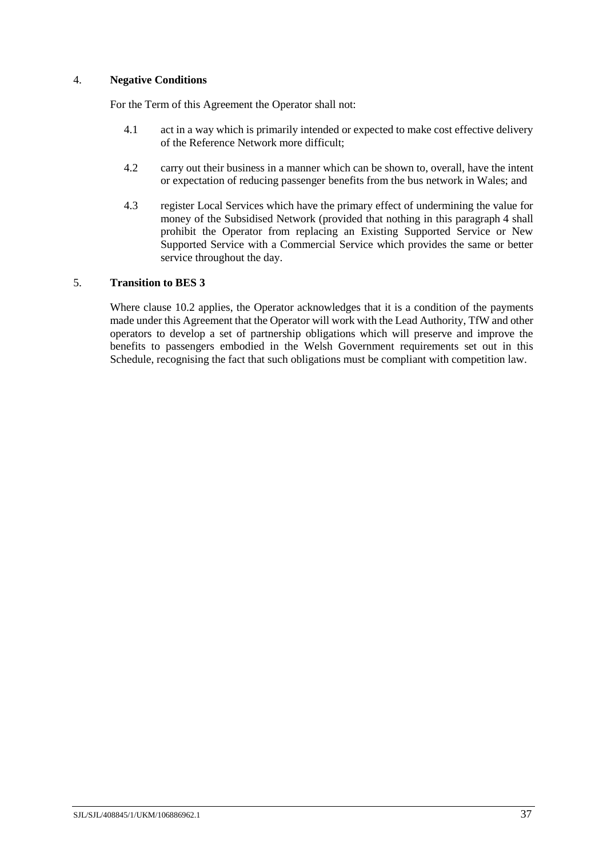### <span id="page-39-0"></span>4. **Negative Conditions**

For the Term of this Agreement the Operator shall not:

- 4.1 act in a way which is primarily intended or expected to make cost effective delivery of the Reference Network more difficult;
- 4.2 carry out their business in a manner which can be shown to, overall, have the intent or expectation of reducing passenger benefits from the bus network in Wales; and
- 4.3 register Local Services which have the primary effect of undermining the value for money of the Subsidised Network (provided that nothing in this paragraph [4](#page-39-0) shall prohibit the Operator from replacing an Existing Supported Service or New Supported Service with a Commercial Service which provides the same or better service throughout the day.

### 5. **Transition to BES 3**

Where clause [10.2](#page-19-3) applies, the Operator acknowledges that it is a condition of the payments made under this Agreement that the Operator will work with the Lead Authority, TfW and other operators to develop a set of partnership obligations which will preserve and improve the benefits to passengers embodied in the Welsh Government requirements set out in this Schedule, recognising the fact that such obligations must be compliant with competition law.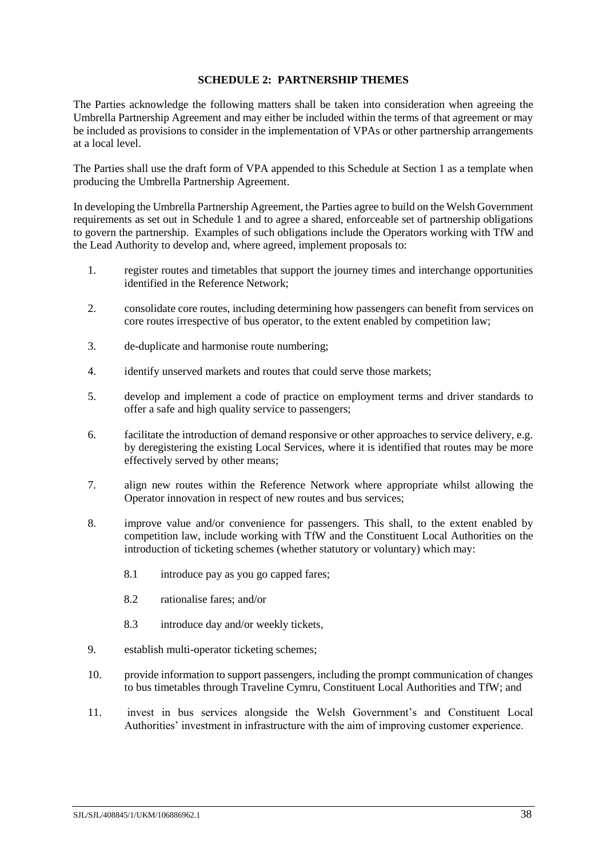### **SCHEDULE 2: PARTNERSHIP THEMES**

<span id="page-40-0"></span>The Parties acknowledge the following matters shall be taken into consideration when agreeing the Umbrella Partnership Agreement and may either be included within the terms of that agreement or may be included as provisions to consider in the implementation of VPAs or other partnership arrangements at a local level.

The Parties shall use the draft form of VPA appended to this Schedule at Section [1](#page-41-0) as a template when producing the Umbrella Partnership Agreement.

In developing the Umbrella Partnership Agreement, the Parties agree to build on the Welsh Government requirements as set out in Schedule [1](#page-37-0) and to agree a shared, enforceable set of partnership obligations to govern the partnership. Examples of such obligations include the Operators working with TfW and the Lead Authority to develop and, where agreed, implement proposals to:

- 1. register routes and timetables that support the journey times and interchange opportunities identified in the Reference Network;
- 2. consolidate core routes, including determining how passengers can benefit from services on core routes irrespective of bus operator, to the extent enabled by competition law;
- 3. de-duplicate and harmonise route numbering;
- 4. identify unserved markets and routes that could serve those markets;
- 5. develop and implement a code of practice on employment terms and driver standards to offer a safe and high quality service to passengers;
- 6. facilitate the introduction of demand responsive or other approaches to service delivery, e.g. by deregistering the existing Local Services, where it is identified that routes may be more effectively served by other means;
- 7. align new routes within the Reference Network where appropriate whilst allowing the Operator innovation in respect of new routes and bus services;
- 8. improve value and/or convenience for passengers. This shall, to the extent enabled by competition law, include working with TfW and the Constituent Local Authorities on the introduction of ticketing schemes (whether statutory or voluntary) which may:
	- 8.1 introduce pay as you go capped fares;
	- 8.2 rationalise fares; and/or
	- 8.3 introduce day and/or weekly tickets,
- 9. establish multi-operator ticketing schemes;
- 10. provide information to support passengers, including the prompt communication of changes to bus timetables through Traveline Cymru, Constituent Local Authorities and TfW; and
- 11. invest in bus services alongside the Welsh Government's and Constituent Local Authorities' investment in infrastructure with the aim of improving customer experience.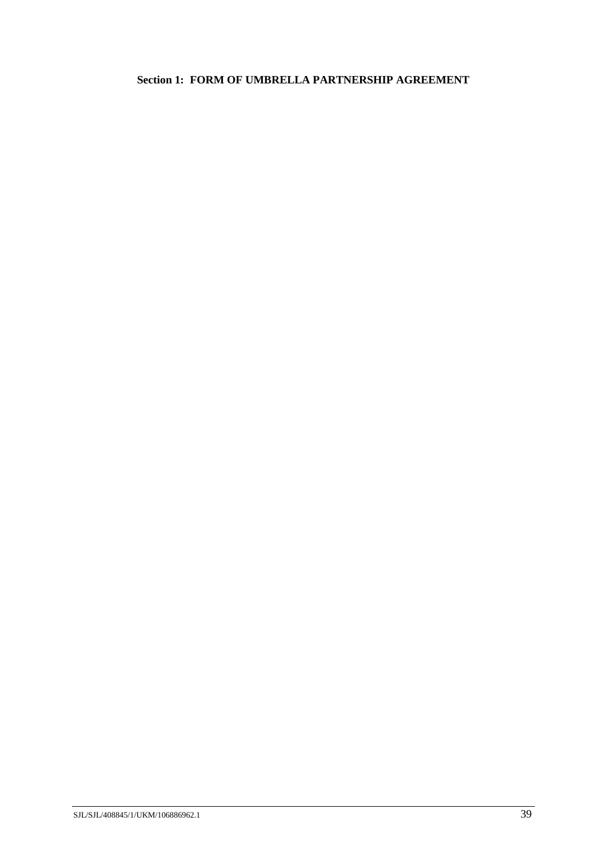# <span id="page-41-0"></span>**Section 1: FORM OF UMBRELLA PARTNERSHIP AGREEMENT**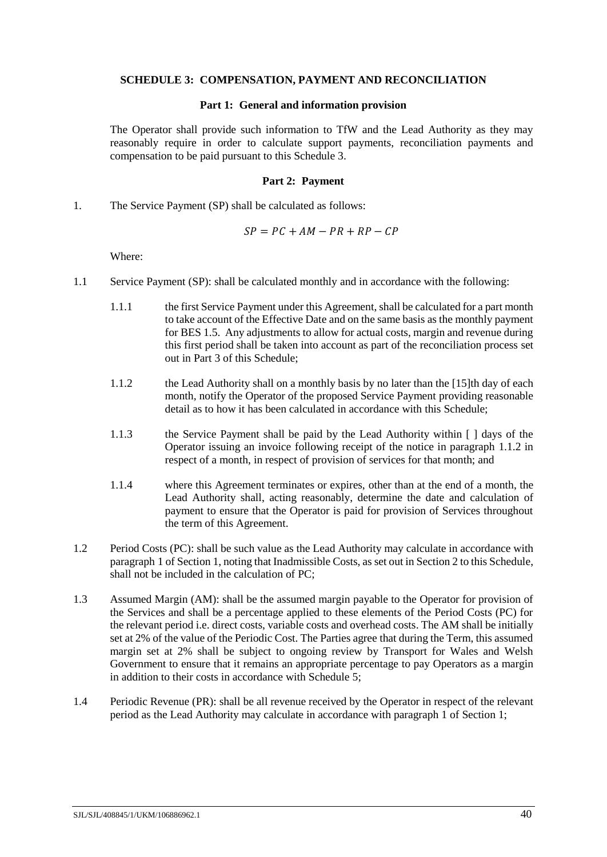#### <span id="page-42-0"></span>**SCHEDULE 3: COMPENSATION, PAYMENT AND RECONCILIATION**

#### **Part 1: General and information provision**

<span id="page-42-1"></span>The Operator shall provide such information to TfW and the Lead Authority as they may reasonably require in order to calculate support payments, reconciliation payments and compensation to be paid pursuant to this Schedule [3.](#page-42-0)

#### **Part 2: Payment**

<span id="page-42-4"></span><span id="page-42-2"></span>1. The Service Payment (SP) shall be calculated as follows:

$$
SP = PC + AM - PR + RP - CP
$$

Where:

- <span id="page-42-5"></span><span id="page-42-3"></span>1.1 Service Payment (SP): shall be calculated monthly and in accordance with the following:
	- 1.1.1 the first Service Payment under this Agreement, shall be calculated for a part month to take account of the Effective Date and on the same basis as the monthly payment for BES 1.5. Any adjustments to allow for actual costs, margin and revenue during this first period shall be taken into account as part of the reconciliation process set out in Part [3](#page-43-0) of this Schedule;
	- 1.1.2 the Lead Authority shall on a monthly basis by no later than the [15]th day of each month, notify the Operator of the proposed Service Payment providing reasonable detail as to how it has been calculated in accordance with this Schedule;
	- 1.1.3 the Service Payment shall be paid by the Lead Authority within [ ] days of the Operator issuing an invoice following receipt of the notice in paragraph [1.1.2](#page-42-3) in respect of a month, in respect of provision of services for that month; and
	- 1.1.4 where this Agreement terminates or expires, other than at the end of a month, the Lead Authority shall, acting reasonably, determine the date and calculation of payment to ensure that the Operator is paid for provision of Services throughout the term of this Agreement.
- 1.2 Period Costs (PC): shall be such value as the Lead Authority may calculate in accordance with paragraph [1](#page-47-1) of Section [1,](#page-47-0) noting that Inadmissible Costs, as set out in Section [2](#page-49-0) to this Schedule, shall not be included in the calculation of PC;
- 1.3 Assumed Margin (AM): shall be the assumed margin payable to the Operator for provision of the Services and shall be a percentage applied to these elements of the Period Costs (PC) for the relevant period i.e. direct costs, variable costs and overhead costs. The AM shall be initially set at 2% of the value of the Periodic Cost. The Parties agree that during the Term, this assumed margin set at 2% shall be subject to ongoing review by Transport for Wales and Welsh Government to ensure that it remains an appropriate percentage to pay Operators as a margin in addition to their costs in accordance with Schedule [5;](#page-57-0)
- 1.4 Periodic Revenue (PR): shall be all revenue received by the Operator in respect of the relevant period as the Lead Authority may calculate in accordance with paragraph [1](#page-47-1) of Section [1;](#page-47-0)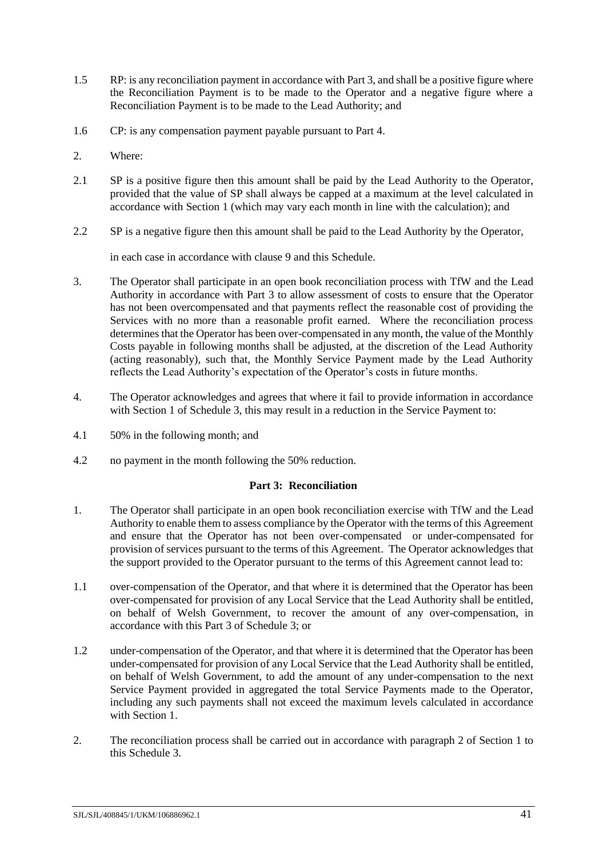- 1.5 RP: is any reconciliation payment in accordance with Par[t 3,](#page-43-0) and shall be a positive figure where the Reconciliation Payment is to be made to the Operator and a negative figure where a Reconciliation Payment is to be made to the Lead Authority; and
- 1.6 CP: is any compensation payment payable pursuant to Part [4.](#page-45-0)
- <span id="page-43-1"></span>2. Where:
- 2.1 SP is a positive figure then this amount shall be paid by the Lead Authority to the Operator, provided that the value of SP shall always be capped at a maximum at the level calculated in accordance with Section [1](#page-47-0) (which may vary each month in line with the calculation); and
- 2.2 SP is a negative figure then this amount shall be paid to the Lead Authority by the Operator,

in each case in accordance with clause [9](#page-18-0) and this Schedule.

- 3. The Operator shall participate in an open book reconciliation process with TfW and the Lead Authority in accordance with Part [3](#page-43-0) to allow assessment of costs to ensure that the Operator has not been overcompensated and that payments reflect the reasonable cost of providing the Services with no more than a reasonable profit earned. Where the reconciliation process determines that the Operator has been over-compensated in any month, the value of the Monthly Costs payable in following months shall be adjusted, at the discretion of the Lead Authority (acting reasonably), such that, the Monthly Service Payment made by the Lead Authority reflects the Lead Authority's expectation of the Operator's costs in future months.
- 4. The Operator acknowledges and agrees that where it fail to provide information in accordance with Section [1](#page-47-0) of Schedule [3,](#page-42-0) this may result in a reduction in the Service Payment to:
- 4.1 50% in the following month; and
- <span id="page-43-0"></span>4.2 no payment in the month following the 50% reduction.

#### **Part 3: Reconciliation**

- 1. The Operator shall participate in an open book reconciliation exercise with TfW and the Lead Authority to enable them to assess compliance by the Operator with the terms of this Agreement and ensure that the Operator has not been over-compensated or under-compensated for provision of services pursuant to the terms of this Agreement. The Operator acknowledges that the support provided to the Operator pursuant to the terms of this Agreement cannot lead to:
- 1.1 over-compensation of the Operator, and that where it is determined that the Operator has been over-compensated for provision of any Local Service that the Lead Authority shall be entitled, on behalf of Welsh Government, to recover the amount of any over-compensation, in accordance with this Part [3](#page-43-0) of Schedule [3;](#page-42-0) or
- 1.2 under-compensation of the Operator, and that where it is determined that the Operator has been under-compensated for provision of any Local Service that the Lead Authority shall be entitled, on behalf of Welsh Government, to add the amount of any under-compensation to the next Service Payment provided in aggregated the total Service Payments made to the Operator, including any such payments shall not exceed the maximum levels calculated in accordance with Section [1.](#page-47-0)
- 2. The reconciliation process shall be carried out in accordance with paragraph [2](#page-48-0) of Section [1](#page-47-0) to this Schedul[e 3.](#page-42-0)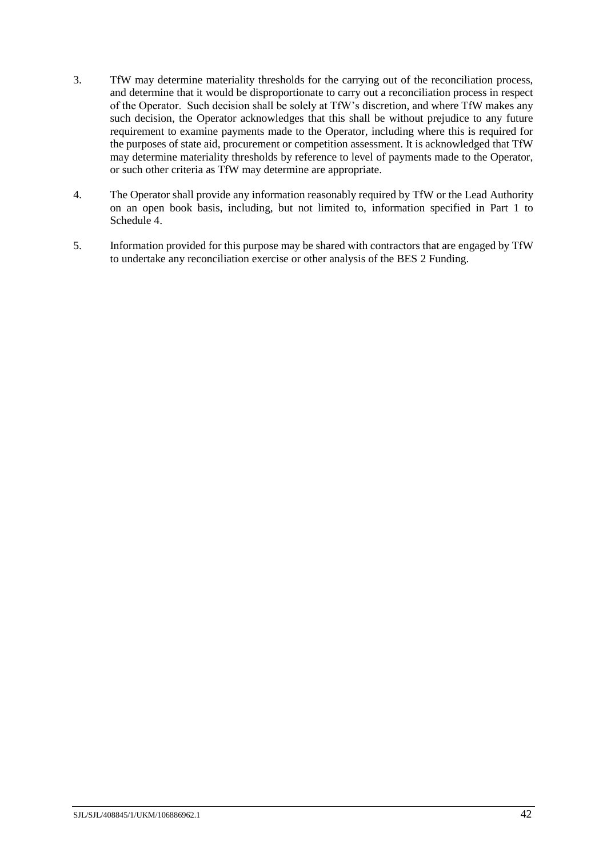- 3. TfW may determine materiality thresholds for the carrying out of the reconciliation process, and determine that it would be disproportionate to carry out a reconciliation process in respect of the Operator. Such decision shall be solely at TfW's discretion, and where TfW makes any such decision, the Operator acknowledges that this shall be without prejudice to any future requirement to examine payments made to the Operator, including where this is required for the purposes of state aid, procurement or competition assessment. It is acknowledged that TfW may determine materiality thresholds by reference to level of payments made to the Operator, or such other criteria as TfW may determine are appropriate.
- 4. The Operator shall provide any information reasonably required by TfW or the Lead Authority on an open book basis, including, but not limited to, information specified in Part [1](#page-52-1) to Schedule [4.](#page-52-0)
- 5. Information provided for this purpose may be shared with contractors that are engaged by TfW to undertake any reconciliation exercise or other analysis of the BES 2 Funding.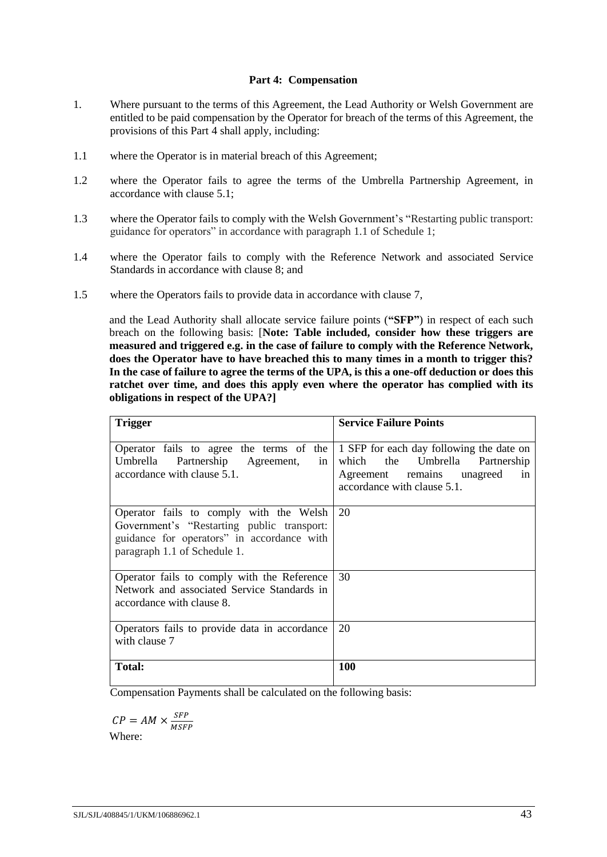### **Part 4: Compensation**

- <span id="page-45-0"></span>1. Where pursuant to the terms of this Agreement, the Lead Authority or Welsh Government are entitled to be paid compensation by the Operator for breach of the terms of this Agreement, the provisions of this Part [4](#page-45-0) shall apply, including:
- 1.1 where the Operator is in material breach of this Agreement;
- 1.2 where the Operator fails to agree the terms of the Umbrella Partnership Agreement, in accordance with claus[e 5.1;](#page-13-2)
- 1.3 where the Operator fails to comply with the Welsh Government's "Restarting public transport: guidance for operators" in accordance with paragraph [1.1](#page-37-2) of Schedul[e 1;](#page-37-0)
- 1.4 where the Operator fails to comply with the Reference Network and associated Service Standards in accordance with clause [8;](#page-17-0) and
- 1.5 where the Operators fails to provide data in accordance with clause [7,](#page-15-0)

and the Lead Authority shall allocate service failure points (**"SFP"**) in respect of each such breach on the following basis: [**Note: Table included, consider how these triggers are measured and triggered e.g. in the case of failure to comply with the Reference Network, does the Operator have to have breached this to many times in a month to trigger this? In the case of failure to agree the terms of the UPA, is this a one-off deduction or does this ratchet over time, and does this apply even where the operator has complied with its obligations in respect of the UPA?]**

| <b>Trigger</b>                                                                                                                                                      | <b>Service Failure Points</b>                                                                                                                 |
|---------------------------------------------------------------------------------------------------------------------------------------------------------------------|-----------------------------------------------------------------------------------------------------------------------------------------------|
| Operator fails to agree the terms of the<br>Partnership Agreement,<br>Umbrella<br>in<br>accordance with clause 5.1.                                                 | 1 SFP for each day following the date on<br>which the Umbrella Partnership<br>Agreement remains unagreed<br>in<br>accordance with clause 5.1. |
| Operator fails to comply with the Welsh<br>Government's "Restarting public transport:<br>guidance for operators" in accordance with<br>paragraph 1.1 of Schedule 1. | 20                                                                                                                                            |
| Operator fails to comply with the Reference<br>Network and associated Service Standards in<br>accordance with clause 8.                                             | 30                                                                                                                                            |
| Operators fails to provide data in accordance<br>with clause 7                                                                                                      | 20                                                                                                                                            |
| <b>Total:</b>                                                                                                                                                       | <b>100</b>                                                                                                                                    |

Compensation Payments shall be calculated on the following basis:

$$
CP = AM \times \frac{SFP}{MSFP}
$$
  
Where:

Where: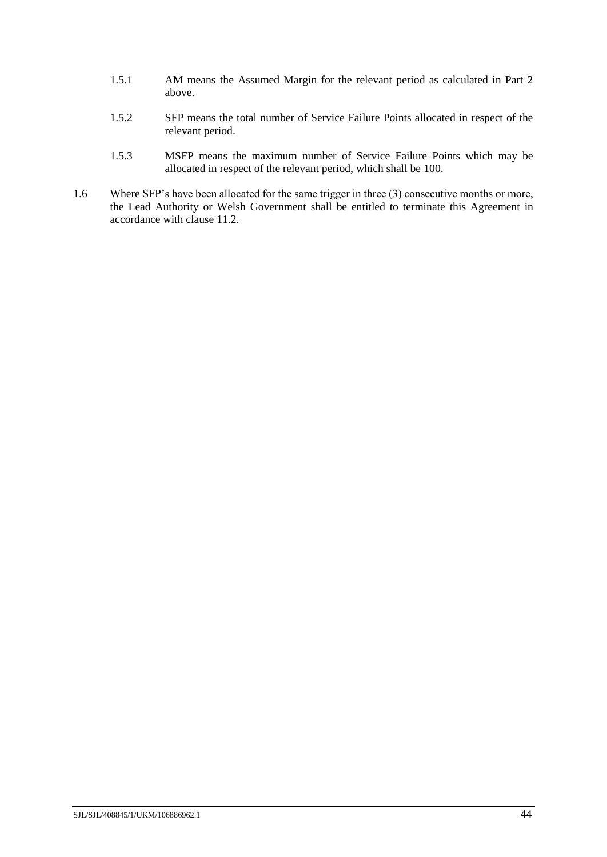- 1.5.1 AM means the Assumed Margin for the relevant period as calculated in Part 2 above.
- 1.5.2 SFP means the total number of Service Failure Points allocated in respect of the relevant period.
- 1.5.3 MSFP means the maximum number of Service Failure Points which may be allocated in respect of the relevant period, which shall be 100.
- 1.6 Where SFP's have been allocated for the same trigger in three (3) consecutive months or more, the Lead Authority or Welsh Government shall be entitled to terminate this Agreement in accordance with claus[e 11.2.](#page-19-4)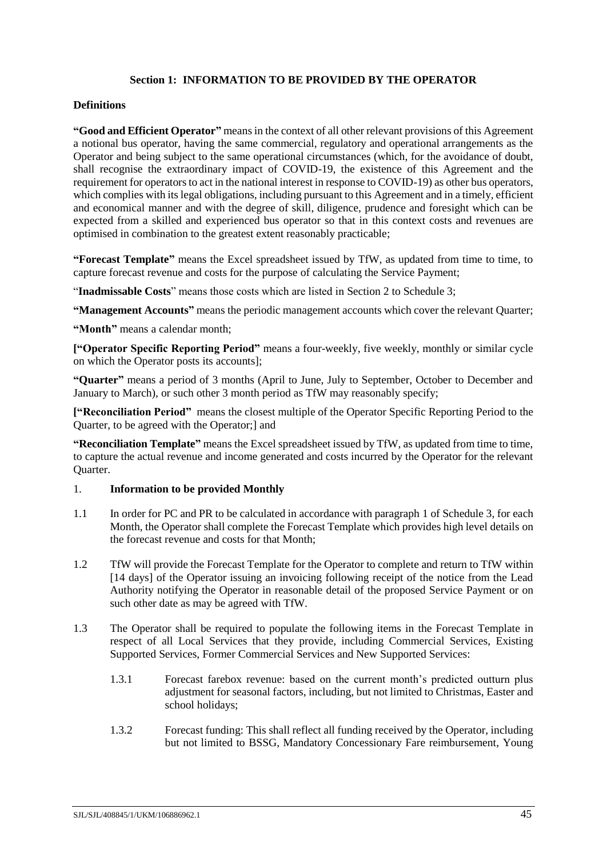### **Section 1: INFORMATION TO BE PROVIDED BY THE OPERATOR**

#### <span id="page-47-0"></span>**Definitions**

**"Good and Efficient Operator"** means in the context of all other relevant provisions of this Agreement a notional bus operator, having the same commercial, regulatory and operational arrangements as the Operator and being subject to the same operational circumstances (which, for the avoidance of doubt, shall recognise the extraordinary impact of COVID-19, the existence of this Agreement and the requirement for operators to act in the national interest in response to COVID-19) as other bus operators, which complies with its legal obligations, including pursuant to this Agreement and in a timely, efficient and economical manner and with the degree of skill, diligence, prudence and foresight which can be expected from a skilled and experienced bus operator so that in this context costs and revenues are optimised in combination to the greatest extent reasonably practicable;

**"Forecast Template"** means the Excel spreadsheet issued by TfW, as updated from time to time, to capture forecast revenue and costs for the purpose of calculating the Service Payment;

"**Inadmissable Costs**" means those costs which are listed in Section [2](#page-49-0) to Schedule [3;](#page-42-0)

**"Management Accounts"** means the periodic management accounts which cover the relevant Quarter;

**"Month"** means a calendar month;

**["Operator Specific Reporting Period"** means a four-weekly, five weekly, monthly or similar cycle on which the Operator posts its accounts];

**"Quarter"** means a period of 3 months (April to June, July to September, October to December and January to March), or such other 3 month period as TfW may reasonably specify;

**["Reconciliation Period"** means the closest multiple of the Operator Specific Reporting Period to the Quarter, to be agreed with the Operator;] and

**"Reconciliation Template"** means the Excel spreadsheet issued by TfW, as updated from time to time, to capture the actual revenue and income generated and costs incurred by the Operator for the relevant Quarter.

### <span id="page-47-1"></span>1. **Information to be provided Monthly**

- 1.1 In order for PC and PR to be calculated in accordance with paragraph [1](#page-42-4) of Schedule [3,](#page-42-0) for each Month, the Operator shall complete the Forecast Template which provides high level details on the forecast revenue and costs for that Month;
- 1.2 TfW will provide the Forecast Template for the Operator to complete and return to TfW within [14 days] of the Operator issuing an invoicing following receipt of the notice from the Lead Authority notifying the Operator in reasonable detail of the proposed Service Payment or on such other date as may be agreed with TfW.
- <span id="page-47-2"></span>1.3 The Operator shall be required to populate the following items in the Forecast Template in respect of all Local Services that they provide, including Commercial Services, Existing Supported Services, Former Commercial Services and New Supported Services:
	- 1.3.1 Forecast farebox revenue: based on the current month's predicted outturn plus adjustment for seasonal factors, including, but not limited to Christmas, Easter and school holidays;
	- 1.3.2 Forecast funding: This shall reflect all funding received by the Operator, including but not limited to BSSG, Mandatory Concessionary Fare reimbursement, Young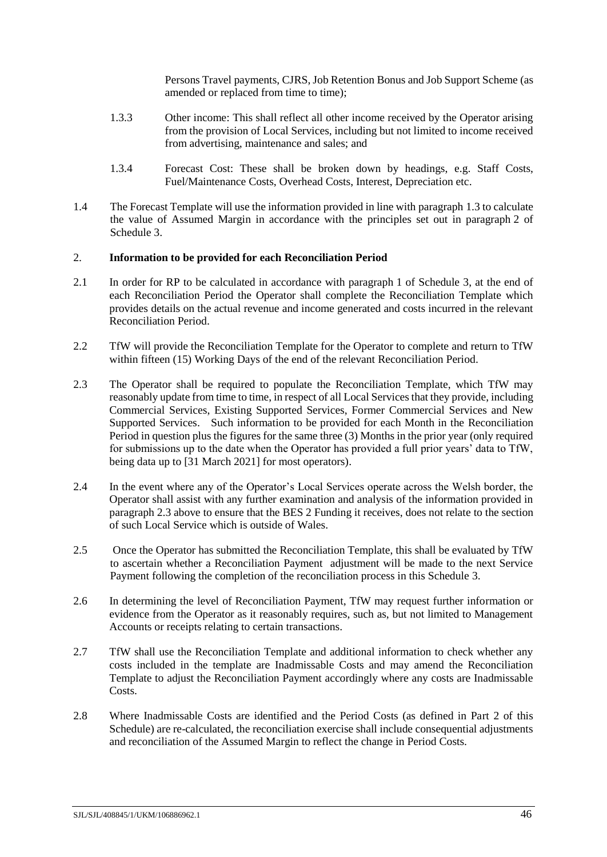Persons Travel payments, CJRS, Job Retention Bonus and Job Support Scheme (as amended or replaced from time to time);

- 1.3.3 Other income: This shall reflect all other income received by the Operator arising from the provision of Local Services, including but not limited to income received from advertising, maintenance and sales; and
- 1.3.4 Forecast Cost: These shall be broken down by headings, e.g. Staff Costs, Fuel/Maintenance Costs, Overhead Costs, Interest, Depreciation etc.
- 1.4 The Forecast Template will use the information provided in line with paragraph [1.3](#page-47-2) to calculate the value of Assumed Margin in accordance with the principles set out in paragraph [2](#page-43-1) of Schedule [3.](#page-42-0)

#### <span id="page-48-0"></span>2. **Information to be provided for each Reconciliation Period**

- 2.1 In order for RP to be calculated in accordance with paragraph [1](#page-42-4) of Schedule [3,](#page-42-0) at the end of each Reconciliation Period the Operator shall complete the Reconciliation Template which provides details on the actual revenue and income generated and costs incurred in the relevant Reconciliation Period.
- 2.2 TfW will provide the Reconciliation Template for the Operator to complete and return to TfW within fifteen (15) Working Days of the end of the relevant Reconciliation Period.
- 2.3 The Operator shall be required to populate the Reconciliation Template, which TfW may reasonably update from time to time, in respect of all Local Services that they provide, including Commercial Services, Existing Supported Services, Former Commercial Services and New Supported Services. Such information to be provided for each Month in the Reconciliation Period in question plus the figures for the same three (3) Months in the prior year (only required for submissions up to the date when the Operator has provided a full prior years' data to TfW, being data up to [31 March 2021] for most operators).
- 2.4 In the event where any of the Operator's Local Services operate across the Welsh border, the Operator shall assist with any further examination and analysis of the information provided in paragraph 2.3 above to ensure that the BES 2 Funding it receives, does not relate to the section of such Local Service which is outside of Wales.
- 2.5 Once the Operator has submitted the Reconciliation Template, this shall be evaluated by TfW to ascertain whether a Reconciliation Payment adjustment will be made to the next Service Payment following the completion of the reconciliation process in this Schedule [3.](#page-42-0)
- 2.6 In determining the level of Reconciliation Payment, TfW may request further information or evidence from the Operator as it reasonably requires, such as, but not limited to Management Accounts or receipts relating to certain transactions.
- 2.7 TfW shall use the Reconciliation Template and additional information to check whether any costs included in the template are Inadmissable Costs and may amend the Reconciliation Template to adjust the Reconciliation Payment accordingly where any costs are Inadmissable Costs.
- 2.8 Where Inadmissable Costs are identified and the Period Costs (as defined in Part [2](#page-42-2) of this Schedule) are re-calculated, the reconciliation exercise shall include consequential adjustments and reconciliation of the Assumed Margin to reflect the change in Period Costs.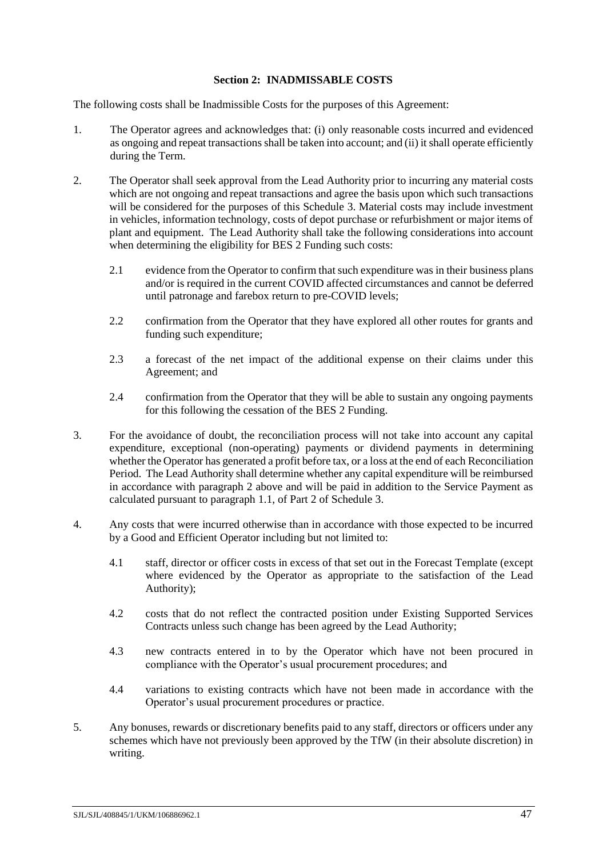### **Section 2: INADMISSABLE COSTS**

<span id="page-49-0"></span>The following costs shall be Inadmissible Costs for the purposes of this Agreement:

- 1. The Operator agrees and acknowledges that: (i) only reasonable costs incurred and evidenced as ongoing and repeat transactions shall be taken into account; and (ii) it shall operate efficiently during the Term.
- <span id="page-49-1"></span>2. The Operator shall seek approval from the Lead Authority prior to incurring any material costs which are not ongoing and repeat transactions and agree the basis upon which such transactions will be considered for the purposes of this Schedule [3.](#page-42-0) Material costs may include investment in vehicles, information technology, costs of depot purchase or refurbishment or major items of plant and equipment. The Lead Authority shall take the following considerations into account when determining the eligibility for BES 2 Funding such costs:
	- 2.1 evidence from the Operator to confirm that such expenditure was in their business plans and/or is required in the current COVID affected circumstances and cannot be deferred until patronage and farebox return to pre-COVID levels;
	- 2.2 confirmation from the Operator that they have explored all other routes for grants and funding such expenditure;
	- 2.3 a forecast of the net impact of the additional expense on their claims under this Agreement; and
	- 2.4 confirmation from the Operator that they will be able to sustain any ongoing payments for this following the cessation of the BES 2 Funding.
- 3. For the avoidance of doubt, the reconciliation process will not take into account any capital expenditure, exceptional (non-operating) payments or dividend payments in determining whether the Operator has generated a profit before tax, or a loss at the end of each Reconciliation Period. The Lead Authority shall determine whether any capital expenditure will be reimbursed in accordance with paragraph [2](#page-49-1) above and will be paid in addition to the Service Payment as calculated pursuant to paragraph [1.1,](#page-42-5) of Part [2](#page-42-2) of Schedule [3.](#page-42-0)
- 4. Any costs that were incurred otherwise than in accordance with those expected to be incurred by a Good and Efficient Operator including but not limited to:
	- 4.1 staff, director or officer costs in excess of that set out in the Forecast Template (except where evidenced by the Operator as appropriate to the satisfaction of the Lead Authority);
	- 4.2 costs that do not reflect the contracted position under Existing Supported Services Contracts unless such change has been agreed by the Lead Authority;
	- 4.3 new contracts entered in to by the Operator which have not been procured in compliance with the Operator's usual procurement procedures; and
	- 4.4 variations to existing contracts which have not been made in accordance with the Operator's usual procurement procedures or practice.
- 5. Any bonuses, rewards or discretionary benefits paid to any staff, directors or officers under any schemes which have not previously been approved by the TfW (in their absolute discretion) in writing.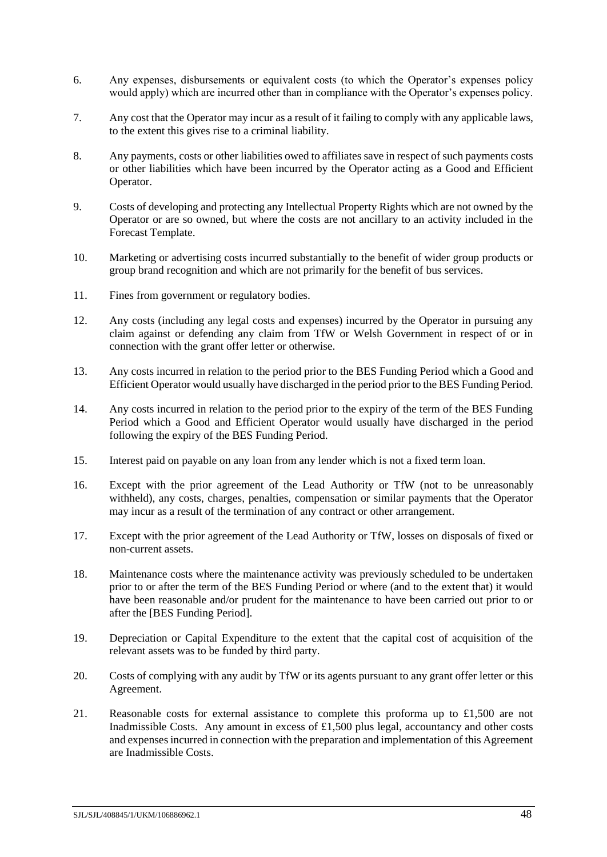- 6. Any expenses, disbursements or equivalent costs (to which the Operator's expenses policy would apply) which are incurred other than in compliance with the Operator's expenses policy.
- 7. Any cost that the Operator may incur as a result of it failing to comply with any applicable laws, to the extent this gives rise to a criminal liability.
- 8. Any payments, costs or other liabilities owed to affiliates save in respect of such payments costs or other liabilities which have been incurred by the Operator acting as a Good and Efficient Operator.
- 9. Costs of developing and protecting any Intellectual Property Rights which are not owned by the Operator or are so owned, but where the costs are not ancillary to an activity included in the Forecast Template.
- 10. Marketing or advertising costs incurred substantially to the benefit of wider group products or group brand recognition and which are not primarily for the benefit of bus services.
- 11. Fines from government or regulatory bodies.
- 12. Any costs (including any legal costs and expenses) incurred by the Operator in pursuing any claim against or defending any claim from TfW or Welsh Government in respect of or in connection with the grant offer letter or otherwise.
- 13. Any costs incurred in relation to the period prior to the BES Funding Period which a Good and Efficient Operator would usually have discharged in the period prior to the BES Funding Period.
- 14. Any costs incurred in relation to the period prior to the expiry of the term of the BES Funding Period which a Good and Efficient Operator would usually have discharged in the period following the expiry of the BES Funding Period.
- 15. Interest paid on payable on any loan from any lender which is not a fixed term loan.
- 16. Except with the prior agreement of the Lead Authority or TfW (not to be unreasonably withheld), any costs, charges, penalties, compensation or similar payments that the Operator may incur as a result of the termination of any contract or other arrangement.
- 17. Except with the prior agreement of the Lead Authority or TfW, losses on disposals of fixed or non-current assets.
- 18. Maintenance costs where the maintenance activity was previously scheduled to be undertaken prior to or after the term of the BES Funding Period or where (and to the extent that) it would have been reasonable and/or prudent for the maintenance to have been carried out prior to or after the [BES Funding Period].
- 19. Depreciation or Capital Expenditure to the extent that the capital cost of acquisition of the relevant assets was to be funded by third party.
- 20. Costs of complying with any audit by TfW or its agents pursuant to any grant offer letter or this Agreement.
- 21. Reasonable costs for external assistance to complete this proforma up to £1,500 are not Inadmissible Costs. Any amount in excess of £1,500 plus legal, accountancy and other costs and expenses incurred in connection with the preparation and implementation of this Agreement are Inadmissible Costs.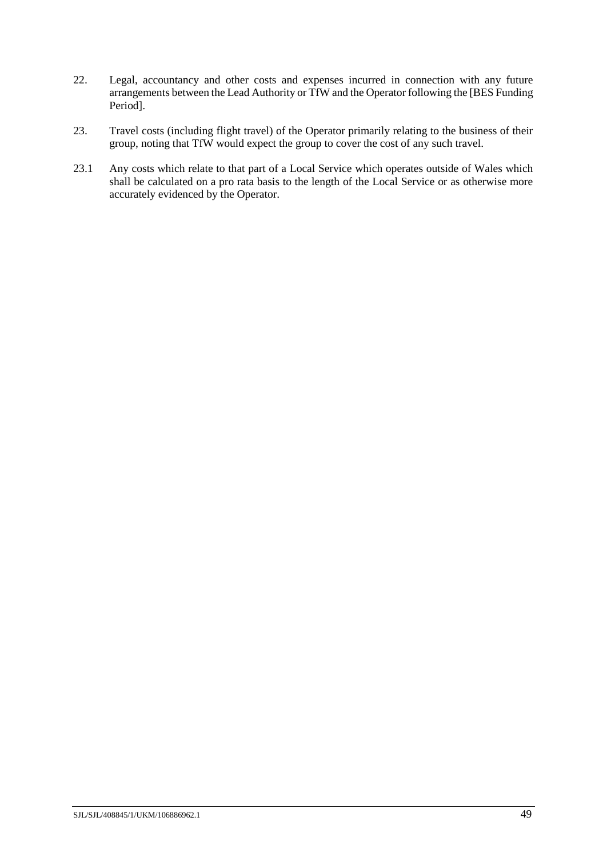- 22. Legal, accountancy and other costs and expenses incurred in connection with any future arrangements between the Lead Authority or TfW and the Operator following the [BES Funding Period].
- 23. Travel costs (including flight travel) of the Operator primarily relating to the business of their group, noting that TfW would expect the group to cover the cost of any such travel.
- 23.1 Any costs which relate to that part of a Local Service which operates outside of Wales which shall be calculated on a pro rata basis to the length of the Local Service or as otherwise more accurately evidenced by the Operator.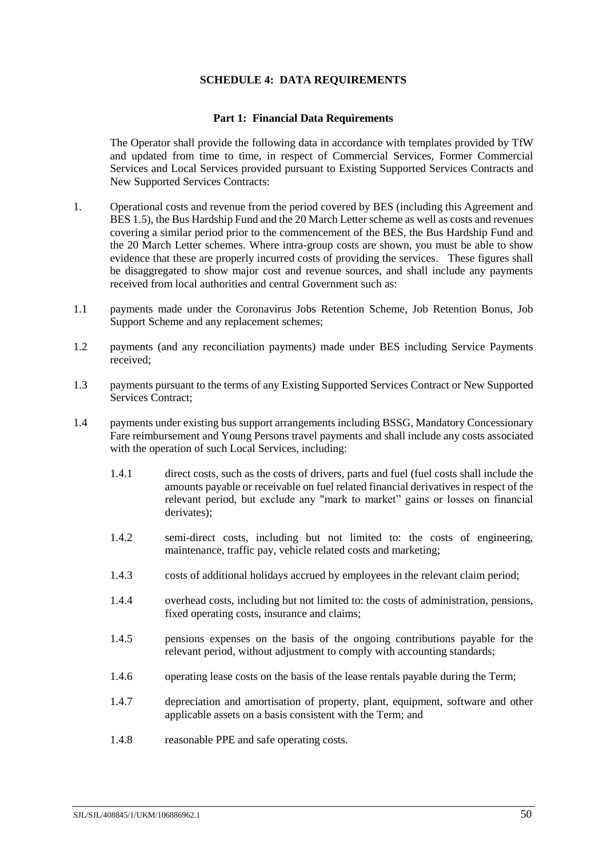### **SCHEDULE 4: DATA REQUIREMENTS**

#### **Part 1: Financial Data Requirements**

<span id="page-52-1"></span><span id="page-52-0"></span>The Operator shall provide the following data in accordance with templates provided by TfW and updated from time to time, in respect of Commercial Services, Former Commercial Services and Local Services provided pursuant to Existing Supported Services Contracts and New Supported Services Contracts:

- 1. Operational costs and revenue from the period covered by BES (including this Agreement and BES 1.5), the Bus Hardship Fund and the 20 March Letter scheme as well as costs and revenues covering a similar period prior to the commencement of the BES, the Bus Hardship Fund and the 20 March Letter schemes. Where intra-group costs are shown, you must be able to show evidence that these are properly incurred costs of providing the services. These figures shall be disaggregated to show major cost and revenue sources, and shall include any payments received from local authorities and central Government such as:
- 1.1 payments made under the Coronavirus Jobs Retention Scheme, Job Retention Bonus, Job Support Scheme and any replacement schemes;
- 1.2 payments (and any reconciliation payments) made under BES including Service Payments received;
- 1.3 payments pursuant to the terms of any Existing Supported Services Contract or New Supported Services Contract;
- 1.4 payments under existing bus support arrangements including BSSG, Mandatory Concessionary Fare reimbursement and Young Persons travel payments and shall include any costs associated with the operation of such Local Services, including:
	- 1.4.1 direct costs, such as the costs of drivers, parts and fuel (fuel costs shall include the amounts payable or receivable on fuel related financial derivatives in respect of the relevant period, but exclude any "mark to market" gains or losses on financial derivates);
	- 1.4.2 semi-direct costs, including but not limited to: the costs of engineering, maintenance, traffic pay, vehicle related costs and marketing;
	- 1.4.3 costs of additional holidays accrued by employees in the relevant claim period;
	- 1.4.4 overhead costs, including but not limited to: the costs of administration, pensions, fixed operating costs, insurance and claims;
	- 1.4.5 pensions expenses on the basis of the ongoing contributions payable for the relevant period, without adjustment to comply with accounting standards;
	- 1.4.6 operating lease costs on the basis of the lease rentals payable during the Term;
	- 1.4.7 depreciation and amortisation of property, plant, equipment, software and other applicable assets on a basis consistent with the Term; and
	- 1.4.8 reasonable PPE and safe operating costs.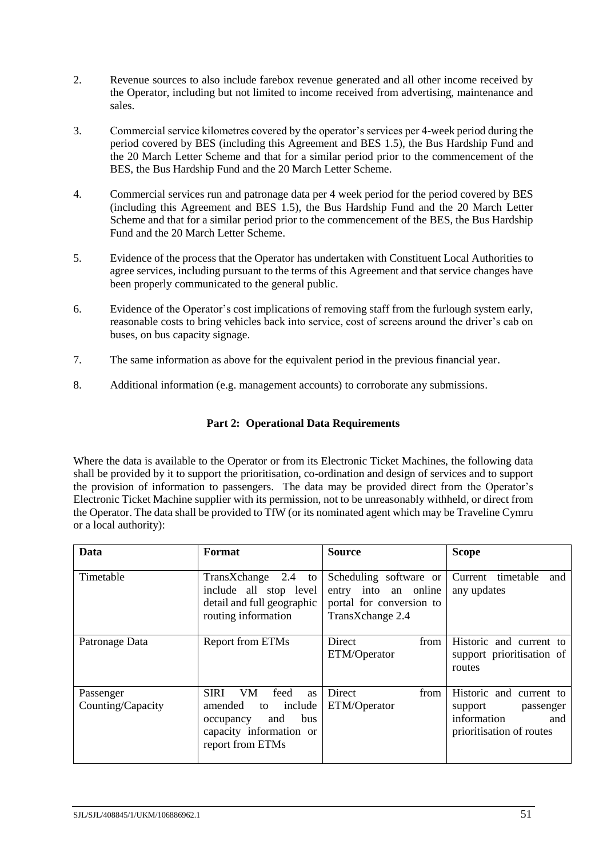- 2. Revenue sources to also include farebox revenue generated and all other income received by the Operator, including but not limited to income received from advertising, maintenance and sales.
- 3. Commercial service kilometres covered by the operator's services per 4-week period during the period covered by BES (including this Agreement and BES 1.5), the Bus Hardship Fund and the 20 March Letter Scheme and that for a similar period prior to the commencement of the BES, the Bus Hardship Fund and the 20 March Letter Scheme.
- 4. Commercial services run and patronage data per 4 week period for the period covered by BES (including this Agreement and BES 1.5), the Bus Hardship Fund and the 20 March Letter Scheme and that for a similar period prior to the commencement of the BES, the Bus Hardship Fund and the 20 March Letter Scheme.
- 5. Evidence of the process that the Operator has undertaken with Constituent Local Authorities to agree services, including pursuant to the terms of this Agreement and that service changes have been properly communicated to the general public.
- 6. Evidence of the Operator's cost implications of removing staff from the furlough system early, reasonable costs to bring vehicles back into service, cost of screens around the driver's cab on buses, on bus capacity signage.
- 7. The same information as above for the equivalent period in the previous financial year.
- 8. Additional information (e.g. management accounts) to corroborate any submissions.

# **Part 2: Operational Data Requirements**

<span id="page-53-0"></span>Where the data is available to the Operator or from its Electronic Ticket Machines, the following data shall be provided by it to support the prioritisation, co-ordination and design of services and to support the provision of information to passengers. The data may be provided direct from the Operator's Electronic Ticket Machine supplier with its permission, not to be unreasonably withheld, or direct from the Operator. The data shall be provided to TfW (or its nominated agent which may be Traveline Cymru or a local authority):

| Data                           | Format                                                                                                                                        | <b>Source</b>                                                                                  | <b>Scope</b>                                                                                      |
|--------------------------------|-----------------------------------------------------------------------------------------------------------------------------------------------|------------------------------------------------------------------------------------------------|---------------------------------------------------------------------------------------------------|
| Timetable                      | TransXchange 2.4 to<br>include all stop level<br>detail and full geographic<br>routing information                                            | Scheduling software or<br>entry into an online<br>portal for conversion to<br>TransXchange 2.4 | Current timetable<br>and<br>any updates                                                           |
| Patronage Data                 | Report from ETMs                                                                                                                              | Direct<br>from<br>ETM/Operator                                                                 | Historic and current to<br>support prioritisation of<br>routes                                    |
| Passenger<br>Counting/Capacity | feed<br><b>SIRI</b><br>VM.<br>as<br>include<br>amended<br>to<br>and<br><b>bus</b><br>occupancy<br>capacity information or<br>report from ETMs | Direct<br>from<br>ETM/Operator                                                                 | Historic and current to<br>support<br>passenger<br>information<br>and<br>prioritisation of routes |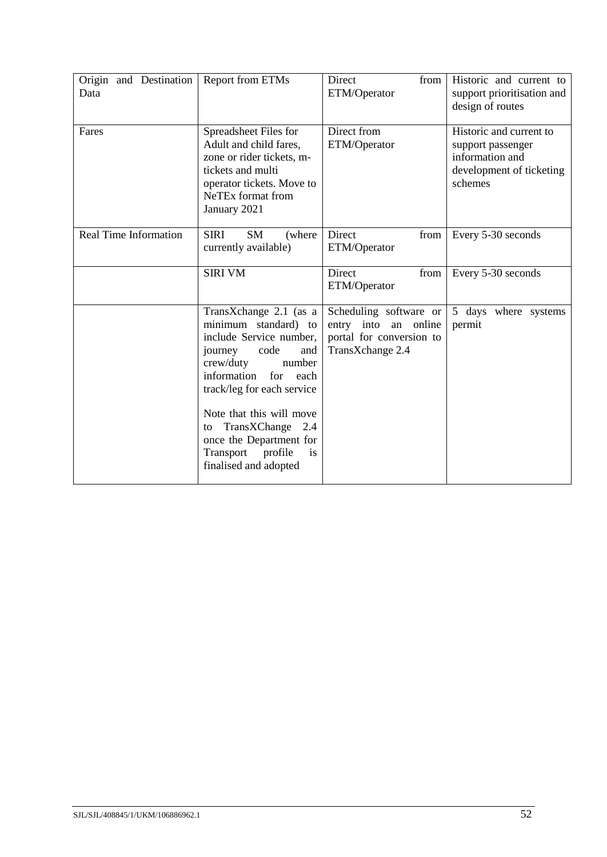| Origin and Destination<br>Data | Report from ETMs                                                                                                                                                                                                                                                                                                               | Direct<br>from<br>ETM/Operator                                                                       | Historic and current to<br>support prioritisation and<br>design of routes                              |
|--------------------------------|--------------------------------------------------------------------------------------------------------------------------------------------------------------------------------------------------------------------------------------------------------------------------------------------------------------------------------|------------------------------------------------------------------------------------------------------|--------------------------------------------------------------------------------------------------------|
| Fares                          | Spreadsheet Files for<br>Adult and child fares,<br>zone or rider tickets, m-<br>tickets and multi<br>operator tickets. Move to<br>NeTEx format from<br>January 2021                                                                                                                                                            | Direct from<br>ETM/Operator                                                                          | Historic and current to<br>support passenger<br>information and<br>development of ticketing<br>schemes |
| <b>Real Time Information</b>   | <b>SIRI</b><br><b>SM</b><br>(where)<br>currently available)                                                                                                                                                                                                                                                                    | Direct<br>from<br>ETM/Operator                                                                       | Every 5-30 seconds                                                                                     |
|                                | <b>SIRI VM</b>                                                                                                                                                                                                                                                                                                                 | Direct<br>from<br>ETM/Operator                                                                       | Every 5-30 seconds                                                                                     |
|                                | TransXchange 2.1 (as a<br>minimum standard) to<br>include Service number,<br>journey<br>code<br>and<br>crew/duty<br>number<br>information<br>for<br>each<br>track/leg for each service<br>Note that this will move<br>TransXChange 2.4<br>to<br>once the Department for<br>Transport<br>profile<br>is<br>finalised and adopted | Scheduling software or<br>entry into<br>online<br>an<br>portal for conversion to<br>TransXchange 2.4 | 5 days where systems<br>permit                                                                         |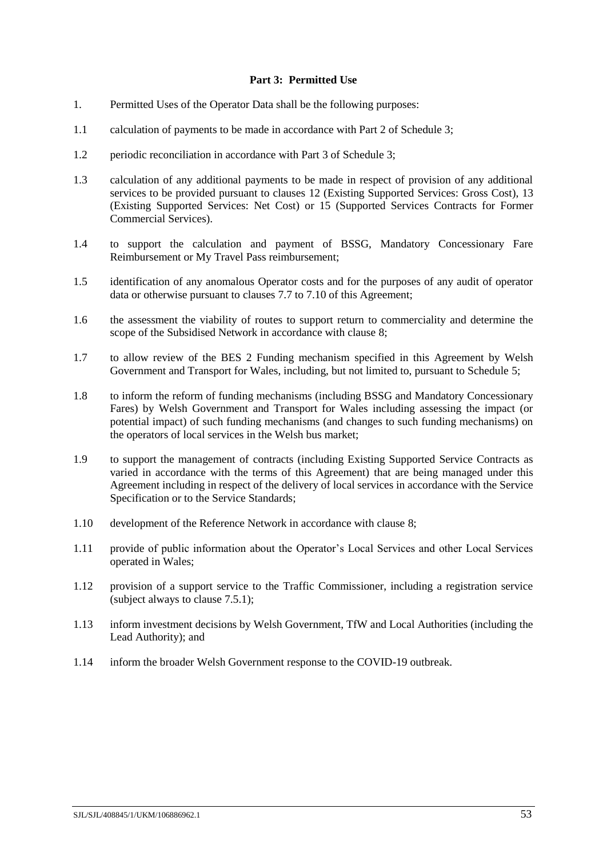### **Part 3: Permitted Use**

- <span id="page-55-0"></span>1. Permitted Uses of the Operator Data shall be the following purposes:
- 1.1 calculation of payments to be made in accordance with Part [2](#page-42-2) of Schedule [3;](#page-42-0)
- 1.2 periodic reconciliation in accordance with Part [3](#page-43-0) of Schedule [3;](#page-42-0)
- 1.3 calculation of any additional payments to be made in respect of provision of any additional services to be provided pursuant to clauses [12](#page-21-0) (Existing Supported Services: Gross Cost), [13](#page-22-0) (Existing Supported Services: Net Cost) or [15](#page-24-1) (Supported Services Contracts for Former Commercial Services).
- 1.4 to support the calculation and payment of BSSG, Mandatory Concessionary Fare Reimbursement or My Travel Pass reimbursement;
- 1.5 identification of any anomalous Operator costs and for the purposes of any audit of operator data or otherwise pursuant to clauses [7.7](#page-16-1) to [7.10](#page-16-2) of this Agreement;
- 1.6 the assessment the viability of routes to support return to commerciality and determine the scope of the Subsidised Network in accordance with clause [8;](#page-17-0)
- 1.7 to allow review of the BES 2 Funding mechanism specified in this Agreement by Welsh Government and Transport for Wales, including, but not limited to, pursuant to Schedule [5;](#page-57-0)
- 1.8 to inform the reform of funding mechanisms (including BSSG and Mandatory Concessionary Fares) by Welsh Government and Transport for Wales including assessing the impact (or potential impact) of such funding mechanisms (and changes to such funding mechanisms) on the operators of local services in the Welsh bus market;
- 1.9 to support the management of contracts (including Existing Supported Service Contracts as varied in accordance with the terms of this Agreement) that are being managed under this Agreement including in respect of the delivery of local services in accordance with the Service Specification or to the Service Standards;
- 1.10 development of the Reference Network in accordance with clause [8;](#page-17-0)
- 1.11 provide of public information about the Operator's Local Services and other Local Services operated in Wales;
- 1.12 provision of a support service to the Traffic Commissioner, including a registration service (subject always to clause [7.5.1\)](#page-16-3);
- 1.13 inform investment decisions by Welsh Government, TfW and Local Authorities (including the Lead Authority); and
- 1.14 inform the broader Welsh Government response to the COVID-19 outbreak.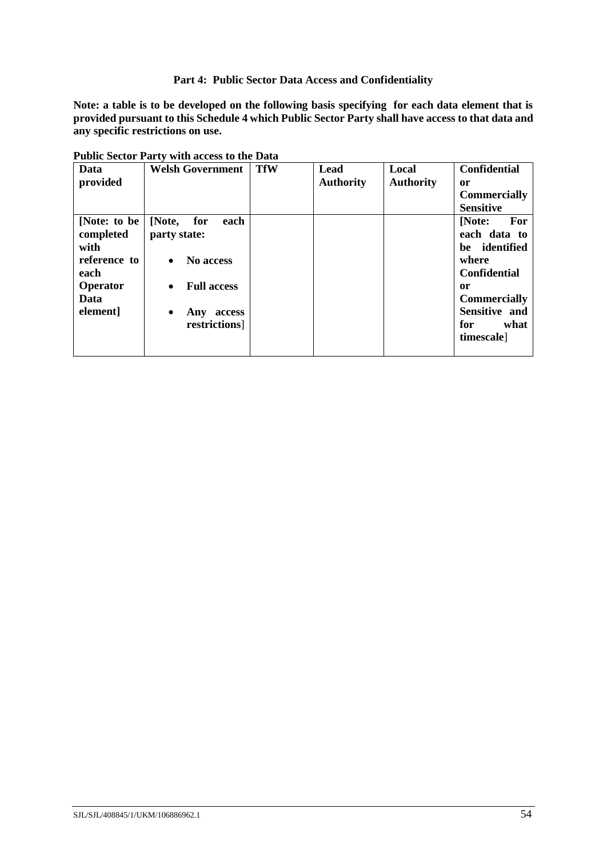### **Part 4: Public Sector Data Access and Confidentiality**

<span id="page-56-0"></span>**Note: a table is to be developed on the following basis specifying for each data element that is provided pursuant to this Schedul[e 4](#page-52-0) which Public Sector Party shall have access to that data and any specific restrictions on use.**

| Data<br>provided                                                                          | <b>Welsh Government</b>                                                                                                                           | <b>TfW</b> | Lead<br><b>Authority</b> | Local<br><b>Authority</b> | <b>Confidential</b><br>or<br><b>Commercially</b><br><b>Sensitive</b>                                                                                      |
|-------------------------------------------------------------------------------------------|---------------------------------------------------------------------------------------------------------------------------------------------------|------------|--------------------------|---------------------------|-----------------------------------------------------------------------------------------------------------------------------------------------------------|
| [Note: to be<br>completed<br>with<br>reference to<br>each<br>Operator<br>Data<br>element] | [Note,<br>for<br>each<br>party state:<br>No access<br>$\bullet$<br><b>Full access</b><br>$\bullet$<br>Any<br>access<br>$\bullet$<br>restrictions] |            |                          |                           | For<br>[Note:<br>each data to<br>be identified<br>where<br><b>Confidential</b><br>or<br><b>Commercially</b><br>Sensitive and<br>for<br>what<br>timescale] |

**Public Sector Party with access to the Data**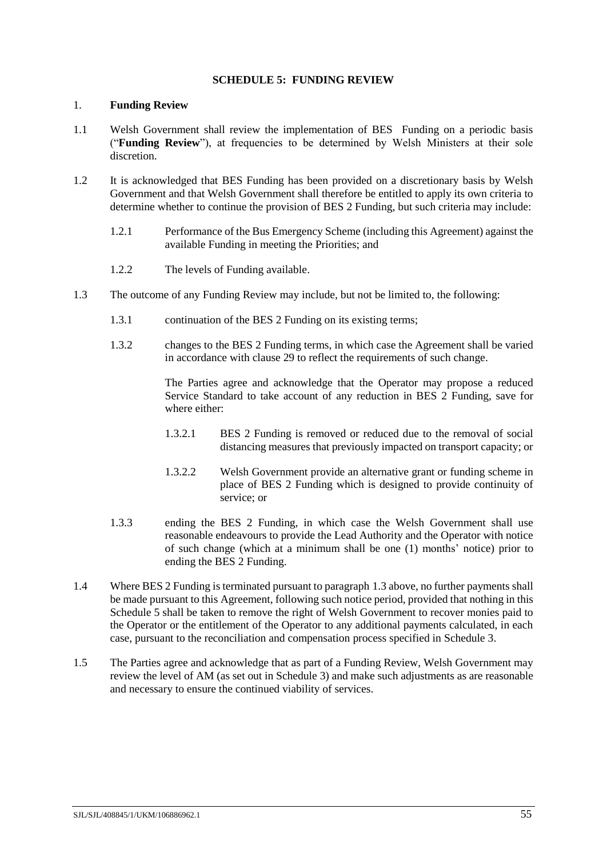### **SCHEDULE 5: FUNDING REVIEW**

### <span id="page-57-0"></span>1. **Funding Review**

- 1.1 Welsh Government shall review the implementation of BES Funding on a periodic basis ("**Funding Review**"), at frequencies to be determined by Welsh Ministers at their sole discretion.
- 1.2 It is acknowledged that BES Funding has been provided on a discretionary basis by Welsh Government and that Welsh Government shall therefore be entitled to apply its own criteria to determine whether to continue the provision of BES 2 Funding, but such criteria may include:
	- 1.2.1 Performance of the Bus Emergency Scheme (including this Agreement) against the available Funding in meeting the Priorities; and
	- 1.2.2 The levels of Funding available.
- <span id="page-57-2"></span>1.3 The outcome of any Funding Review may include, but not be limited to, the following:
	- 1.3.1 continuation of the BES 2 Funding on its existing terms;
	- 1.3.2 changes to the BES 2 Funding terms, in which case the Agreement shall be varied in accordance with clause [29](#page-32-2) to reflect the requirements of such change.

The Parties agree and acknowledge that the Operator may propose a reduced Service Standard to take account of any reduction in BES 2 Funding, save for where either:

- 1.3.2.1 BES 2 Funding is removed or reduced due to the removal of social distancing measures that previously impacted on transport capacity; or
- 1.3.2.2 Welsh Government provide an alternative grant or funding scheme in place of BES 2 Funding which is designed to provide continuity of service; or
- <span id="page-57-1"></span>1.3.3 ending the BES 2 Funding, in which case the Welsh Government shall use reasonable endeavours to provide the Lead Authority and the Operator with notice of such change (which at a minimum shall be one (1) months' notice) prior to ending the BES 2 Funding.
- 1.4 Where BES 2 Funding is terminated pursuant to paragraph [1.3](#page-57-2) above, no further payments shall be made pursuant to this Agreement, following such notice period, provided that nothing in this Schedule [5](#page-57-0) shall be taken to remove the right of Welsh Government to recover monies paid to the Operator or the entitlement of the Operator to any additional payments calculated, in each case, pursuant to the reconciliation and compensation process specified in Schedule [3.](#page-42-0)
- 1.5 The Parties agree and acknowledge that as part of a Funding Review, Welsh Government may review the level of AM (as set out in Schedule [3\)](#page-42-0) and make such adjustments as are reasonable and necessary to ensure the continued viability of services.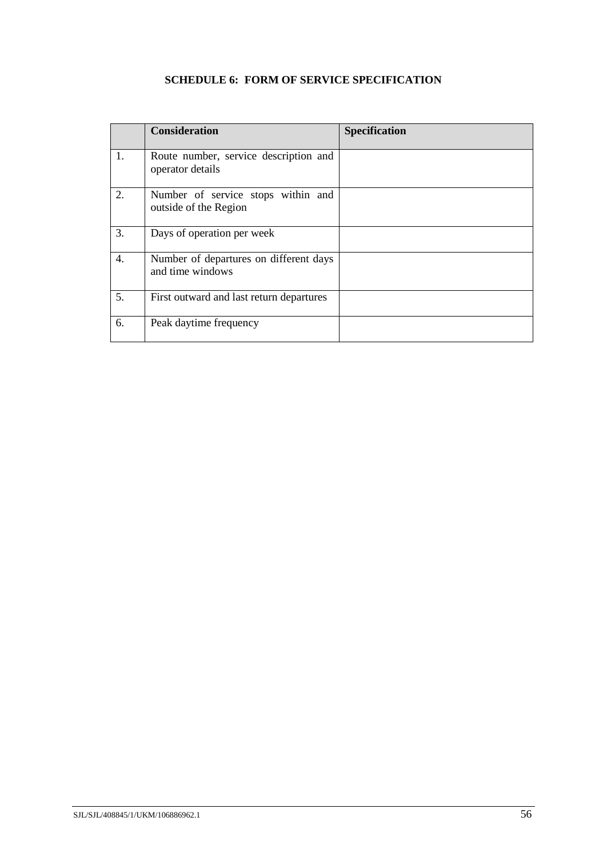# **SCHEDULE 6: FORM OF SERVICE SPECIFICATION**

<span id="page-58-0"></span>

|    | <b>Consideration</b>                                        | <b>Specification</b> |
|----|-------------------------------------------------------------|----------------------|
| 1. | Route number, service description and<br>operator details   |                      |
| 2. | Number of service stops within and<br>outside of the Region |                      |
| 3. | Days of operation per week                                  |                      |
| 4. | Number of departures on different days<br>and time windows  |                      |
| 5. | First outward and last return departures                    |                      |
| 6. | Peak daytime frequency                                      |                      |